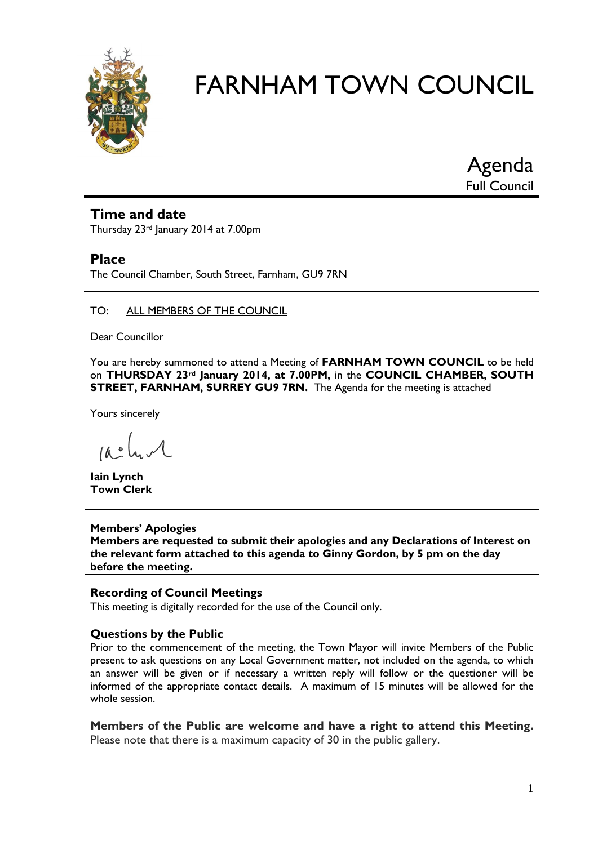

Agenda Full Council

#### **Time and date**

Thursday 23<sup>rd</sup> January 2014 at 7.00pm

#### **Place**

The Council Chamber, South Street, Farnham, GU9 7RN

#### TO: ALL MEMBERS OF THE COUNCIL

Dear Councillor

You are hereby summoned to attend a Meeting of **FARNHAM TOWN COUNCIL** to be held on **THURSDAY 23rd January 2014, at 7.00PM,** in the **COUNCIL CHAMBER, SOUTH STREET, FARNHAM, SURREY GU9 7RN.** The Agenda for the meeting is attached

Yours sincerely

 $\mu_{\bullet}$  of  $\mathcal{A}_{\bullet}$ 

**Iain Lynch Town Clerk**

#### **Members' Apologies**

**Members are requested to submit their apologies and any Declarations of Interest on the relevant form attached to this agenda to Ginny Gordon, by 5 pm on the day before the meeting.**

#### **Recording of Council Meetings**

This meeting is digitally recorded for the use of the Council only.

#### **Questions by the Public**

Prior to the commencement of the meeting, the Town Mayor will invite Members of the Public present to ask questions on any Local Government matter, not included on the agenda, to which an answer will be given or if necessary a written reply will follow or the questioner will be informed of the appropriate contact details. A maximum of 15 minutes will be allowed for the whole session.

**Members of the Public are welcome and have a right to attend this Meeting.**  Please note that there is a maximum capacity of 30 in the public gallery.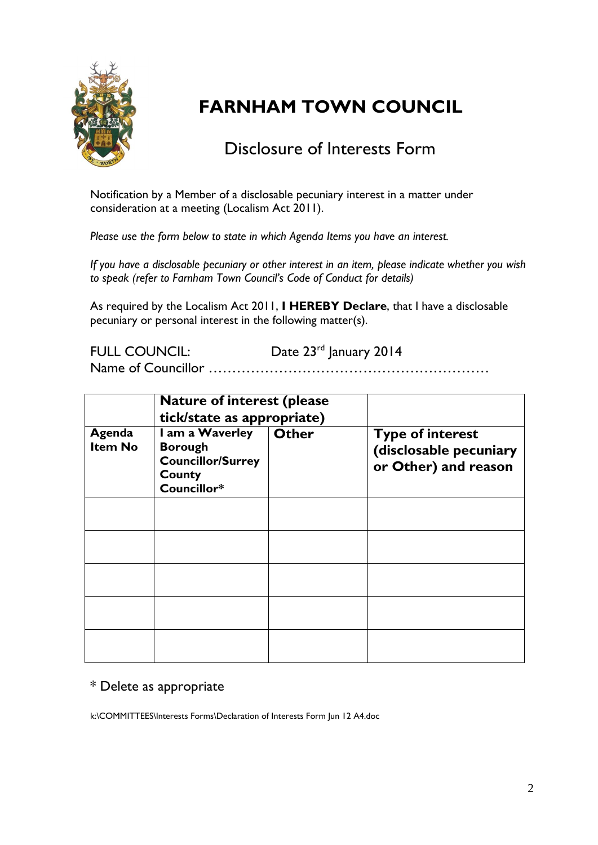

### Disclosure of Interests Form

Notification by a Member of a disclosable pecuniary interest in a matter under consideration at a meeting (Localism Act 2011).

*Please use the form below to state in which Agenda Items you have an interest.* 

*If you have a disclosable pecuniary or other interest in an item, please indicate whether you wish to speak (refer to Farnham Town Council's Code of Conduct for details)*

As required by the Localism Act 2011, **I HEREBY Declare**, that I have a disclosable pecuniary or personal interest in the following matter(s).

FULL COUNCIL: Date 23<sup>rd</sup> January 2014

Name of Councillor ……………………………………………………

|                          | <b>Nature of interest (please)</b><br>tick/state as appropriate)                       |              |                                                                           |
|--------------------------|----------------------------------------------------------------------------------------|--------------|---------------------------------------------------------------------------|
| Agenda<br><b>Item No</b> | I am a Waverley<br><b>Borough</b><br><b>Councillor/Surrey</b><br>County<br>Councillor* | <b>Other</b> | <b>Type of interest</b><br>(disclosable pecuniary<br>or Other) and reason |
|                          |                                                                                        |              |                                                                           |
|                          |                                                                                        |              |                                                                           |
|                          |                                                                                        |              |                                                                           |
|                          |                                                                                        |              |                                                                           |
|                          |                                                                                        |              |                                                                           |

#### \* Delete as appropriate

k:\COMMITTEES\Interests Forms\Declaration of Interests Form Jun 12 A4.doc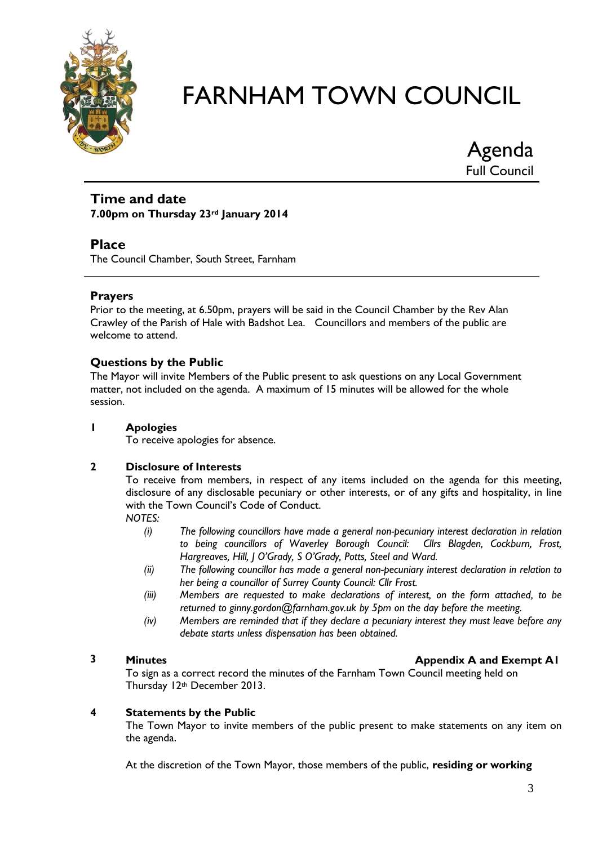

Agenda Full Council

#### **Time and date 7.00pm on Thursday 23rd January 2014**

#### **Place**

The Council Chamber, South Street, Farnham

#### **Prayers**

Prior to the meeting, at 6.50pm, prayers will be said in the Council Chamber by the Rev Alan Crawley of the Parish of Hale with Badshot Lea. Councillors and members of the public are welcome to attend.

#### **Questions by the Public**

The Mayor will invite Members of the Public present to ask questions on any Local Government matter, not included on the agenda. A maximum of 15 minutes will be allowed for the whole session.

#### **1 Apologies**

To receive apologies for absence.

#### **2 Disclosure of Interests**

To receive from members, in respect of any items included on the agenda for this meeting, disclosure of any disclosable pecuniary or other interests, or of any gifts and hospitality, in line with the Town Council's Code of Conduct.

*NOTES:*

- *(i) The following councillors have made a general non-pecuniary interest declaration in relation to being councillors of Waverley Borough Council: Cllrs Blagden, Cockburn, Frost, Hargreaves, Hill, J O'Grady, S O'Grady, Potts, Steel and Ward.*
- *(ii) The following councillor has made a general non-pecuniary interest declaration in relation to her being a councillor of Surrey County Council: Cllr Frost.*
- *(iii) Members are requested to make declarations of interest, on the form attached, to be returned to ginny.gordon@farnham.gov.uk by 5pm on the day before the meeting.*
- *(iv) Members are reminded that if they declare a pecuniary interest they must leave before any debate starts unless dispensation has been obtained.*

**2 Minutes Minutes Appendix A and Exempt A1** 

To sign as a correct record the minutes of the Farnham Town Council meeting held on Thursday 12th December 2013.

#### **4 Statements by the Public**

The Town Mayor to invite members of the public present to make statements on any item on the agenda.

At the discretion of the Town Mayor, those members of the public, **residing or working**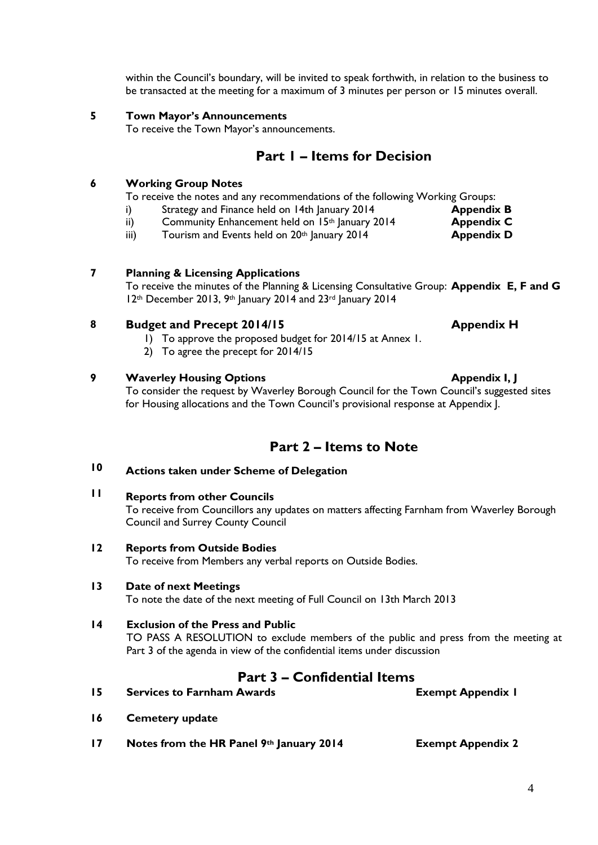within the Council's boundary, will be invited to speak forthwith, in relation to the business to be transacted at the meeting for a maximum of 3 minutes per person or 15 minutes overall.

#### **5 Town Mayor's Announcements**

To receive the Town Mayor's announcements.

### **Part 1 – Items for Decision**

#### **6 Working Group Notes**

To receive the notes and any recommendations of the following Working Groups:

- i) Strategy and Finance held on 14th January 2014 **Appendix B**
- ii) Community Enhancement held on 15<sup>th</sup> January 2014 **Appendix C**
- iii) Tourism and Events held on 20<sup>th</sup> January 2014 **Appendix D**

#### **7 Planning & Licensing Applications**

To receive the minutes of the Planning & Licensing Consultative Group: **Appendix E, F and G** 12th December 2013, 9th January 2014 and 23rd January 2014

#### **8 Budget and Precept 2014/15 Appendix H**

- 1) To approve the proposed budget for 2014/15 at Annex 1.
- 2) To agree the precept for 2014/15

#### **9 Waverley Housing Options Appendix I, J**

To consider the request by Waverley Borough Council for the Town Council's suggested sites for Housing allocations and the Town Council's provisional response at Appendix J.

### **Part 2 – Items to Note**

#### **10 Actions taken under Scheme of Delegation**

**11 Reports from other Councils**

To receive from Councillors any updates on matters affecting Farnham from Waverley Borough Council and Surrey County Council

#### **12 Reports from Outside Bodies**

To receive from Members any verbal reports on Outside Bodies.

#### **13 Date of next Meetings**

To note the date of the next meeting of Full Council on 13th March 2013

#### **14 Exclusion of the Press and Public**

TO PASS A RESOLUTION to exclude members of the public and press from the meeting at Part 3 of the agenda in view of the confidential items under discussion

### **Part 3 – Confidential Items**

- **15 Services to Farnham Awards Exempt Appendix 1**
- **16 Cemetery update**
- **17 Notes from the HR Panel 9th January 2014 Exempt Appendix 2**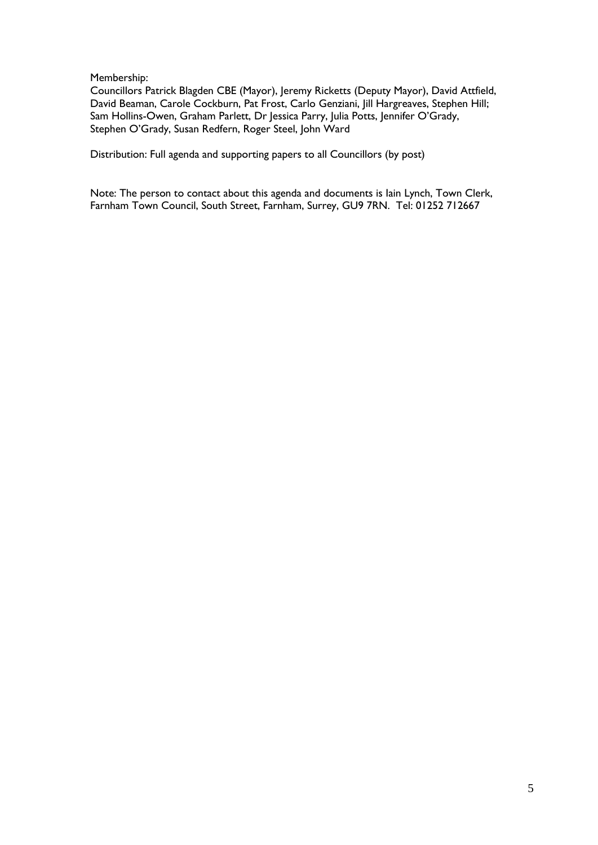Membership:

Councillors Patrick Blagden CBE (Mayor), Jeremy Ricketts (Deputy Mayor), David Attfield, David Beaman, Carole Cockburn, Pat Frost, Carlo Genziani, Jill Hargreaves, Stephen Hill; Sam Hollins-Owen, Graham Parlett, Dr Jessica Parry, Julia Potts, Jennifer O'Grady, Stephen O'Grady, Susan Redfern, Roger Steel, John Ward

Distribution: Full agenda and supporting papers to all Councillors (by post)

Note: The person to contact about this agenda and documents is Iain Lynch, Town Clerk, Farnham Town Council, South Street, Farnham, Surrey, GU9 7RN. Tel: 01252 712667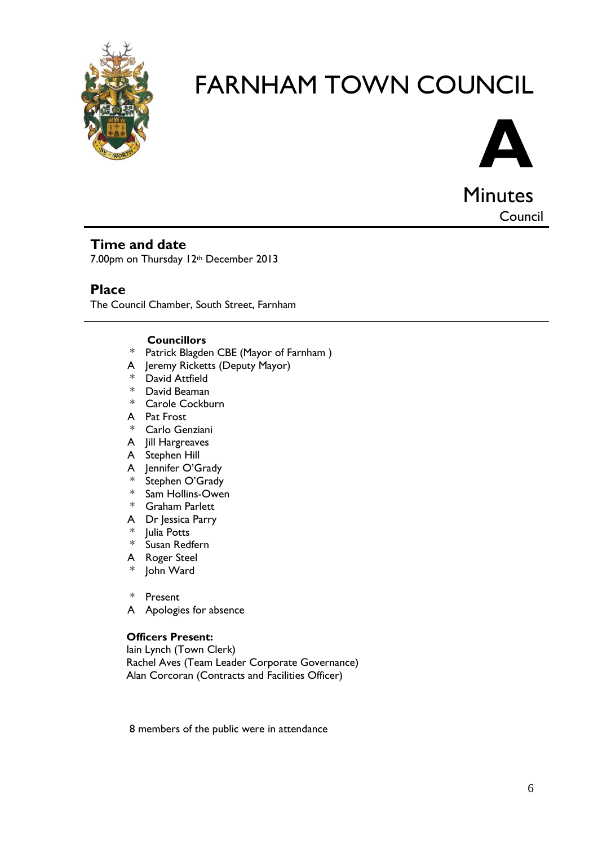



Minutes Council

#### **Time and date**

7.00pm on Thursday 12<sup>th</sup> December 2013

#### **Place**

The Council Chamber, South Street, Farnham

#### **Councillors**

- \* Patrick Blagden CBE (Mayor of Farnham )
- A Jeremy Ricketts (Deputy Mayor)
- \* David Attfield
- \* David Beaman
- \* Carole Cockburn
- A Pat Frost
- \* Carlo Genziani
- A Jill Hargreaves
- A Stephen Hill
- A Jennifer O'Grady<br>\* Stephen O'Grady
- Stephen O'Grady
- \* Sam Hollins-Owen
- \* Graham Parlett
- A Dr Jessica Parry
- \* Julia Potts
- \* Susan Redfern
- A Roger Steel
- John Ward
- \* Present
- A Apologies for absence

#### **Officers Present:**

Iain Lynch (Town Clerk) Rachel Aves (Team Leader Corporate Governance) Alan Corcoran (Contracts and Facilities Officer)

8 members of the public were in attendance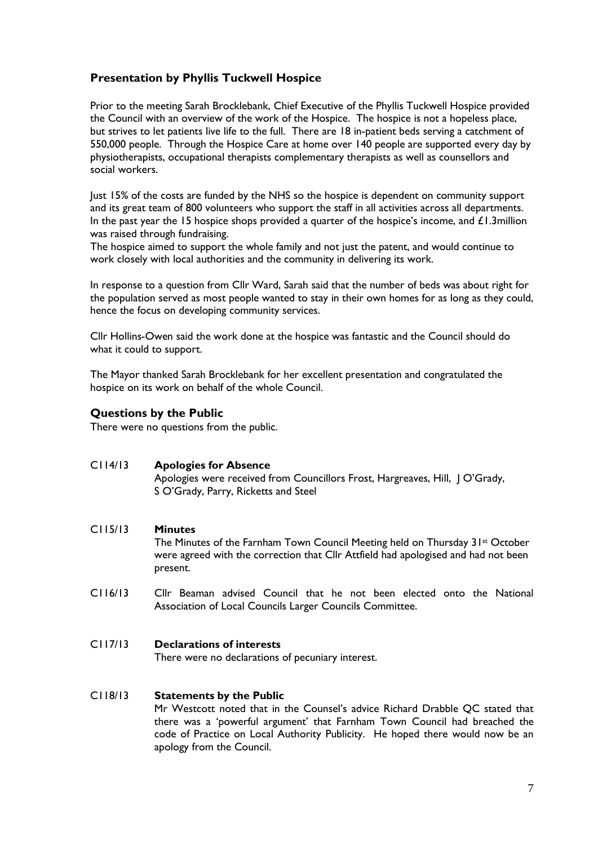#### **Presentation by Phyllis Tuckwell Hospice**

Prior to the meeting Sarah Brocklebank, Chief Executive of the Phyllis Tuckwell Hospice provided the Council with an overview of the work of the Hospice. The hospice is not a hopeless place, but strives to let patients live life to the full. There are 18 in-patient beds serving a catchment of 550,000 people. Through the Hospice Care at home over 140 people are supported every day by physiotherapists, occupational therapists complementary therapists as well as counsellors and social workers.

Just 15% of the costs are funded by the NHS so the hospice is dependent on community support and its great team of 800 volunteers who support the staff in all activities across all departments. In the past year the 15 hospice shops provided a quarter of the hospice's income, and  $\pounds1.3$ million was raised through fundraising.

The hospice aimed to support the whole family and not just the patent, and would continue to work closely with local authorities and the community in delivering its work.

In response to a question from Cllr Ward, Sarah said that the number of beds was about right for the population served as most people wanted to stay in their own homes for as long as they could, hence the focus on developing community services.

Cllr Hollins-Owen said the work done at the hospice was fantastic and the Council should do what it could to support.

The Mayor thanked Sarah Brocklebank for her excellent presentation and congratulated the hospice on its work on behalf of the whole Council.

#### **Questions by the Public**

There were no questions from the public.

#### C114/13 **Apologies for Absence**

Apologies were received from Councillors Frost, Hargreaves, Hill, J O'Grady, S O'Grady, Parry, Ricketts and Steel

#### C115/13 **Minutes**

The Minutes of the Farnham Town Council Meeting held on Thursday 31st October were agreed with the correction that Cllr Attfield had apologised and had not been present.

C116/13 Cllr Beaman advised Council that he not been elected onto the National Association of Local Councils Larger Councils Committee.

#### C117/13 **Declarations of interests**

There were no declarations of pecuniary interest.

#### C118/13 **Statements by the Public**

Mr Westcott noted that in the Counsel's advice Richard Drabble QC stated that there was a 'powerful argument' that Farnham Town Council had breached the code of Practice on Local Authority Publicity. He hoped there would now be an apology from the Council.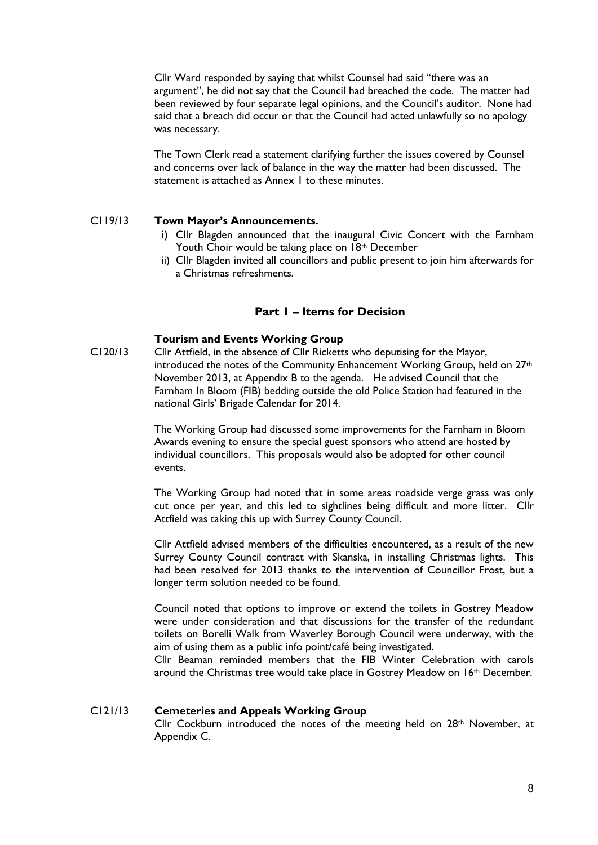Cllr Ward responded by saying that whilst Counsel had said "there was an argument", he did not say that the Council had breached the code. The matter had been reviewed by four separate legal opinions, and the Council's auditor. None had said that a breach did occur or that the Council had acted unlawfully so no apology was necessary.

The Town Clerk read a statement clarifying further the issues covered by Counsel and concerns over lack of balance in the way the matter had been discussed. The statement is attached as Annex 1 to these minutes.

#### C119/13 **Town Mayor's Announcements.**

- i) Cllr Blagden announced that the inaugural Civic Concert with the Farnham Youth Choir would be taking place on 18th December
- ii) Cllr Blagden invited all councillors and public present to join him afterwards for a Christmas refreshments.

#### **Part 1 – Items for Decision**

#### **Tourism and Events Working Group**

C120/13 Cllr Attfield, in the absence of Cllr Ricketts who deputising for the Mayor, introduced the notes of the Community Enhancement Working Group, held on 27<sup>th</sup> November 2013, at Appendix B to the agenda. He advised Council that the Farnham In Bloom (FIB) bedding outside the old Police Station had featured in the national Girls' Brigade Calendar for 2014.

> The Working Group had discussed some improvements for the Farnham in Bloom Awards evening to ensure the special guest sponsors who attend are hosted by individual councillors. This proposals would also be adopted for other council events.

The Working Group had noted that in some areas roadside verge grass was only cut once per year, and this led to sightlines being difficult and more litter. Cllr Attfield was taking this up with Surrey County Council.

Cllr Attfield advised members of the difficulties encountered, as a result of the new Surrey County Council contract with Skanska, in installing Christmas lights. This had been resolved for 2013 thanks to the intervention of Councillor Frost, but a longer term solution needed to be found.

Council noted that options to improve or extend the toilets in Gostrey Meadow were under consideration and that discussions for the transfer of the redundant toilets on Borelli Walk from Waverley Borough Council were underway, with the aim of using them as a public info point/café being investigated.

Cllr Beaman reminded members that the FIB Winter Celebration with carols around the Christmas tree would take place in Gostrey Meadow on 16th December.

#### C121/13 **Cemeteries and Appeals Working Group**

Cllr Cockburn introduced the notes of the meeting held on  $28<sup>th</sup>$  November, at Appendix C.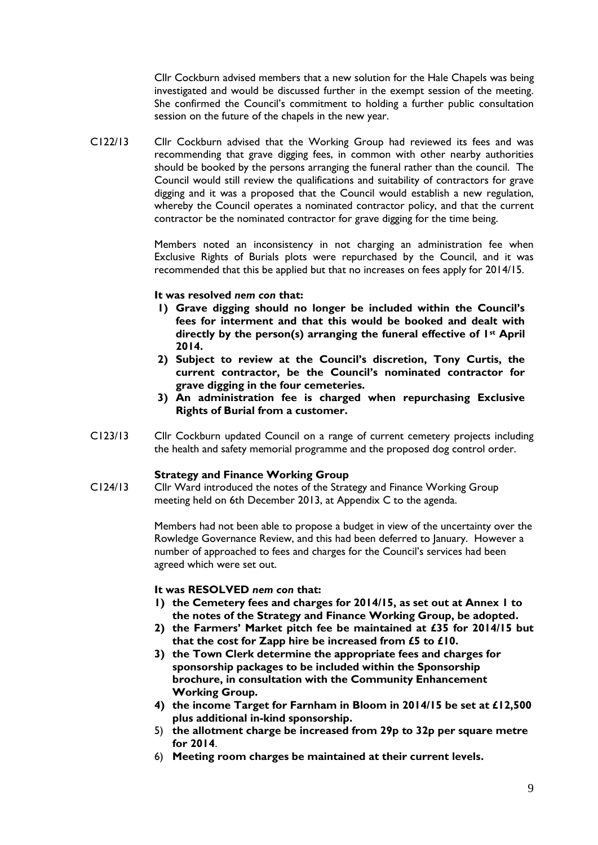Cllr Cockburn advised members that a new solution for the Hale Chapels was being investigated and would be discussed further in the exempt session of the meeting. She confirmed the Council's commitment to holding a further public consultation session on the future of the chapels in the new year.

C122/13 Cllr Cockburn advised that the Working Group had reviewed its fees and was recommending that grave digging fees, in common with other nearby authorities should be booked by the persons arranging the funeral rather than the council. The Council would still review the qualifications and suitability of contractors for grave digging and it was a proposed that the Council would establish a new regulation, whereby the Council operates a nominated contractor policy, and that the current contractor be the nominated contractor for grave digging for the time being.

> Members noted an inconsistency in not charging an administration fee when Exclusive Rights of Burials plots were repurchased by the Council, and it was recommended that this be applied but that no increases on fees apply for 2014/15.

#### **It was resolved** *nem con* **that:**

- **1) Grave digging should no longer be included within the Council's fees for interment and that this would be booked and dealt with directly by the person(s) arranging the funeral effective of 1st April 2014.**
- **2) Subject to review at the Council's discretion, Tony Curtis, the current contractor, be the Council's nominated contractor for grave digging in the four cemeteries.**
- **3) An administration fee is charged when repurchasing Exclusive Rights of Burial from a customer.**
- C123/13 Cllr Cockburn updated Council on a range of current cemetery projects including the health and safety memorial programme and the proposed dog control order.

#### **Strategy and Finance Working Group**

C124/13 Cllr Ward introduced the notes of the Strategy and Finance Working Group meeting held on 6th December 2013, at Appendix C to the agenda.

> Members had not been able to propose a budget in view of the uncertainty over the Rowledge Governance Review, and this had been deferred to January. However a number of approached to fees and charges for the Council's services had been agreed which were set out.

#### **It was RESOLVED** *nem con* **that:**

- **1) the Cemetery fees and charges for 2014/15, as set out at Annex 1 to the notes of the Strategy and Finance Working Group, be adopted.**
- **2) the Farmers' Market pitch fee be maintained at £35 for 2014/15 but that the cost for Zapp hire be increased from £5 to £10.**
- **3) the Town Clerk determine the appropriate fees and charges for sponsorship packages to be included within the Sponsorship brochure, in consultation with the Community Enhancement Working Group.**
- **4) the income Target for Farnham in Bloom in 2014/15 be set at £12,500 plus additional in-kind sponsorship.**
- 5) **the allotment charge be increased from 29p to 32p per square metre for 2014**.
- 6) **Meeting room charges be maintained at their current levels.**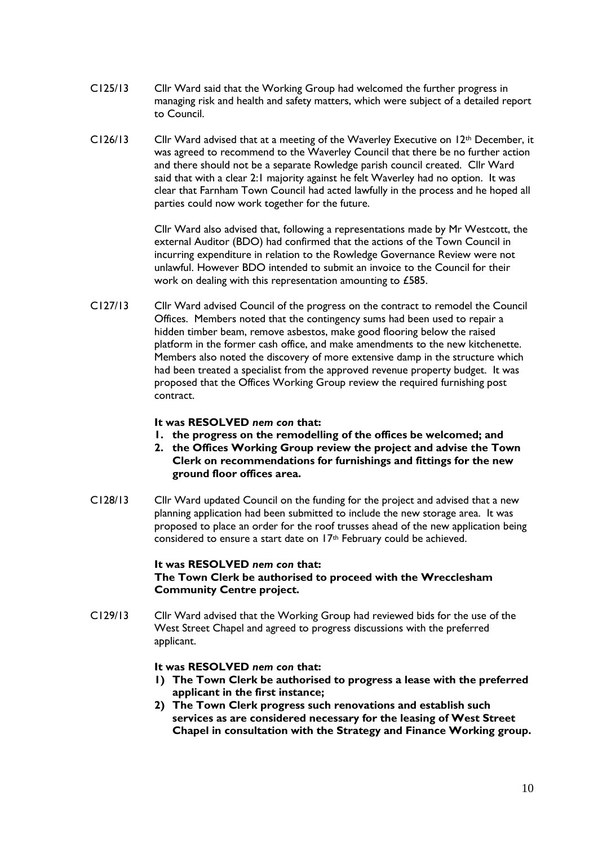- C125/13 Cllr Ward said that the Working Group had welcomed the further progress in managing risk and health and safety matters, which were subject of a detailed report to Council.
- $C126/13$  Cllr Ward advised that at a meeting of the Waverley Executive on  $12<sup>th</sup>$  December, it was agreed to recommend to the Waverley Council that there be no further action and there should not be a separate Rowledge parish council created. Cllr Ward said that with a clear 2:1 majority against he felt Waverley had no option. It was clear that Farnham Town Council had acted lawfully in the process and he hoped all parties could now work together for the future.

Cllr Ward also advised that, following a representations made by Mr Westcott, the external Auditor (BDO) had confirmed that the actions of the Town Council in incurring expenditure in relation to the Rowledge Governance Review were not unlawful. However BDO intended to submit an invoice to the Council for their work on dealing with this representation amounting to £585.

C127/13 Cllr Ward advised Council of the progress on the contract to remodel the Council Offices. Members noted that the contingency sums had been used to repair a hidden timber beam, remove asbestos, make good flooring below the raised platform in the former cash office, and make amendments to the new kitchenette. Members also noted the discovery of more extensive damp in the structure which had been treated a specialist from the approved revenue property budget. It was proposed that the Offices Working Group review the required furnishing post contract.

#### **It was RESOLVED** *nem con* **that:**

- **1. the progress on the remodelling of the offices be welcomed; and**
- **2. the Offices Working Group review the project and advise the Town Clerk on recommendations for furnishings and fittings for the new ground floor offices area.**
- C128/13 Cllr Ward updated Council on the funding for the project and advised that a new planning application had been submitted to include the new storage area. It was proposed to place an order for the roof trusses ahead of the new application being considered to ensure a start date on 17<sup>th</sup> February could be achieved.

#### **It was RESOLVED** *nem con* **that: The Town Clerk be authorised to proceed with the Wrecclesham Community Centre project.**

C129/13 Cllr Ward advised that the Working Group had reviewed bids for the use of the West Street Chapel and agreed to progress discussions with the preferred applicant.

#### **It was RESOLVED** *nem con* **that:**

- **1) The Town Clerk be authorised to progress a lease with the preferred applicant in the first instance;**
- **2) The Town Clerk progress such renovations and establish such services as are considered necessary for the leasing of West Street Chapel in consultation with the Strategy and Finance Working group.**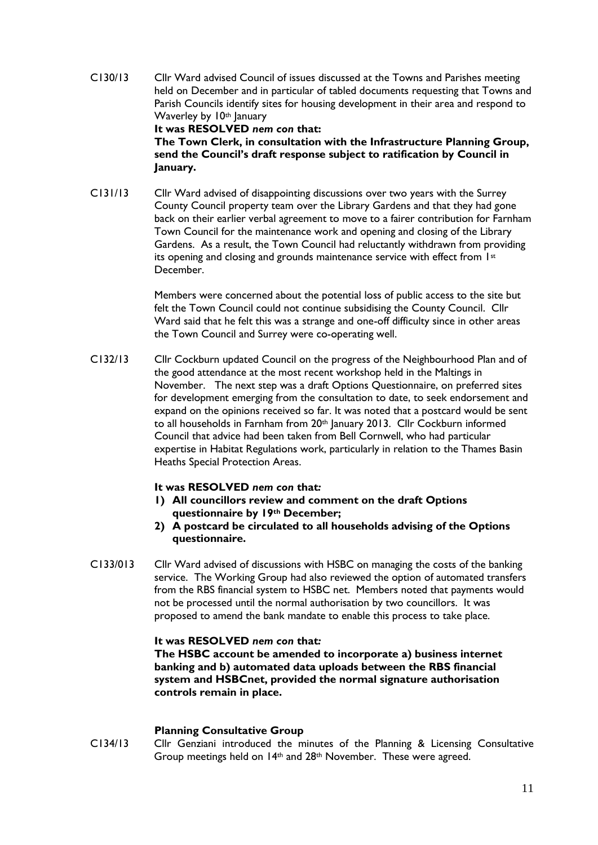- C130/13 Cllr Ward advised Council of issues discussed at the Towns and Parishes meeting held on December and in particular of tabled documents requesting that Towns and Parish Councils identify sites for housing development in their area and respond to Waverley by 10th January **It was RESOLVED** *nem con* **that: The Town Clerk, in consultation with the Infrastructure Planning Group, send the Council's draft response subject to ratification by Council in**
- C131/13 Cllr Ward advised of disappointing discussions over two years with the Surrey County Council property team over the Library Gardens and that they had gone back on their earlier verbal agreement to move to a fairer contribution for Farnham Town Council for the maintenance work and opening and closing of the Library Gardens. As a result, the Town Council had reluctantly withdrawn from providing its opening and closing and grounds maintenance service with effect from 1st December.

Members were concerned about the potential loss of public access to the site but felt the Town Council could not continue subsidising the County Council. Cllr Ward said that he felt this was a strange and one-off difficulty since in other areas the Town Council and Surrey were co-operating well.

C132/13 Cllr Cockburn updated Council on the progress of the Neighbourhood Plan and of the good attendance at the most recent workshop held in the Maltings in November. The next step was a draft Options Questionnaire, on preferred sites for development emerging from the consultation to date, to seek endorsement and expand on the opinions received so far. It was noted that a postcard would be sent to all households in Farnham from 20<sup>th</sup> January 2013. Cllr Cockburn informed Council that advice had been taken from Bell Cornwell, who had particular expertise in Habitat Regulations work, particularly in relation to the Thames Basin Heaths Special Protection Areas.

#### **It was RESOLVED** *nem con* **that***:*

**January.**

- **1) All councillors review and comment on the draft Options questionnaire by 19th December;**
- **2) A postcard be circulated to all households advising of the Options questionnaire.**
- C133/013 Cllr Ward advised of discussions with HSBC on managing the costs of the banking service. The Working Group had also reviewed the option of automated transfers from the RBS financial system to HSBC net. Members noted that payments would not be processed until the normal authorisation by two councillors. It was proposed to amend the bank mandate to enable this process to take place.

#### **It was RESOLVED** *nem con* **that***:*

**The HSBC account be amended to incorporate a) business internet banking and b) automated data uploads between the RBS financial system and HSBCnet, provided the normal signature authorisation controls remain in place.**

#### **Planning Consultative Group**

C134/13 Cllr Genziani introduced the minutes of the Planning & Licensing Consultative Group meetings held on 14th and 28th November. These were agreed.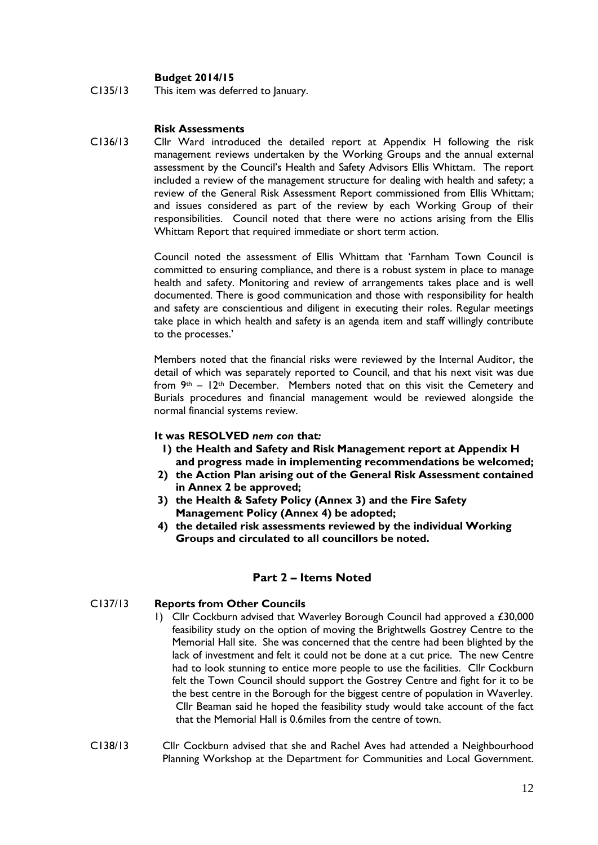#### **Budget 2014/15**

C135/13 This item was deferred to January.

#### **Risk Assessments**

C136/13 Cllr Ward introduced the detailed report at Appendix H following the risk management reviews undertaken by the Working Groups and the annual external assessment by the Council's Health and Safety Advisors Ellis Whittam. The report included a review of the management structure for dealing with health and safety; a review of the General Risk Assessment Report commissioned from Ellis Whittam; and issues considered as part of the review by each Working Group of their responsibilities. Council noted that there were no actions arising from the Ellis Whittam Report that required immediate or short term action.

> Council noted the assessment of Ellis Whittam that 'Farnham Town Council is committed to ensuring compliance, and there is a robust system in place to manage health and safety. Monitoring and review of arrangements takes place and is well documented. There is good communication and those with responsibility for health and safety are conscientious and diligent in executing their roles. Regular meetings take place in which health and safety is an agenda item and staff willingly contribute to the processes.'

> Members noted that the financial risks were reviewed by the Internal Auditor, the detail of which was separately reported to Council, and that his next visit was due from  $9<sup>th</sup> - 12<sup>th</sup>$  December. Members noted that on this visit the Cemetery and Burials procedures and financial management would be reviewed alongside the normal financial systems review.

#### **It was RESOLVED** *nem con* **that***:*

- **1) the Health and Safety and Risk Management report at Appendix H and progress made in implementing recommendations be welcomed;**
- **2) the Action Plan arising out of the General Risk Assessment contained in Annex 2 be approved;**
- **3) the Health & Safety Policy (Annex 3) and the Fire Safety Management Policy (Annex 4) be adopted;**
- **4) the detailed risk assessments reviewed by the individual Working Groups and circulated to all councillors be noted.**

#### **Part 2 – Items Noted**

#### C137/13 **Reports from Other Councils**

- 1) Cllr Cockburn advised that Waverley Borough Council had approved a £30,000 feasibility study on the option of moving the Brightwells Gostrey Centre to the Memorial Hall site. She was concerned that the centre had been blighted by the lack of investment and felt it could not be done at a cut price. The new Centre had to look stunning to entice more people to use the facilities. Cllr Cockburn felt the Town Council should support the Gostrey Centre and fight for it to be the best centre in the Borough for the biggest centre of population in Waverley. Cllr Beaman said he hoped the feasibility study would take account of the fact that the Memorial Hall is 0.6miles from the centre of town.
- C138/13 Cllr Cockburn advised that she and Rachel Aves had attended a Neighbourhood Planning Workshop at the Department for Communities and Local Government.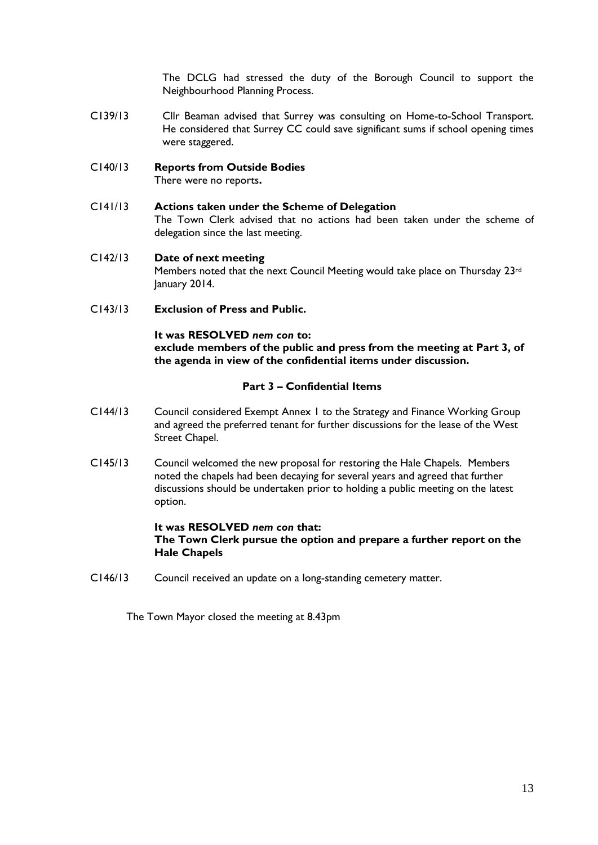The DCLG had stressed the duty of the Borough Council to support the Neighbourhood Planning Process.

C139/13 Cllr Beaman advised that Surrey was consulting on Home-to-School Transport. He considered that Surrey CC could save significant sums if school opening times were staggered.

#### C140/13 **Reports from Outside Bodies** There were no reports**.**

C141/13 **Actions taken under the Scheme of Delegation** The Town Clerk advised that no actions had been taken under the scheme of delegation since the last meeting.

#### C142/13 **Date of next meeting** Members noted that the next Council Meeting would take place on Thursday 23rd January 2014.

C143/13 **Exclusion of Press and Public.**

#### **It was RESOLVED** *nem con* **to:**

**exclude members of the public and press from the meeting at Part 3, of the agenda in view of the confidential items under discussion.**

#### **Part 3 – Confidential Items**

- C144/13 Council considered Exempt Annex 1 to the Strategy and Finance Working Group and agreed the preferred tenant for further discussions for the lease of the West Street Chapel.
- C145/13 Council welcomed the new proposal for restoring the Hale Chapels. Members noted the chapels had been decaying for several years and agreed that further discussions should be undertaken prior to holding a public meeting on the latest option.

#### **It was RESOLVED** *nem con* **that: The Town Clerk pursue the option and prepare a further report on the Hale Chapels**

C146/13 Council received an update on a long-standing cemetery matter.

The Town Mayor closed the meeting at 8.43pm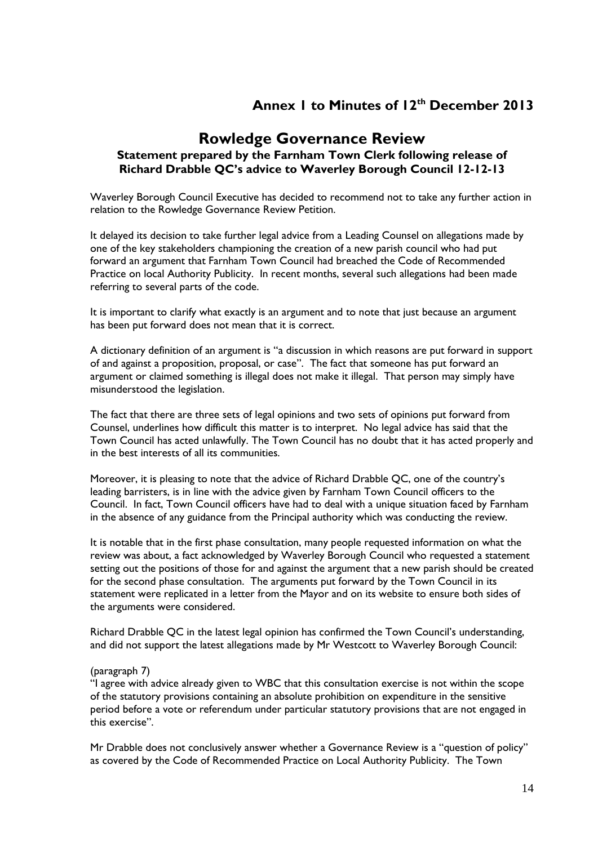### **Annex 1 to Minutes of 12th December 2013**

#### **Rowledge Governance Review Statement prepared by the Farnham Town Clerk following release of Richard Drabble QC's advice to Waverley Borough Council 12-12-13**

Waverley Borough Council Executive has decided to recommend not to take any further action in relation to the Rowledge Governance Review Petition.

It delayed its decision to take further legal advice from a Leading Counsel on allegations made by one of the key stakeholders championing the creation of a new parish council who had put forward an argument that Farnham Town Council had breached the Code of Recommended Practice on local Authority Publicity. In recent months, several such allegations had been made referring to several parts of the code.

It is important to clarify what exactly is an argument and to note that just because an argument has been put forward does not mean that it is correct.

A dictionary definition of an argument is "a discussion in which reasons are put forward in support of and against a proposition, proposal, or case". The fact that someone has put forward an argument or claimed something is illegal does not make it illegal. That person may simply have misunderstood the legislation.

The fact that there are three sets of legal opinions and two sets of opinions put forward from Counsel, underlines how difficult this matter is to interpret. No legal advice has said that the Town Council has acted unlawfully. The Town Council has no doubt that it has acted properly and in the best interests of all its communities.

Moreover, it is pleasing to note that the advice of Richard Drabble QC, one of the country's leading barristers, is in line with the advice given by Farnham Town Council officers to the Council. In fact, Town Council officers have had to deal with a unique situation faced by Farnham in the absence of any guidance from the Principal authority which was conducting the review.

It is notable that in the first phase consultation, many people requested information on what the review was about, a fact acknowledged by Waverley Borough Council who requested a statement setting out the positions of those for and against the argument that a new parish should be created for the second phase consultation. The arguments put forward by the Town Council in its statement were replicated in a letter from the Mayor and on its website to ensure both sides of the arguments were considered.

Richard Drabble QC in the latest legal opinion has confirmed the Town Council's understanding, and did not support the latest allegations made by Mr Westcott to Waverley Borough Council:

#### (paragraph 7)

"I agree with advice already given to WBC that this consultation exercise is not within the scope of the statutory provisions containing an absolute prohibition on expenditure in the sensitive period before a vote or referendum under particular statutory provisions that are not engaged in this exercise".

Mr Drabble does not conclusively answer whether a Governance Review is a "question of policy" as covered by the Code of Recommended Practice on Local Authority Publicity. The Town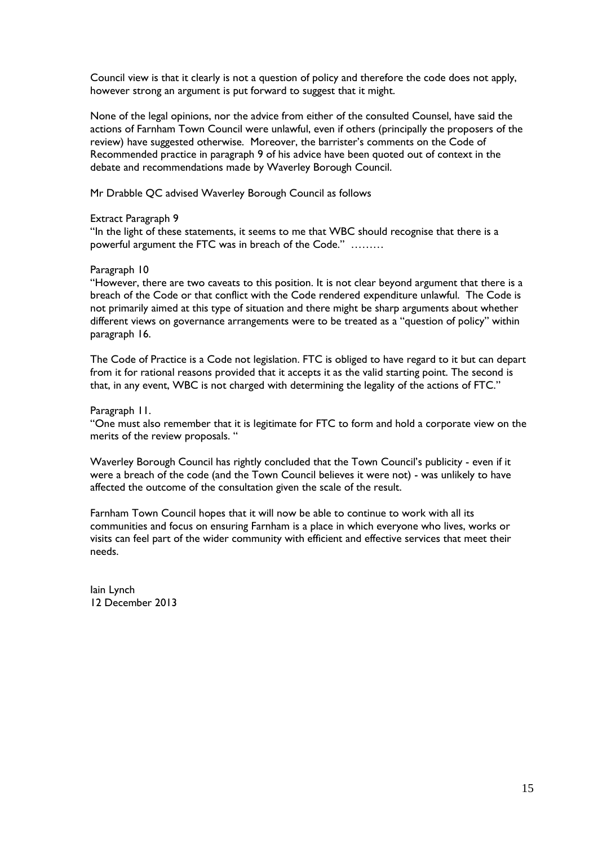Council view is that it clearly is not a question of policy and therefore the code does not apply, however strong an argument is put forward to suggest that it might.

None of the legal opinions, nor the advice from either of the consulted Counsel, have said the actions of Farnham Town Council were unlawful, even if others (principally the proposers of the review) have suggested otherwise. Moreover, the barrister's comments on the Code of Recommended practice in paragraph 9 of his advice have been quoted out of context in the debate and recommendations made by Waverley Borough Council.

Mr Drabble QC advised Waverley Borough Council as follows

#### Extract Paragraph 9

"In the light of these statements, it seems to me that WBC should recognise that there is a powerful argument the FTC was in breach of the Code." ………

#### Paragraph 10

"However, there are two caveats to this position. It is not clear beyond argument that there is a breach of the Code or that conflict with the Code rendered expenditure unlawful. The Code is not primarily aimed at this type of situation and there might be sharp arguments about whether different views on governance arrangements were to be treated as a "question of policy" within paragraph 16.

The Code of Practice is a Code not legislation. FTC is obliged to have regard to it but can depart from it for rational reasons provided that it accepts it as the valid starting point. The second is that, in any event, WBC is not charged with determining the legality of the actions of FTC."

#### Paragraph 11.

"One must also remember that it is legitimate for FTC to form and hold a corporate view on the merits of the review proposals. "

Waverley Borough Council has rightly concluded that the Town Council's publicity - even if it were a breach of the code (and the Town Council believes it were not) - was unlikely to have affected the outcome of the consultation given the scale of the result.

Farnham Town Council hopes that it will now be able to continue to work with all its communities and focus on ensuring Farnham is a place in which everyone who lives, works or visits can feel part of the wider community with efficient and effective services that meet their needs.

Iain Lynch 12 December 2013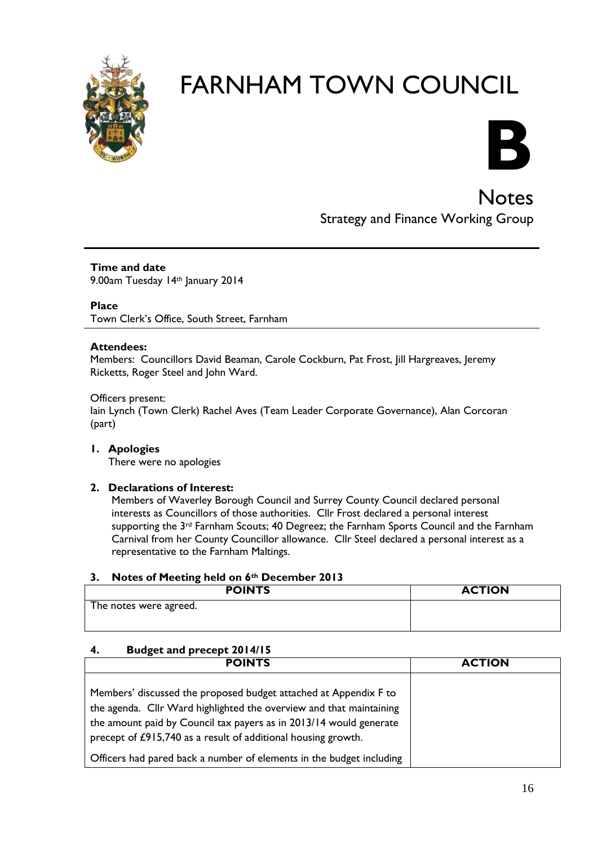



Notes Strategy and Finance Working Group

**Time and date** 9.00am Tuesday 14th January 2014

**Place** Town Clerk's Office, South Street, Farnham

#### **Attendees:**

Members: Councillors David Beaman, Carole Cockburn, Pat Frost, Jill Hargreaves, Jeremy Ricketts, Roger Steel and John Ward.

Officers present: Iain Lynch (Town Clerk) Rachel Aves (Team Leader Corporate Governance), Alan Corcoran (part)

**1. Apologies** There were no apologies

#### **2. Declarations of Interest:**

Members of Waverley Borough Council and Surrey County Council declared personal interests as Councillors of those authorities. Cllr Frost declared a personal interest supporting the 3<sup>rd</sup> Farnham Scouts; 40 Degreez; the Farnham Sports Council and the Farnham Carnival from her County Councillor allowance. Cllr Steel declared a personal interest as a representative to the Farnham Maltings.

#### **3. Notes of Meeting held on 6th December 2013**

| <b>POINTS</b>          | <b>ACTION</b> |
|------------------------|---------------|
| The notes were agreed. |               |
|                        |               |

#### **4. Budget and precept 2014/15**

| <b>POINTS</b>                                                                                                                                                                                                                                                                  | <b>ACTION</b> |
|--------------------------------------------------------------------------------------------------------------------------------------------------------------------------------------------------------------------------------------------------------------------------------|---------------|
| Members' discussed the proposed budget attached at Appendix F to<br>the agenda. Cllr Ward highlighted the overview and that maintaining<br>the amount paid by Council tax payers as in 2013/14 would generate<br>precept of £915,740 as a result of additional housing growth. |               |
| Officers had pared back a number of elements in the budget including                                                                                                                                                                                                           |               |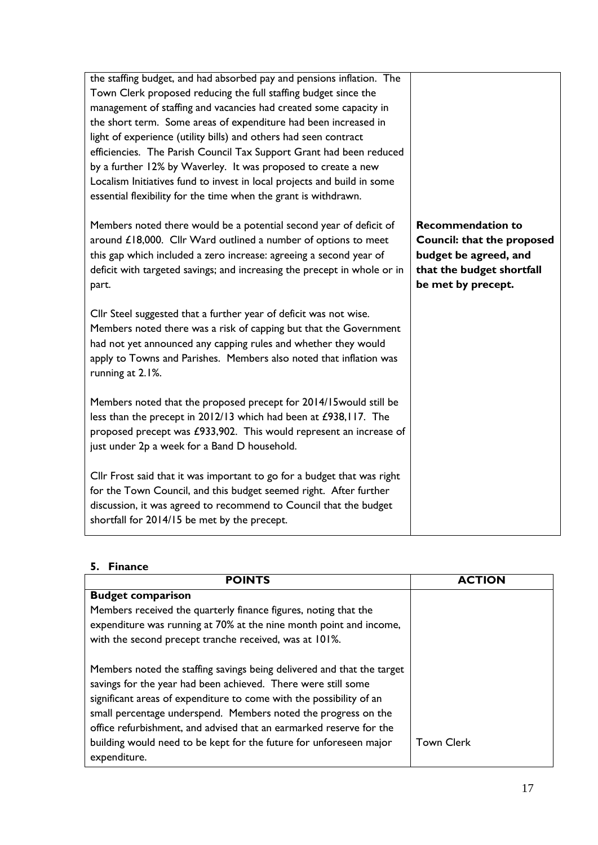| the staffing budget, and had absorbed pay and pensions inflation. The<br>Town Clerk proposed reducing the full staffing budget since the<br>management of staffing and vacancies had created some capacity in<br>the short term. Some areas of expenditure had been increased in<br>light of experience (utility bills) and others had seen contract<br>efficiencies. The Parish Council Tax Support Grant had been reduced<br>by a further 12% by Waverley. It was proposed to create a new<br>Localism Initiatives fund to invest in local projects and build in some<br>essential flexibility for the time when the grant is withdrawn. |                                                                                                                                           |
|--------------------------------------------------------------------------------------------------------------------------------------------------------------------------------------------------------------------------------------------------------------------------------------------------------------------------------------------------------------------------------------------------------------------------------------------------------------------------------------------------------------------------------------------------------------------------------------------------------------------------------------------|-------------------------------------------------------------------------------------------------------------------------------------------|
| Members noted there would be a potential second year of deficit of<br>around £18,000. Cllr Ward outlined a number of options to meet<br>this gap which included a zero increase: agreeing a second year of<br>deficit with targeted savings; and increasing the precept in whole or in<br>part.                                                                                                                                                                                                                                                                                                                                            | <b>Recommendation to</b><br><b>Council: that the proposed</b><br>budget be agreed, and<br>that the budget shortfall<br>be met by precept. |
| Cllr Steel suggested that a further year of deficit was not wise.<br>Members noted there was a risk of capping but that the Government<br>had not yet announced any capping rules and whether they would<br>apply to Towns and Parishes. Members also noted that inflation was<br>running at 2.1%.                                                                                                                                                                                                                                                                                                                                         |                                                                                                                                           |
| Members noted that the proposed precept for 2014/15 would still be<br>less than the precept in 2012/13 which had been at £938,117. The<br>proposed precept was £933,902. This would represent an increase of<br>just under 2p a week for a Band D household.                                                                                                                                                                                                                                                                                                                                                                               |                                                                                                                                           |
| Cllr Frost said that it was important to go for a budget that was right<br>for the Town Council, and this budget seemed right. After further<br>discussion, it was agreed to recommend to Council that the budget<br>shortfall for 2014/15 be met by the precept.                                                                                                                                                                                                                                                                                                                                                                          |                                                                                                                                           |

#### **5. Finance**

| <b>POINTS</b>                                                                                                                                                                                                                                                                                                                                                                                                                                 | <b>ACTION</b>     |
|-----------------------------------------------------------------------------------------------------------------------------------------------------------------------------------------------------------------------------------------------------------------------------------------------------------------------------------------------------------------------------------------------------------------------------------------------|-------------------|
| <b>Budget comparison</b>                                                                                                                                                                                                                                                                                                                                                                                                                      |                   |
| Members received the quarterly finance figures, noting that the<br>expenditure was running at 70% at the nine month point and income,<br>with the second precept tranche received, was at 101%.                                                                                                                                                                                                                                               |                   |
| Members noted the staffing savings being delivered and that the target<br>savings for the year had been achieved. There were still some<br>significant areas of expenditure to come with the possibility of an<br>small percentage underspend. Members noted the progress on the<br>office refurbishment, and advised that an earmarked reserve for the<br>building would need to be kept for the future for unforeseen major<br>expenditure. | <b>Town Clerk</b> |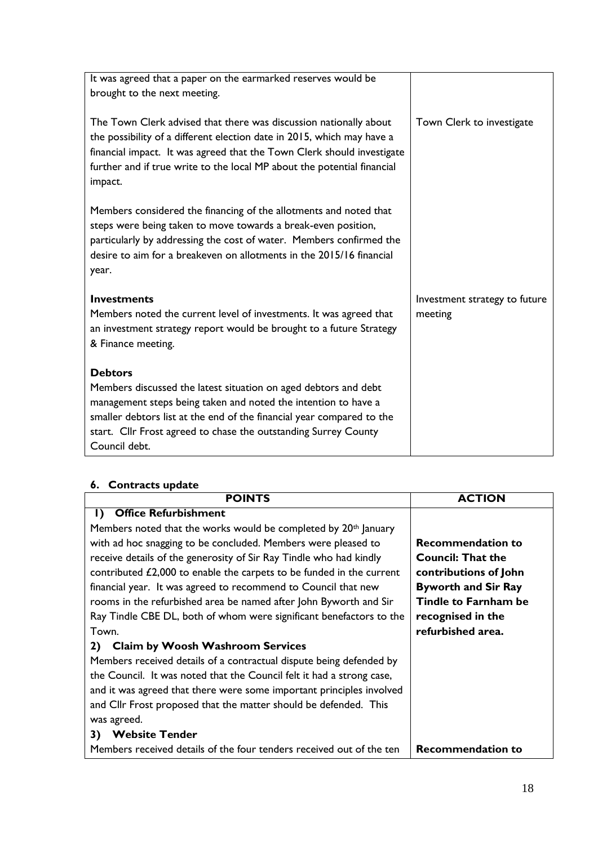| It was agreed that a paper on the earmarked reserves would be<br>brought to the next meeting.                                                                                                                                                                                                                    |                                          |
|------------------------------------------------------------------------------------------------------------------------------------------------------------------------------------------------------------------------------------------------------------------------------------------------------------------|------------------------------------------|
| The Town Clerk advised that there was discussion nationally about<br>the possibility of a different election date in 2015, which may have a<br>financial impact. It was agreed that the Town Clerk should investigate<br>further and if true write to the local MP about the potential financial<br>impact.      | Town Clerk to investigate                |
| Members considered the financing of the allotments and noted that<br>steps were being taken to move towards a break-even position,<br>particularly by addressing the cost of water. Members confirmed the<br>desire to aim for a breakeven on allotments in the 2015/16 financial<br>year.                       |                                          |
| <b>Investments</b><br>Members noted the current level of investments. It was agreed that<br>an investment strategy report would be brought to a future Strategy<br>& Finance meeting.                                                                                                                            | Investment strategy to future<br>meeting |
| <b>Debtors</b><br>Members discussed the latest situation on aged debtors and debt<br>management steps being taken and noted the intention to have a<br>smaller debtors list at the end of the financial year compared to the<br>start. Cllr Frost agreed to chase the outstanding Surrey County<br>Council debt. |                                          |

#### **6. Contracts update**

| <b>POINTS</b>                                                               | <b>ACTION</b>               |
|-----------------------------------------------------------------------------|-----------------------------|
| <b>Office Refurbishment</b><br>Ð                                            |                             |
| Members noted that the works would be completed by 20 <sup>th</sup> January |                             |
| with ad hoc snagging to be concluded. Members were pleased to               | <b>Recommendation to</b>    |
| receive details of the generosity of Sir Ray Tindle who had kindly          | <b>Council: That the</b>    |
| contributed £2,000 to enable the carpets to be funded in the current        | contributions of John       |
| financial year. It was agreed to recommend to Council that new              | <b>Byworth and Sir Ray</b>  |
| rooms in the refurbished area be named after John Byworth and Sir           | <b>Tindle to Farnham be</b> |
| Ray Tindle CBE DL, both of whom were significant benefactors to the         | recognised in the           |
| Town.                                                                       | refurbished area.           |
| <b>Claim by Woosh Washroom Services</b><br><b>2</b> )                       |                             |
| Members received details of a contractual dispute being defended by         |                             |
| the Council. It was noted that the Council felt it had a strong case,       |                             |
| and it was agreed that there were some important principles involved        |                             |
| and Cllr Frost proposed that the matter should be defended. This            |                             |
| was agreed.                                                                 |                             |
| <b>Website Tender</b><br>3)                                                 |                             |
| Members received details of the four tenders received out of the ten        | <b>Recommendation to</b>    |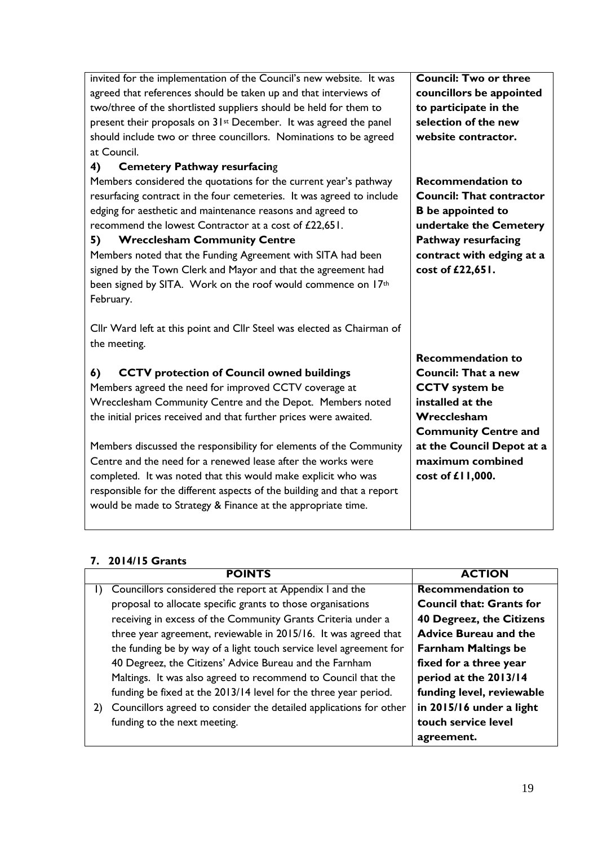| invited for the implementation of the Council's new website. It was           | <b>Council: Two or three</b>    |
|-------------------------------------------------------------------------------|---------------------------------|
| agreed that references should be taken up and that interviews of              | councillors be appointed        |
| two/three of the shortlisted suppliers should be held for them to             | to participate in the           |
| present their proposals on 31 <sup>st</sup> December. It was agreed the panel | selection of the new            |
| should include two or three councillors. Nominations to be agreed             | website contractor.             |
| at Council.                                                                   |                                 |
| 4)<br><b>Cemetery Pathway resurfacing</b>                                     |                                 |
| Members considered the quotations for the current year's pathway              | <b>Recommendation to</b>        |
| resurfacing contract in the four cemeteries. It was agreed to include         | <b>Council: That contractor</b> |
| edging for aesthetic and maintenance reasons and agreed to                    | <b>B</b> be appointed to        |
| recommend the lowest Contractor at a cost of £22,651.                         | undertake the Cemetery          |
| <b>Wrecclesham Community Centre</b><br>5)                                     | <b>Pathway resurfacing</b>      |
| Members noted that the Funding Agreement with SITA had been                   | contract with edging at a       |
| signed by the Town Clerk and Mayor and that the agreement had                 | cost of £22,651.                |
| been signed by SITA. Work on the roof would commence on 17th                  |                                 |
| February.                                                                     |                                 |
|                                                                               |                                 |
| Cllr Ward left at this point and Cllr Steel was elected as Chairman of        |                                 |
| the meeting.                                                                  |                                 |
|                                                                               | <b>Recommendation to</b>        |
| 6)<br><b>CCTV</b> protection of Council owned buildings                       | <b>Council: That a new</b>      |
| Members agreed the need for improved CCTV coverage at                         | <b>CCTV</b> system be           |
| Wrecclesham Community Centre and the Depot. Members noted                     | installed at the                |
| the initial prices received and that further prices were awaited.             | Wrecclesham                     |
|                                                                               | <b>Community Centre and</b>     |
| Members discussed the responsibility for elements of the Community            | at the Council Depot at a       |
| Centre and the need for a renewed lease after the works were                  | maximum combined                |
| completed. It was noted that this would make explicit who was                 | cost of £11,000.                |
| responsible for the different aspects of the building and that a report       |                                 |
| would be made to Strategy & Finance at the appropriate time.                  |                                 |
|                                                                               |                                 |
|                                                                               |                                 |

#### **7. 2014/15 Grants**

|    | <b>POINTS</b>                                                      | <b>ACTION</b>                   |
|----|--------------------------------------------------------------------|---------------------------------|
|    | Councillors considered the report at Appendix I and the            | <b>Recommendation to</b>        |
|    | proposal to allocate specific grants to those organisations        | <b>Council that: Grants for</b> |
|    | receiving in excess of the Community Grants Criteria under a       | 40 Degreez, the Citizens        |
|    | three year agreement, reviewable in 2015/16. It was agreed that    | <b>Advice Bureau and the</b>    |
|    | the funding be by way of a light touch service level agreement for | <b>Farnham Maltings be</b>      |
|    | 40 Degreez, the Citizens' Advice Bureau and the Farnham            | fixed for a three year          |
|    | Maltings. It was also agreed to recommend to Council that the      | period at the 2013/14           |
|    | funding be fixed at the 2013/14 level for the three year period.   | funding level, reviewable       |
| 2) | Councillors agreed to consider the detailed applications for other | in 2015/16 under a light        |
|    | funding to the next meeting.                                       | touch service level             |
|    |                                                                    | agreement.                      |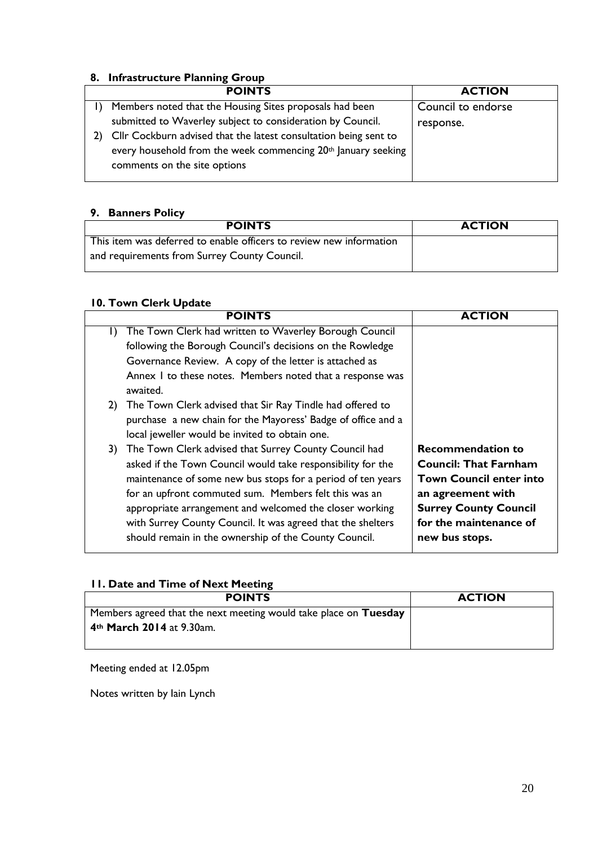#### **8. Infrastructure Planning Group**

| <b>POINTS</b>                                                             | <b>ACTION</b>      |
|---------------------------------------------------------------------------|--------------------|
| Members noted that the Housing Sites proposals had been                   | Council to endorse |
| submitted to Waverley subject to consideration by Council.                | response.          |
| Cllr Cockburn advised that the latest consultation being sent to          |                    |
| every household from the week commencing 20 <sup>th</sup> January seeking |                    |
| comments on the site options                                              |                    |
|                                                                           |                    |

#### **9. Banners Policy**

| <b>POINTS</b>                                                       | <b>ACTION</b> |
|---------------------------------------------------------------------|---------------|
| This item was deferred to enable officers to review new information |               |
| and requirements from Surrey County Council.                        |               |

#### **10. Town Clerk Update**

| <b>POINTS</b>                                                                                                                                                                                                                                                                                                                                                                                                                         | <b>ACTION</b>                                                                                                                                                                               |
|---------------------------------------------------------------------------------------------------------------------------------------------------------------------------------------------------------------------------------------------------------------------------------------------------------------------------------------------------------------------------------------------------------------------------------------|---------------------------------------------------------------------------------------------------------------------------------------------------------------------------------------------|
| The Town Clerk had written to Waverley Borough Council<br>I)<br>following the Borough Council's decisions on the Rowledge<br>Governance Review. A copy of the letter is attached as<br>Annex I to these notes. Members noted that a response was<br>awaited.                                                                                                                                                                          |                                                                                                                                                                                             |
| The Town Clerk advised that Sir Ray Tindle had offered to<br>2)<br>purchase a new chain for the Mayoress' Badge of office and a<br>local jeweller would be invited to obtain one.                                                                                                                                                                                                                                                     |                                                                                                                                                                                             |
| The Town Clerk advised that Surrey County Council had<br>3)<br>asked if the Town Council would take responsibility for the<br>maintenance of some new bus stops for a period of ten years<br>for an upfront commuted sum. Members felt this was an<br>appropriate arrangement and welcomed the closer working<br>with Surrey County Council. It was agreed that the shelters<br>should remain in the ownership of the County Council. | <b>Recommendation to</b><br><b>Council: That Farnham</b><br><b>Town Council enter into</b><br>an agreement with<br><b>Surrey County Council</b><br>for the maintenance of<br>new bus stops. |

#### **11. Date and Time of Next Meeting**

| <b>POINTS</b>                                                    | <b>ACTION</b> |
|------------------------------------------------------------------|---------------|
| Members agreed that the next meeting would take place on Tuesday |               |
| 4 <sup>th</sup> March 2014 at 9.30am.                            |               |
|                                                                  |               |

Meeting ended at 12.05pm

Notes written by Iain Lynch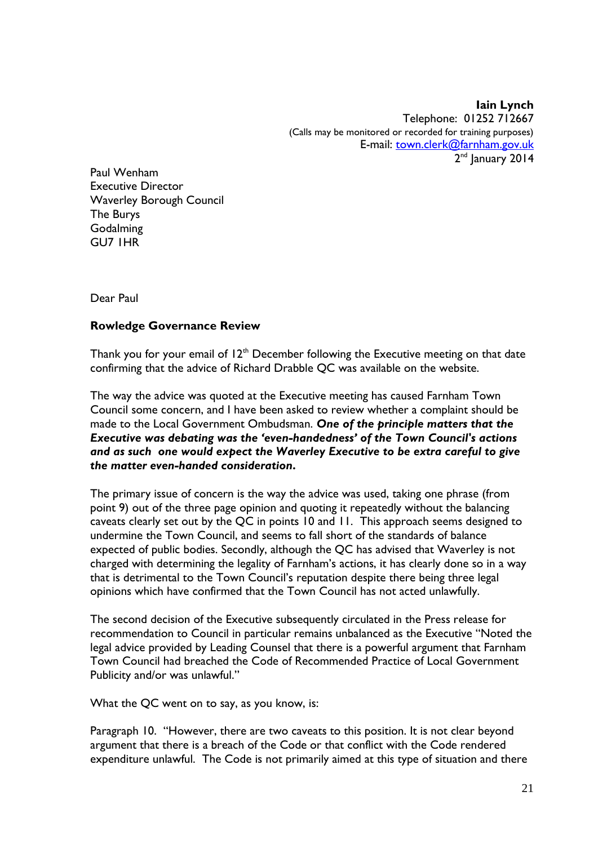**Iain Lynch** Telephone: 01252 712667 (Calls may be monitored or recorded for training purposes) E-mail: [town.clerk@farnham.gov.uk](mailto:town.clerk@farnham.gov.uk) 2<sup>nd</sup> January 2014

Paul Wenham Executive Director Waverley Borough Council The Burys **Godalming** GU7 1HR

Dear Paul

#### **Rowledge Governance Review**

Thank you for your email of  $12<sup>th</sup>$  December following the Executive meeting on that date confirming that the advice of Richard Drabble QC was available on the website.

The way the advice was quoted at the Executive meeting has caused Farnham Town Council some concern, and I have been asked to review whether a complaint should be made to the Local Government Ombudsman. *One of the principle matters that the Executive was debating was the 'even-handedness' of the Town Council's actions and as such one would expect the Waverley Executive to be extra careful to give the matter even-handed consideration***.**

The primary issue of concern is the way the advice was used, taking one phrase (from point 9) out of the three page opinion and quoting it repeatedly without the balancing caveats clearly set out by the QC in points 10 and 11. This approach seems designed to undermine the Town Council, and seems to fall short of the standards of balance expected of public bodies. Secondly, although the QC has advised that Waverley is not charged with determining the legality of Farnham's actions, it has clearly done so in a way that is detrimental to the Town Council's reputation despite there being three legal opinions which have confirmed that the Town Council has not acted unlawfully.

The second decision of the Executive subsequently circulated in the Press release for recommendation to Council in particular remains unbalanced as the Executive "Noted the legal advice provided by Leading Counsel that there is a powerful argument that Farnham Town Council had breached the Code of Recommended Practice of Local Government Publicity and/or was unlawful."

What the QC went on to say, as you know, is:

Paragraph 10. "However, there are two caveats to this position. It is not clear beyond argument that there is a breach of the Code or that conflict with the Code rendered expenditure unlawful. The Code is not primarily aimed at this type of situation and there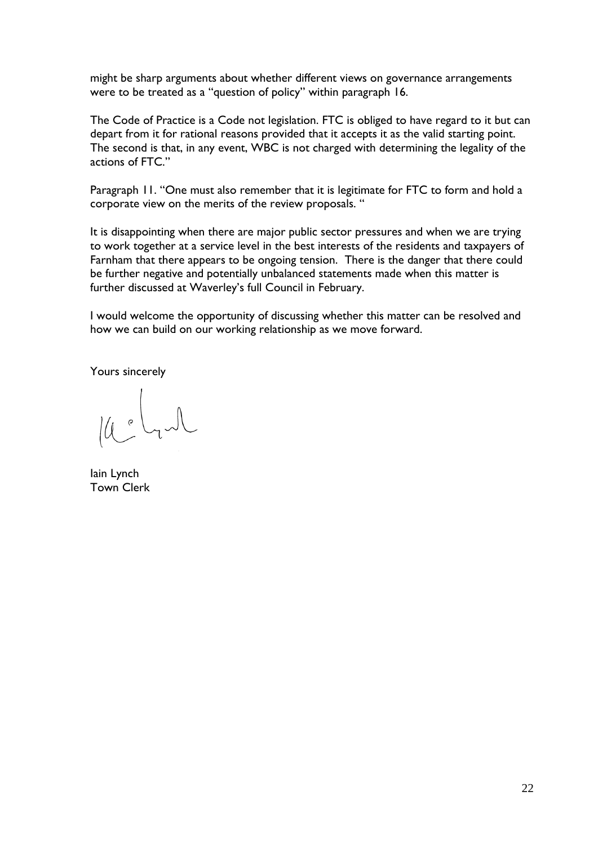might be sharp arguments about whether different views on governance arrangements were to be treated as a "question of policy" within paragraph 16.

The Code of Practice is a Code not legislation. FTC is obliged to have regard to it but can depart from it for rational reasons provided that it accepts it as the valid starting point. The second is that, in any event, WBC is not charged with determining the legality of the actions of FTC."

Paragraph 11. "One must also remember that it is legitimate for FTC to form and hold a corporate view on the merits of the review proposals. "

It is disappointing when there are major public sector pressures and when we are trying to work together at a service level in the best interests of the residents and taxpayers of Farnham that there appears to be ongoing tension. There is the danger that there could be further negative and potentially unbalanced statements made when this matter is further discussed at Waverley's full Council in February.

I would welcome the opportunity of discussing whether this matter can be resolved and how we can build on our working relationship as we move forward.

Yours sincerely

Iain Lynch Town Clerk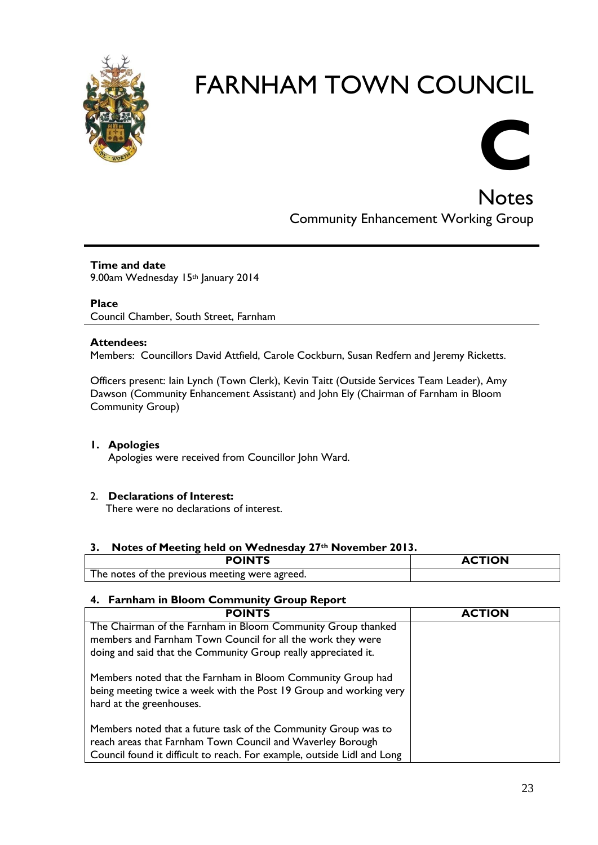



Notes Community Enhancement Working Group

**Time and date** 9.00am Wednesday 15th January 2014

**Place** Council Chamber, South Street, Farnham

#### **Attendees:**

Members: Councillors David Attfield, Carole Cockburn, Susan Redfern and Jeremy Ricketts.

Officers present: Iain Lynch (Town Clerk), Kevin Taitt (Outside Services Team Leader), Amy Dawson (Community Enhancement Assistant) and John Ely (Chairman of Farnham in Bloom Community Group)

#### **1. Apologies**

Apologies were received from Councillor John Ward.

#### 2. **Declarations of Interest:**

There were no declarations of interest.

#### **3. Notes of Meeting held on Wednesday 27th November 2013.**

| <b>POINTS</b>                                  | <b>ACTION</b> |
|------------------------------------------------|---------------|
| The notes of the previous meeting were agreed. |               |

#### **4. Farnham in Bloom Community Group Report**

| <b>POINTS</b>                                                                                                                                                 | <b>ACTION</b> |
|---------------------------------------------------------------------------------------------------------------------------------------------------------------|---------------|
| The Chairman of the Farnham in Bloom Community Group thanked                                                                                                  |               |
| members and Farnham Town Council for all the work they were                                                                                                   |               |
| doing and said that the Community Group really appreciated it.                                                                                                |               |
| Members noted that the Farnham in Bloom Community Group had<br>being meeting twice a week with the Post 19 Group and working very<br>hard at the greenhouses. |               |
| Members noted that a future task of the Community Group was to                                                                                                |               |
| reach areas that Farnham Town Council and Waverley Borough                                                                                                    |               |
| Council found it difficult to reach. For example, outside Lidl and Long                                                                                       |               |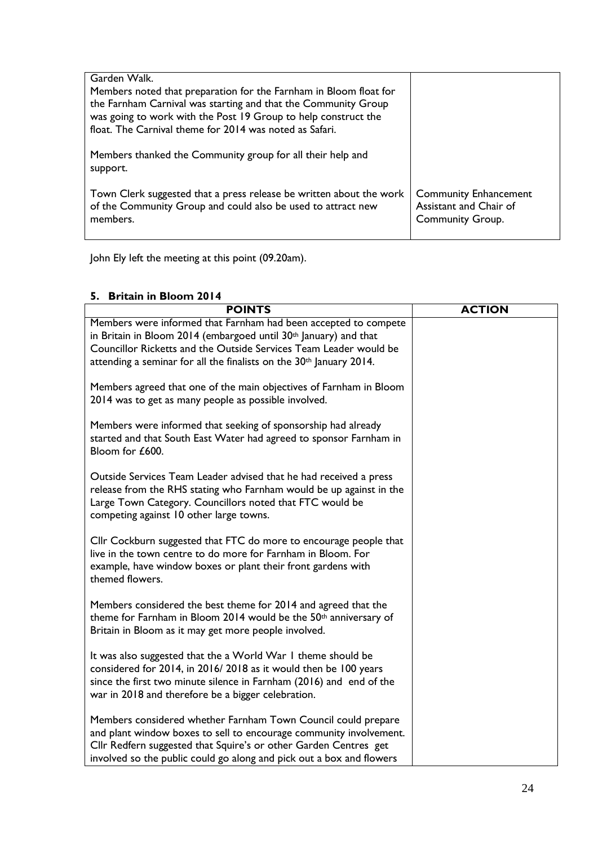| Garden Walk.<br>Members noted that preparation for the Farnham in Bloom float for<br>the Farnham Carnival was starting and that the Community Group<br>was going to work with the Post 19 Group to help construct the<br>float. The Carnival theme for 2014 was noted as Safari. |                                                                                   |
|----------------------------------------------------------------------------------------------------------------------------------------------------------------------------------------------------------------------------------------------------------------------------------|-----------------------------------------------------------------------------------|
| Members thanked the Community group for all their help and<br>support.                                                                                                                                                                                                           |                                                                                   |
| Town Clerk suggested that a press release be written about the work<br>of the Community Group and could also be used to attract new<br>members.                                                                                                                                  | <b>Community Enhancement</b><br>Assistant and Chair of<br><b>Community Group.</b> |

John Ely left the meeting at this point (09.20am).

#### **5. Britain in Bloom 2014**

| <b>POINTS</b>                                                                                                                                                                                                                                                                   | <b>ACTION</b> |
|---------------------------------------------------------------------------------------------------------------------------------------------------------------------------------------------------------------------------------------------------------------------------------|---------------|
| Members were informed that Farnham had been accepted to compete<br>in Britain in Bloom 2014 (embargoed until 30th January) and that                                                                                                                                             |               |
| Councillor Ricketts and the Outside Services Team Leader would be                                                                                                                                                                                                               |               |
| attending a seminar for all the finalists on the 30 <sup>th</sup> January 2014.                                                                                                                                                                                                 |               |
| Members agreed that one of the main objectives of Farnham in Bloom<br>2014 was to get as many people as possible involved.                                                                                                                                                      |               |
| Members were informed that seeking of sponsorship had already<br>started and that South East Water had agreed to sponsor Farnham in<br>Bloom for £600.                                                                                                                          |               |
| Outside Services Team Leader advised that he had received a press<br>release from the RHS stating who Farnham would be up against in the<br>Large Town Category. Councillors noted that FTC would be<br>competing against 10 other large towns.                                 |               |
| Cllr Cockburn suggested that FTC do more to encourage people that<br>live in the town centre to do more for Farnham in Bloom. For<br>example, have window boxes or plant their front gardens with<br>themed flowers.                                                            |               |
| Members considered the best theme for 2014 and agreed that the<br>theme for Farnham in Bloom 2014 would be the 50 <sup>th</sup> anniversary of<br>Britain in Bloom as it may get more people involved.                                                                          |               |
| It was also suggested that the a World War I theme should be<br>considered for 2014, in 2016/2018 as it would then be 100 years<br>since the first two minute silence in Farnham (2016) and end of the<br>war in 2018 and therefore be a bigger celebration.                    |               |
| Members considered whether Farnham Town Council could prepare<br>and plant window boxes to sell to encourage community involvement.<br>Cllr Redfern suggested that Squire's or other Garden Centres get<br>involved so the public could go along and pick out a box and flowers |               |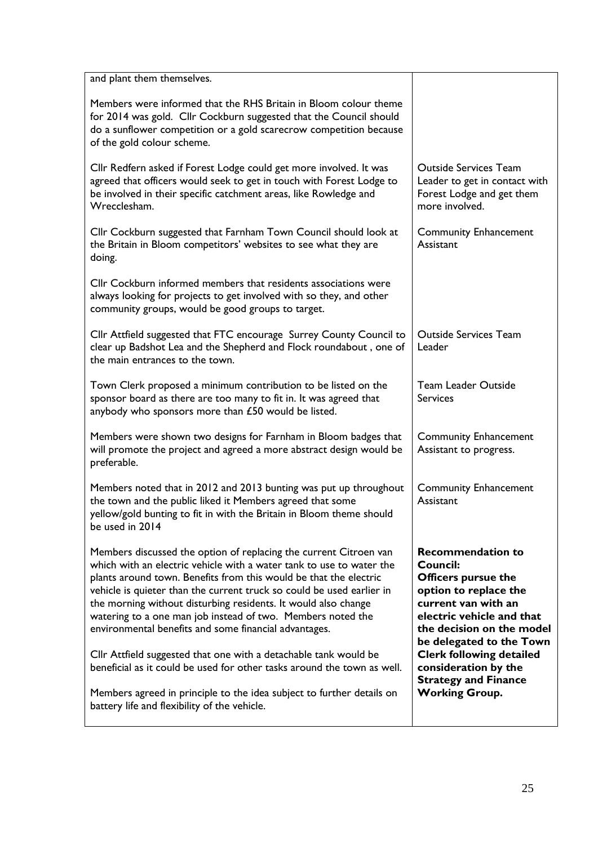| <b>Outside Services Team</b><br>Leader to get in contact with<br>Forest Lodge and get them<br>more involved.                                                                                             |
|----------------------------------------------------------------------------------------------------------------------------------------------------------------------------------------------------------|
| <b>Community Enhancement</b><br>Assistant                                                                                                                                                                |
|                                                                                                                                                                                                          |
| <b>Outside Services Team</b><br>Leader                                                                                                                                                                   |
| <b>Team Leader Outside</b><br><b>Services</b>                                                                                                                                                            |
| <b>Community Enhancement</b><br>Assistant to progress.                                                                                                                                                   |
| <b>Community Enhancement</b><br>Assistant                                                                                                                                                                |
| <b>Recommendation to</b><br>Council:<br><b>Officers pursue the</b><br>option to replace the<br>current van with an<br>electric vehicle and that<br>the decision on the model<br>be delegated to the Town |
| <b>Clerk following detailed</b><br>consideration by the<br><b>Strategy and Finance</b><br><b>Working Group.</b>                                                                                          |
|                                                                                                                                                                                                          |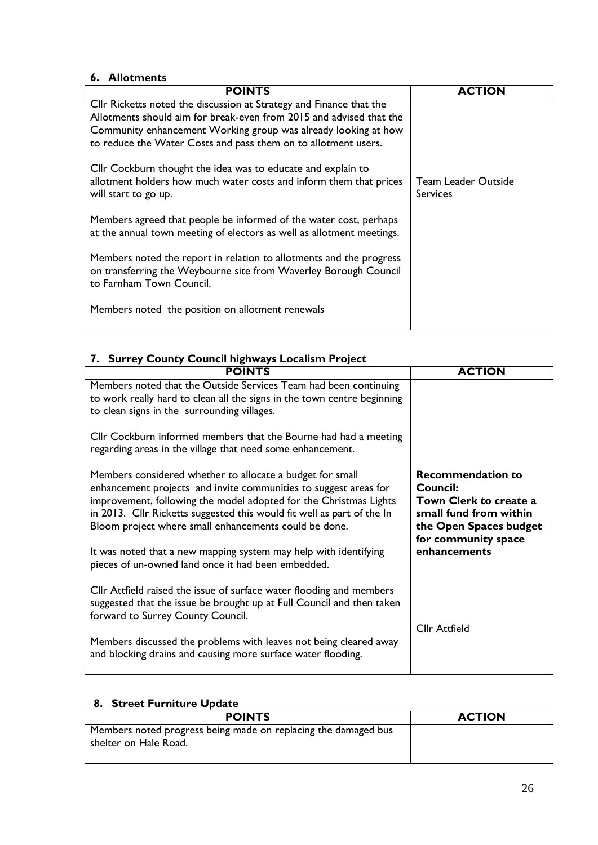#### **6. Allotments**

| <b>POINTS</b>                                                                                                                                                                                                                                                                  | <b>ACTION</b>                          |
|--------------------------------------------------------------------------------------------------------------------------------------------------------------------------------------------------------------------------------------------------------------------------------|----------------------------------------|
| Cllr Ricketts noted the discussion at Strategy and Finance that the<br>Allotments should aim for break-even from 2015 and advised that the<br>Community enhancement Working group was already looking at how<br>to reduce the Water Costs and pass them on to allotment users. |                                        |
| Cllr Cockburn thought the idea was to educate and explain to<br>allotment holders how much water costs and inform them that prices<br>will start to go up.                                                                                                                     | Team Leader Outside<br><b>Services</b> |
| Members agreed that people be informed of the water cost, perhaps<br>at the annual town meeting of electors as well as allotment meetings.                                                                                                                                     |                                        |
| Members noted the report in relation to allotments and the progress<br>on transferring the Weybourne site from Waverley Borough Council<br>to Farnham Town Council.                                                                                                            |                                        |
| Members noted the position on allotment renewals                                                                                                                                                                                                                               |                                        |

### **7. Surrey County Council highways Localism Project**

| <b>POINTS</b>                                                                                                                                                                                                                                                                                                                         | <b>ACTION</b>                                                                                                                             |
|---------------------------------------------------------------------------------------------------------------------------------------------------------------------------------------------------------------------------------------------------------------------------------------------------------------------------------------|-------------------------------------------------------------------------------------------------------------------------------------------|
| Members noted that the Outside Services Team had been continuing<br>to work really hard to clean all the signs in the town centre beginning<br>to clean signs in the surrounding villages.                                                                                                                                            |                                                                                                                                           |
| Cllr Cockburn informed members that the Bourne had had a meeting<br>regarding areas in the village that need some enhancement.                                                                                                                                                                                                        |                                                                                                                                           |
| Members considered whether to allocate a budget for small<br>enhancement projects and invite communities to suggest areas for<br>improvement, following the model adopted for the Christmas Lights<br>in 2013. Cllr Ricketts suggested this would fit well as part of the In<br>Bloom project where small enhancements could be done. | <b>Recommendation to</b><br>Council:<br>Town Clerk to create a<br>small fund from within<br>the Open Spaces budget<br>for community space |
| It was noted that a new mapping system may help with identifying<br>pieces of un-owned land once it had been embedded.                                                                                                                                                                                                                | enhancements                                                                                                                              |
| Cllr Attfield raised the issue of surface water flooding and members<br>suggested that the issue be brought up at Full Council and then taken<br>forward to Surrey County Council.                                                                                                                                                    | <b>Cllr Attfield</b>                                                                                                                      |
| Members discussed the problems with leaves not being cleared away<br>and blocking drains and causing more surface water flooding.                                                                                                                                                                                                     |                                                                                                                                           |

| <b>Street Furniture Update</b><br>8.                                                    |               |
|-----------------------------------------------------------------------------------------|---------------|
| <b>POINTS</b>                                                                           | <b>ACTION</b> |
| Members noted progress being made on replacing the damaged bus<br>shelter on Hale Road. |               |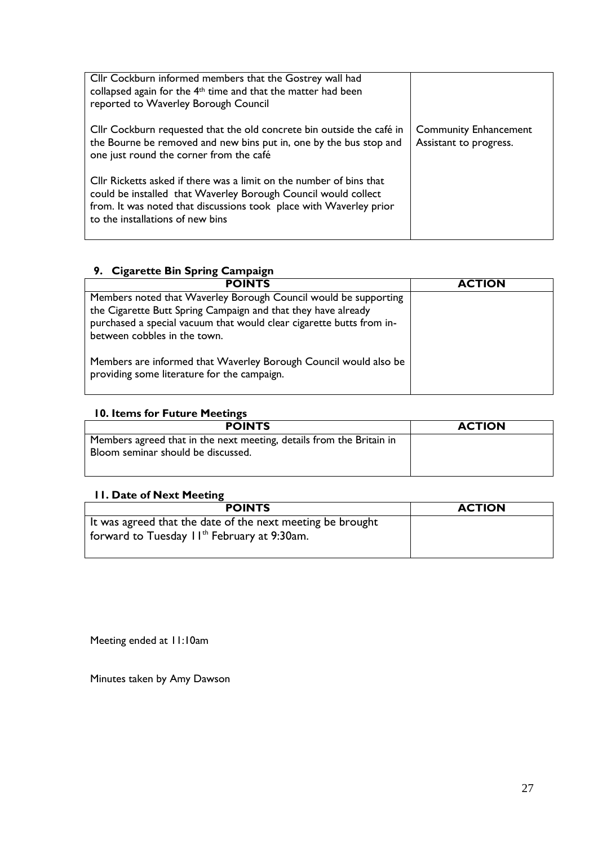| Cllr Cockburn informed members that the Gostrey wall had<br>collapsed again for the 4 <sup>th</sup> time and that the matter had been<br>reported to Waverley Borough Council                                                                   |                                                        |
|-------------------------------------------------------------------------------------------------------------------------------------------------------------------------------------------------------------------------------------------------|--------------------------------------------------------|
| Cllr Cockburn requested that the old concrete bin outside the café in<br>the Bourne be removed and new bins put in, one by the bus stop and<br>one just round the corner from the café                                                          | <b>Community Enhancement</b><br>Assistant to progress. |
| Cllr Ricketts asked if there was a limit on the number of bins that<br>could be installed that Waverley Borough Council would collect<br>from. It was noted that discussions took place with Waverley prior<br>to the installations of new bins |                                                        |

#### **9. Cigarette Bin Spring Campaign**

| <b>POINTS</b>                                                                                                   | <b>ACTION</b> |
|-----------------------------------------------------------------------------------------------------------------|---------------|
| Members noted that Waverley Borough Council would be supporting                                                 |               |
| the Cigarette Butt Spring Campaign and that they have already                                                   |               |
| purchased a special vacuum that would clear cigarette butts from in-                                            |               |
| between cobbles in the town.                                                                                    |               |
| Members are informed that Waverley Borough Council would also be<br>providing some literature for the campaign. |               |

#### **10. Items for Future Meetings**

| <b>POINTS</b>                                                                                              | <b>ACTION</b> |
|------------------------------------------------------------------------------------------------------------|---------------|
| Members agreed that in the next meeting, details from the Britain in<br>Bloom seminar should be discussed. |               |

#### **11. Date of Next Meeting**

| <b>POINTS</b>                                                                                                                       | <b>ACTION</b> |
|-------------------------------------------------------------------------------------------------------------------------------------|---------------|
| It was agreed that the date of the next meeting be brought<br>$\frac{1}{2}$ forward to Tuesday 11 <sup>th</sup> February at 9:30am. |               |
|                                                                                                                                     |               |

Meeting ended at 11:10am

Minutes taken by Amy Dawson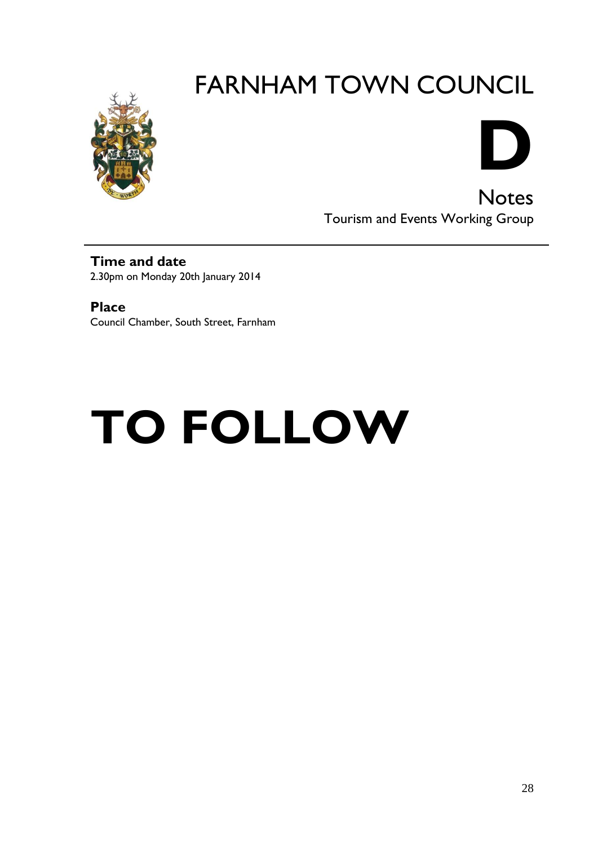



**Notes** Tourism and Events Working Group

**Time and date** 2.30pm on Monday 20th January 2014

**Place** Council Chamber, South Street, Farnham

# **TO FOLLOW**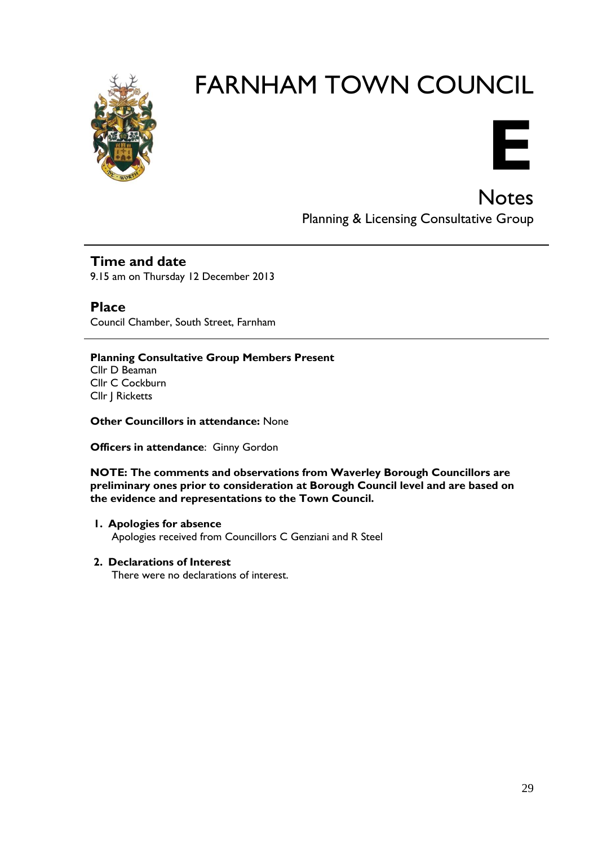



**Notes** Planning & Licensing Consultative Group

#### **Time and date**

9.15 am on Thursday 12 December 2013

**Place** Council Chamber, South Street, Farnham

**Planning Consultative Group Members Present** Cllr D Beaman Cllr C Cockburn Cllr J Ricketts

**Other Councillors in attendance:** None

**Officers in attendance**: Ginny Gordon

**NOTE: The comments and observations from Waverley Borough Councillors are preliminary ones prior to consideration at Borough Council level and are based on the evidence and representations to the Town Council.**

#### **1. Apologies for absence**

Apologies received from Councillors C Genziani and R Steel

#### **2. Declarations of Interest**

There were no declarations of interest.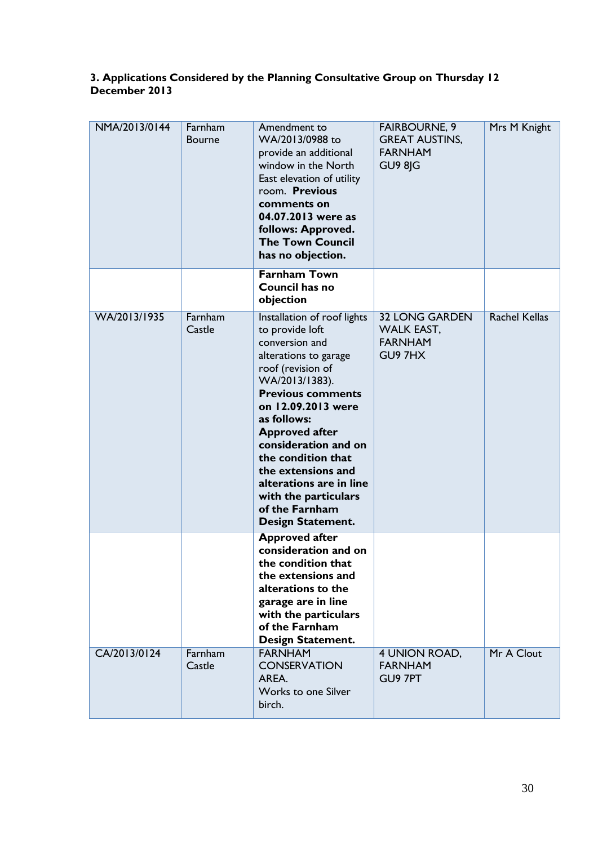#### **3. Applications Considered by the Planning Consultative Group on Thursday 12 December 2013**

| NMA/2013/0144 | Farnham<br><b>Bourne</b> | Amendment to<br>WA/2013/0988 to<br>provide an additional<br>window in the North<br>East elevation of utility<br>room. Previous<br>comments on<br>04.07.2013 were as<br>follows: Approved.<br><b>The Town Council</b><br>has no objection.                                                                                                                                                       | <b>FAIRBOURNE, 9</b><br><b>GREAT AUSTINS,</b><br><b>FARNHAM</b><br>GU9 8JG | Mrs M Knight         |
|---------------|--------------------------|-------------------------------------------------------------------------------------------------------------------------------------------------------------------------------------------------------------------------------------------------------------------------------------------------------------------------------------------------------------------------------------------------|----------------------------------------------------------------------------|----------------------|
|               |                          | <b>Farnham Town</b><br><b>Council has no</b><br>objection                                                                                                                                                                                                                                                                                                                                       |                                                                            |                      |
| WA/2013/1935  | Farnham<br>Castle        | Installation of roof lights<br>to provide loft<br>conversion and<br>alterations to garage<br>roof (revision of<br>WA/2013/1383).<br><b>Previous comments</b><br>on 12.09.2013 were<br>as follows:<br><b>Approved after</b><br>consideration and on<br>the condition that<br>the extensions and<br>alterations are in line<br>with the particulars<br>of the Farnham<br><b>Design Statement.</b> | <b>32 LONG GARDEN</b><br><b>WALK EAST,</b><br><b>FARNHAM</b><br>GU97HX     | <b>Rachel Kellas</b> |
|               |                          | <b>Approved after</b><br>consideration and on<br>the condition that<br>the extensions and<br>alterations to the<br>garage are in line<br>with the particulars<br>of the Farnham<br><b>Design Statement.</b>                                                                                                                                                                                     |                                                                            |                      |
| CA/2013/0124  | Farnham<br>Castle        | <b>FARNHAM</b><br><b>CONSERVATION</b><br>AREA.<br><b>Works to one Silver</b><br>birch.                                                                                                                                                                                                                                                                                                          | 4 UNION ROAD,<br><b>FARNHAM</b><br>GU9 7PT                                 | Mr A Clout           |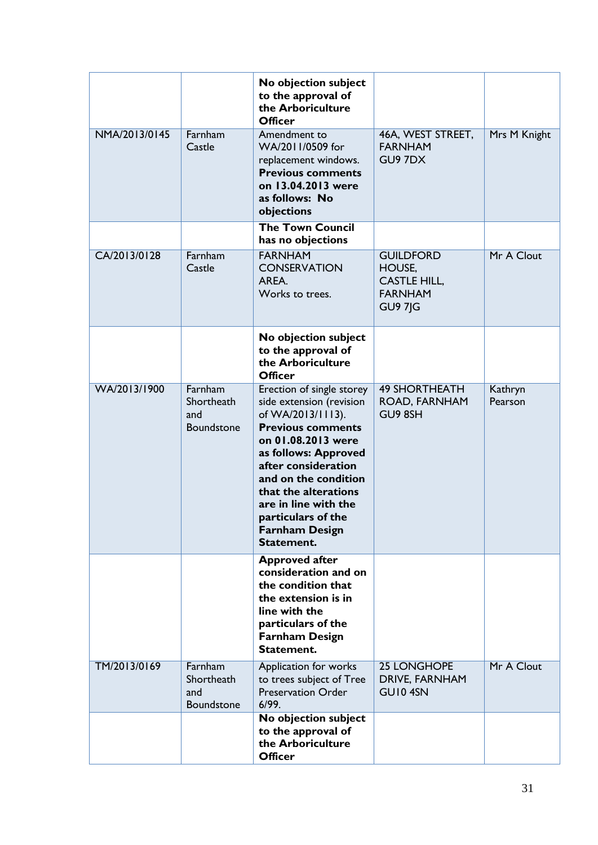|               |                                            | No objection subject<br>to the approval of<br>the Arboriculture<br><b>Officer</b>                                                                                                                                                                                                                                |                                                                                       |                    |
|---------------|--------------------------------------------|------------------------------------------------------------------------------------------------------------------------------------------------------------------------------------------------------------------------------------------------------------------------------------------------------------------|---------------------------------------------------------------------------------------|--------------------|
| NMA/2013/0145 | Farnham<br>Castle                          | Amendment to<br>WA/2011/0509 for<br>replacement windows.<br><b>Previous comments</b><br>on 13.04.2013 were<br>as follows: No<br>objections                                                                                                                                                                       | 46A, WEST STREET,<br><b>FARNHAM</b><br>GU9 7DX                                        | Mrs M Knight       |
|               |                                            | <b>The Town Council</b><br>has no objections                                                                                                                                                                                                                                                                     |                                                                                       |                    |
| CA/2013/0128  | Farnham<br>Castle                          | <b>FARNHAM</b><br><b>CONSERVATION</b><br>AREA.<br>Works to trees.                                                                                                                                                                                                                                                | <b>GUILDFORD</b><br>HOUSE,<br><b>CASTLE HILL,</b><br><b>FARNHAM</b><br><b>GU9 7JG</b> | Mr A Clout         |
|               |                                            | No objection subject<br>to the approval of<br>the Arboriculture<br><b>Officer</b>                                                                                                                                                                                                                                |                                                                                       |                    |
| WA/2013/1900  | Farnham<br>Shortheath<br>and<br>Boundstone | Erection of single storey<br>side extension (revision<br>of WA/2013/1113).<br><b>Previous comments</b><br>on 01.08.2013 were<br>as follows: Approved<br>after consideration<br>and on the condition<br>that the alterations<br>are in line with the<br>particulars of the<br><b>Farnham Design</b><br>Statement. | <b>49 SHORTHEATH</b><br>ROAD, FARNHAM<br>GU9 8SH                                      | Kathryn<br>Pearson |
|               |                                            | <b>Approved after</b><br>consideration and on<br>the condition that<br>the extension is in<br>line with the<br>particulars of the<br><b>Farnham Design</b><br>Statement.                                                                                                                                         |                                                                                       |                    |
| TM/2013/0169  | Farnham<br>Shortheath<br>and<br>Boundstone | Application for works<br>to trees subject of Tree<br><b>Preservation Order</b><br>6/99.                                                                                                                                                                                                                          | <b>25 LONGHOPE</b><br>DRIVE, FARNHAM<br>GUI04SN                                       | Mr A Clout         |
|               |                                            | No objection subject<br>to the approval of<br>the Arboriculture<br><b>Officer</b>                                                                                                                                                                                                                                |                                                                                       |                    |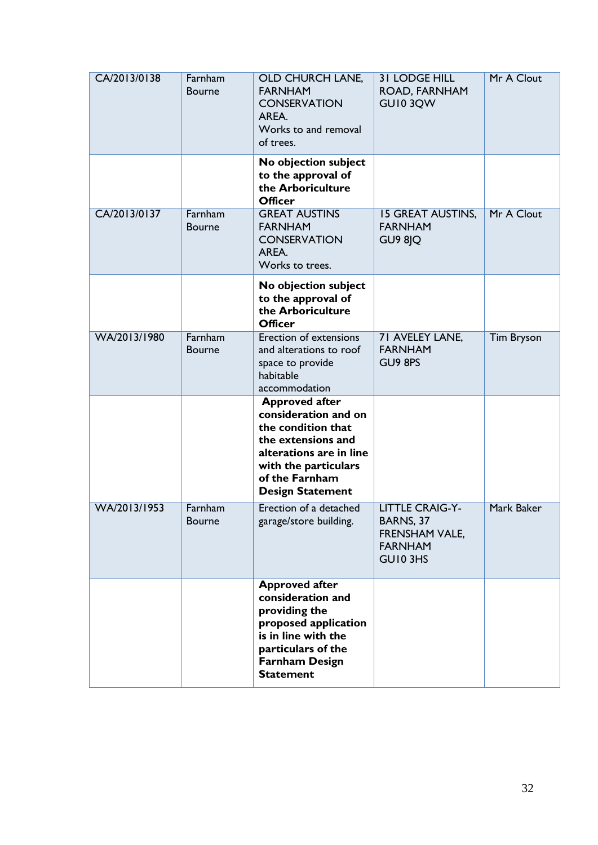| CA/2013/0138 | Farnham<br><b>Bourne</b> | OLD CHURCH LANE,<br><b>FARNHAM</b><br><b>CONSERVATION</b><br>AREA.<br>Works to and removal<br>of trees.                                                                                   | <b>31 LODGE HILL</b><br>ROAD, FARNHAM<br>GUI03QW                                    | Mr A Clout        |
|--------------|--------------------------|-------------------------------------------------------------------------------------------------------------------------------------------------------------------------------------------|-------------------------------------------------------------------------------------|-------------------|
|              |                          | No objection subject<br>to the approval of<br>the Arboriculture<br><b>Officer</b>                                                                                                         |                                                                                     |                   |
| CA/2013/0137 | Farnham<br><b>Bourne</b> | <b>GREAT AUSTINS</b><br><b>FARNHAM</b><br><b>CONSERVATION</b><br>AREA.<br>Works to trees.                                                                                                 | <b>15 GREAT AUSTINS,</b><br><b>FARNHAM</b><br>GU9 8JQ                               | Mr A Clout        |
|              |                          | No objection subject<br>to the approval of<br>the Arboriculture<br><b>Officer</b>                                                                                                         |                                                                                     |                   |
| WA/2013/1980 | Farnham<br><b>Bourne</b> | <b>Erection of extensions</b><br>and alterations to roof<br>space to provide<br>habitable<br>accommodation                                                                                | 71 AVELEY LANE,<br><b>FARNHAM</b><br>GU9 8PS                                        | <b>Tim Bryson</b> |
|              |                          | <b>Approved after</b><br>consideration and on<br>the condition that<br>the extensions and<br>alterations are in line<br>with the particulars<br>of the Farnham<br><b>Design Statement</b> |                                                                                     |                   |
| WA/2013/1953 | Farnham<br><b>Bourne</b> | Erection of a detached<br>garage/store building.                                                                                                                                          | <b>LITTLE CRAIG-Y-</b><br>BARNS, 37<br>FRENSHAM VALE,<br><b>FARNHAM</b><br>GUI0 3HS | Mark Baker        |
|              |                          | <b>Approved after</b><br>consideration and<br>providing the<br>proposed application<br>is in line with the<br>particulars of the<br><b>Farnham Design</b><br><b>Statement</b>             |                                                                                     |                   |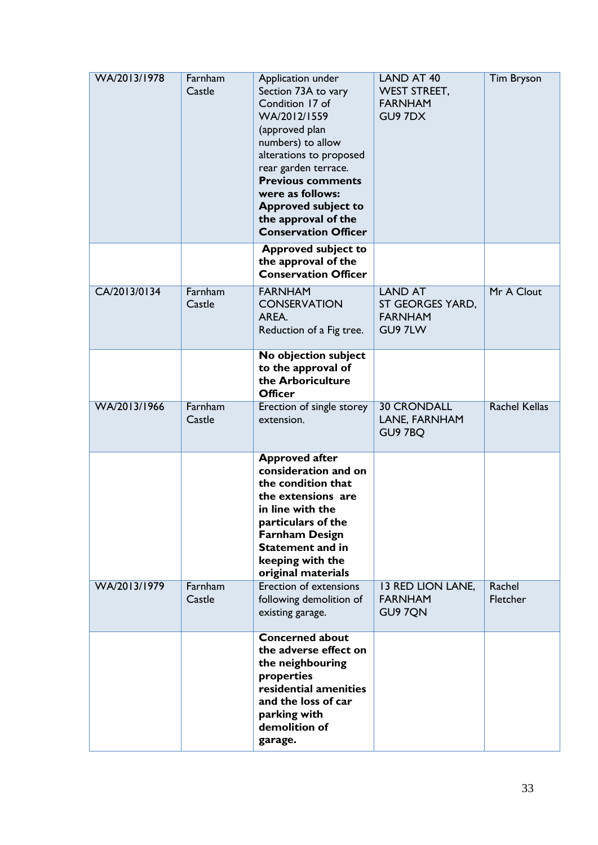| WA/2013/1978 | Farnham<br>Castle | Application under<br>Section 73A to vary<br>Condition 17 of<br>WA/2012/1559<br>(approved plan<br>numbers) to allow<br>alterations to proposed<br>rear garden terrace.<br><b>Previous comments</b><br>were as follows:<br><b>Approved subject to</b><br>the approval of the<br><b>Conservation Officer</b> | <b>LAND AT 40</b><br><b>WEST STREET,</b><br><b>FARNHAM</b><br>GU9 7DX | <b>Tim Bryson</b>         |
|--------------|-------------------|-----------------------------------------------------------------------------------------------------------------------------------------------------------------------------------------------------------------------------------------------------------------------------------------------------------|-----------------------------------------------------------------------|---------------------------|
|              |                   | <b>Approved subject to</b><br>the approval of the<br><b>Conservation Officer</b>                                                                                                                                                                                                                          |                                                                       |                           |
| CA/2013/0134 | Farnham<br>Castle | <b>FARNHAM</b><br><b>CONSERVATION</b><br>AREA.<br>Reduction of a Fig tree.                                                                                                                                                                                                                                | <b>LAND AT</b><br>ST GEORGES YARD,<br><b>FARNHAM</b><br>GU9 7LW       | Mr A Clout                |
|              |                   | No objection subject<br>to the approval of<br>the Arboriculture<br><b>Officer</b>                                                                                                                                                                                                                         |                                                                       |                           |
| WA/2013/1966 | Farnham<br>Castle | Erection of single storey<br>extension.                                                                                                                                                                                                                                                                   | <b>30 CRONDALL</b><br>LANE, FARNHAM<br>GU9 7BQ                        | <b>Rachel Kellas</b>      |
|              |                   | <b>Approved after</b><br>consideration and on<br>the condition that<br>the extensions are<br>in line with the<br>particulars of the<br><b>Farnham Design</b><br><b>Statement and in</b><br>keeping with the<br>original materials                                                                         |                                                                       |                           |
| WA/2013/1979 | Farnham<br>Castle | <b>Erection of extensions</b><br>following demolition of<br>existing garage.                                                                                                                                                                                                                              | <b>13 RED LION LANE,</b><br><b>FARNHAM</b><br>GU9 7QN                 | Rachel<br><b>Fletcher</b> |
|              |                   | <b>Concerned about</b><br>the adverse effect on<br>the neighbouring<br>properties<br>residential amenities<br>and the loss of car<br>parking with<br>demolition of<br>garage.                                                                                                                             |                                                                       |                           |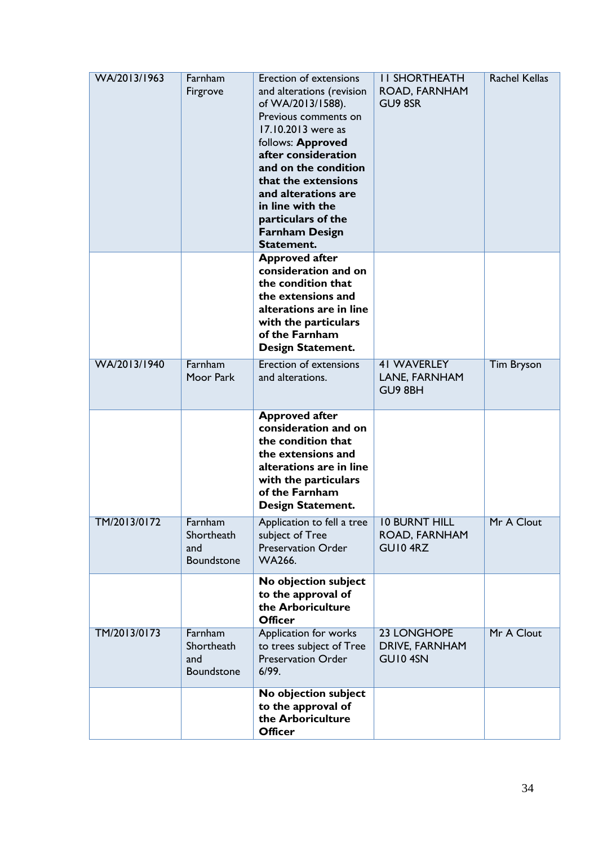| WA/2013/1963 | Farnham<br>Firgrove                        | <b>Erection of extensions</b><br>and alterations (revision<br>of WA/2013/1588).<br>Previous comments on<br>17.10.2013 were as<br>follows: Approved<br>after consideration<br>and on the condition<br>that the extensions<br>and alterations are<br>in line with the<br>particulars of the<br><b>Farnham Design</b><br>Statement. | <b>II SHORTHEATH</b><br>ROAD, FARNHAM<br>GU9 8SR | <b>Rachel Kellas</b> |
|--------------|--------------------------------------------|----------------------------------------------------------------------------------------------------------------------------------------------------------------------------------------------------------------------------------------------------------------------------------------------------------------------------------|--------------------------------------------------|----------------------|
|              |                                            | <b>Approved after</b><br>consideration and on<br>the condition that<br>the extensions and<br>alterations are in line<br>with the particulars<br>of the Farnham<br><b>Design Statement.</b>                                                                                                                                       |                                                  |                      |
| WA/2013/1940 | Farnham<br>Moor Park                       | Erection of extensions<br>and alterations.                                                                                                                                                                                                                                                                                       | <b>41 WAVERLEY</b><br>LANE, FARNHAM<br>GU9 8BH   | <b>Tim Bryson</b>    |
|              |                                            | <b>Approved after</b><br>consideration and on<br>the condition that<br>the extensions and<br>alterations are in line<br>with the particulars<br>of the Farnham<br><b>Design Statement.</b>                                                                                                                                       |                                                  |                      |
| TM/2013/0172 | Farnham<br>Shortheath<br>and<br>Boundstone | Application to fell a tree<br>subject of Tree<br><b>Preservation Order</b><br><b>WA266.</b>                                                                                                                                                                                                                                      | <b>10 BURNT HILL</b><br>ROAD, FARNHAM<br>GUI04RZ | Mr A Clout           |
|              |                                            | No objection subject<br>to the approval of<br>the Arboriculture<br><b>Officer</b>                                                                                                                                                                                                                                                |                                                  |                      |
| TM/2013/0173 | Farnham<br>Shortheath<br>and<br>Boundstone | <b>Application for works</b><br>to trees subject of Tree<br><b>Preservation Order</b><br>6/99.                                                                                                                                                                                                                                   | 23 LONGHOPE<br>DRIVE, FARNHAM<br>GUI04SN         | Mr A Clout           |
|              |                                            | No objection subject<br>to the approval of<br>the Arboriculture<br><b>Officer</b>                                                                                                                                                                                                                                                |                                                  |                      |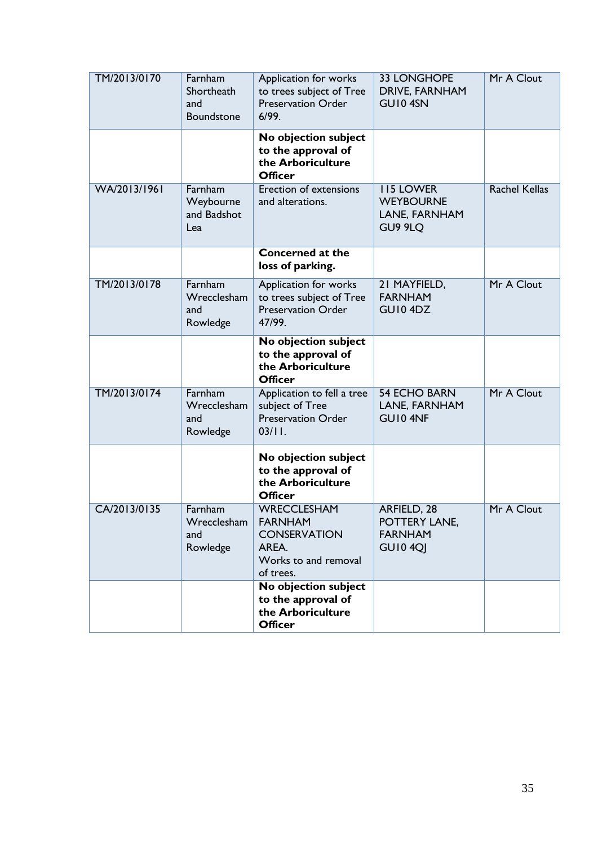| TM/2013/0170 | Farnham<br>Shortheath<br>and<br>Boundstone | Application for works<br>to trees subject of Tree<br><b>Preservation Order</b><br>6/99.                   | <b>33 LONGHOPE</b><br>DRIVE, FARNHAM<br>GUI04SN                   | Mr A Clout           |
|--------------|--------------------------------------------|-----------------------------------------------------------------------------------------------------------|-------------------------------------------------------------------|----------------------|
|              |                                            | No objection subject<br>to the approval of<br>the Arboriculture<br><b>Officer</b>                         |                                                                   |                      |
| WA/2013/1961 | Farnham<br>Weybourne<br>and Badshot<br>Lea | Erection of extensions<br>and alterations.                                                                | <b>II5 LOWER</b><br><b>WEYBOURNE</b><br>LANE, FARNHAM<br>GU9 9LQ  | <b>Rachel Kellas</b> |
|              |                                            | <b>Concerned at the</b><br>loss of parking.                                                               |                                                                   |                      |
| TM/2013/0178 | Farnham<br>Wrecclesham<br>and<br>Rowledge  | Application for works<br>to trees subject of Tree<br><b>Preservation Order</b><br>47/99.                  | 21 MAYFIELD,<br><b>FARNHAM</b><br>GUI04DZ                         | Mr A Clout           |
|              |                                            | No objection subject<br>to the approval of<br>the Arboriculture<br><b>Officer</b>                         |                                                                   |                      |
| TM/2013/0174 | Farnham<br>Wrecclesham<br>and<br>Rowledge  | Application to fell a tree<br>subject of Tree<br><b>Preservation Order</b><br>03/11.                      | <b>54 ECHO BARN</b><br>LANE, FARNHAM<br>GUI04NF                   | Mr A Clout           |
|              |                                            | No objection subject<br>to the approval of<br>the Arboriculture<br><b>Officer</b>                         |                                                                   |                      |
| CA/2013/0135 | Farnham<br>Wrecclesham<br>and<br>Rowledge  | <b>WRECCLESHAM</b><br><b>FARNHAM</b><br><b>CONSERVATION</b><br>AREA.<br>Works to and removal<br>of trees. | ARFIELD, 28<br>POTTERY LANE,<br><b>FARNHAM</b><br><b>GU10 4QJ</b> | Mr A Clout           |
|              |                                            | No objection subject<br>to the approval of<br>the Arboriculture<br><b>Officer</b>                         |                                                                   |                      |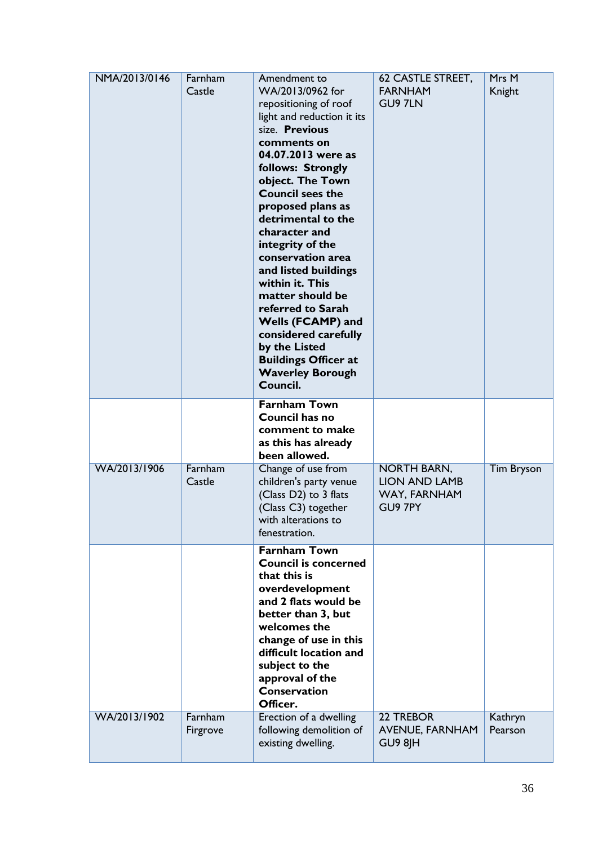| NMA/2013/0146 | Farnham<br>Castle   | Amendment to<br>WA/2013/0962 for<br>repositioning of roof<br>light and reduction it its<br>size. Previous<br>comments on<br>04.07.2013 were as<br>follows: Strongly<br>object. The Town<br><b>Council sees the</b><br>proposed plans as<br>detrimental to the<br>character and<br>integrity of the<br>conservation area<br>and listed buildings<br>within it. This<br>matter should be<br>referred to Sarah<br>Wells (FCAMP) and<br>considered carefully<br>by the Listed<br><b>Buildings Officer at</b><br><b>Waverley Borough</b><br>Council. | 62 CASTLE STREET,<br><b>FARNHAM</b><br>GU9 7LN                        | Mrs M<br>Knight    |
|---------------|---------------------|-------------------------------------------------------------------------------------------------------------------------------------------------------------------------------------------------------------------------------------------------------------------------------------------------------------------------------------------------------------------------------------------------------------------------------------------------------------------------------------------------------------------------------------------------|-----------------------------------------------------------------------|--------------------|
|               |                     | <b>Farnham Town</b><br>Council has no<br>comment to make<br>as this has already<br>been allowed.                                                                                                                                                                                                                                                                                                                                                                                                                                                |                                                                       |                    |
| WA/2013/1906  | Farnham<br>Castle   | Change of use from<br>children's party venue<br>(Class D2) to 3 flats<br>(Class C3) together<br>with alterations to<br>fenestration.                                                                                                                                                                                                                                                                                                                                                                                                            | <b>NORTH BARN,</b><br><b>LION AND LAMB</b><br>WAY, FARNHAM<br>GU9 7PY | Tim Bryson         |
|               |                     | <b>Farnham Town</b><br><b>Council is concerned</b><br>that this is<br>overdevelopment<br>and 2 flats would be<br>better than 3, but<br>welcomes the<br>change of use in this<br>difficult location and<br>subject to the<br>approval of the<br><b>Conservation</b><br>Officer.                                                                                                                                                                                                                                                                  |                                                                       |                    |
| WA/2013/1902  | Farnham<br>Firgrove | Erection of a dwelling<br>following demolition of<br>existing dwelling.                                                                                                                                                                                                                                                                                                                                                                                                                                                                         | 22 TREBOR<br><b>AVENUE, FARNHAM</b><br>GU9 8JH                        | Kathryn<br>Pearson |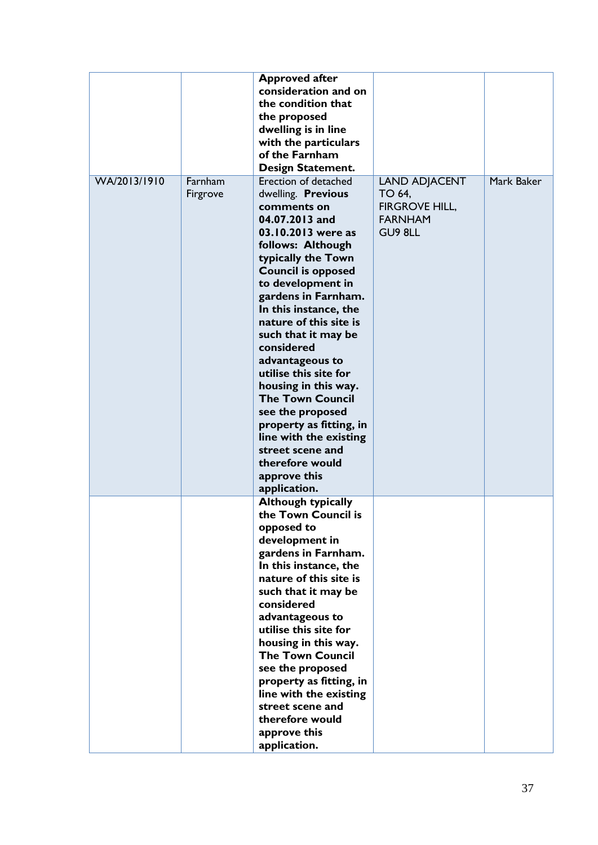|              |                     | <b>Approved after</b><br>consideration and on<br>the condition that<br>the proposed<br>dwelling is in line<br>with the particulars<br>of the Farnham<br>Design Statement.                                                                                                                                                                                                                                                                                                                                                                                    |                                                                                      |            |
|--------------|---------------------|--------------------------------------------------------------------------------------------------------------------------------------------------------------------------------------------------------------------------------------------------------------------------------------------------------------------------------------------------------------------------------------------------------------------------------------------------------------------------------------------------------------------------------------------------------------|--------------------------------------------------------------------------------------|------------|
| WA/2013/1910 | Farnham<br>Firgrove | Erection of detached<br>dwelling. Previous<br>comments on<br>04.07.2013 and<br>03.10.2013 were as<br>follows: Although<br>typically the Town<br><b>Council is opposed</b><br>to development in<br>gardens in Farnham.<br>In this instance, the<br>nature of this site is<br>such that it may be<br>considered<br>advantageous to<br>utilise this site for<br>housing in this way.<br><b>The Town Council</b><br>see the proposed<br>property as fitting, in<br>line with the existing<br>street scene and<br>therefore would<br>approve this<br>application. | <b>LAND ADJACENT</b><br>TO 64,<br><b>FIRGROVE HILL,</b><br><b>FARNHAM</b><br>GU9 8LL | Mark Baker |
|              |                     | <b>Although typically</b><br>the Town Council is<br>opposed to<br>development in<br>gardens in Farnham.<br>In this instance, the<br>nature of this site is<br>such that it may be<br>considered<br>advantageous to<br>utilise this site for<br>housing in this way.<br><b>The Town Council</b><br>see the proposed<br>property as fitting, in<br>line with the existing<br>street scene and<br>therefore would<br>approve this<br>application.                                                                                                               |                                                                                      |            |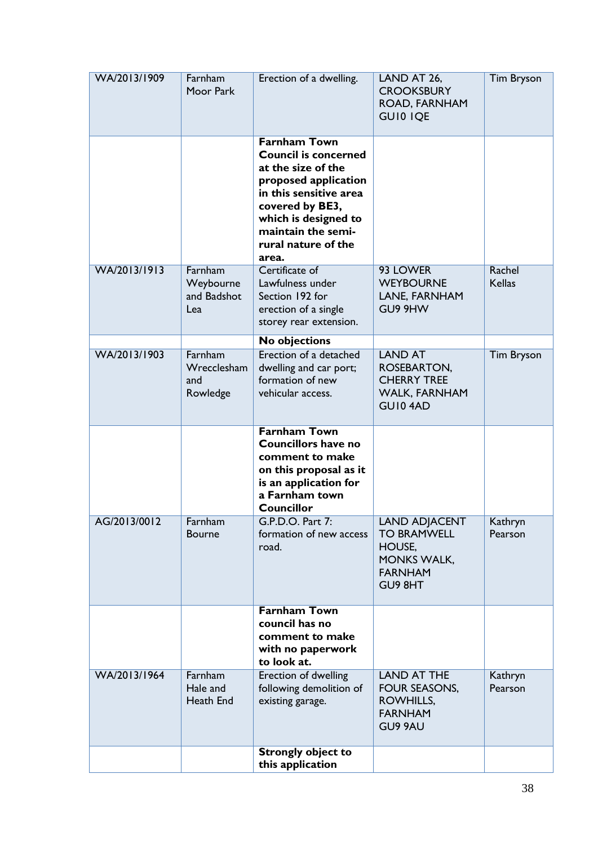| WA/2013/1909 | Farnham<br>Moor Park                       | Erection of a dwelling.                                                                                                                                                                                                     | LAND AT 26,<br><b>CROOKSBURY</b><br>ROAD, FARNHAM<br><b>GUIO IQE</b>                                    | <b>Tim Bryson</b>       |
|--------------|--------------------------------------------|-----------------------------------------------------------------------------------------------------------------------------------------------------------------------------------------------------------------------------|---------------------------------------------------------------------------------------------------------|-------------------------|
|              |                                            | <b>Farnham Town</b><br><b>Council is concerned</b><br>at the size of the<br>proposed application<br>in this sensitive area<br>covered by BE3,<br>which is designed to<br>maintain the semi-<br>rural nature of the<br>area. |                                                                                                         |                         |
| WA/2013/1913 | Farnham<br>Weybourne<br>and Badshot<br>Lea | Certificate of<br>Lawfulness under<br>Section 192 for<br>erection of a single<br>storey rear extension.                                                                                                                     | 93 LOWER<br><b>WEYBOURNE</b><br>LANE, FARNHAM<br>GU9 9HW                                                | Rachel<br><b>Kellas</b> |
|              |                                            | <b>No objections</b>                                                                                                                                                                                                        |                                                                                                         |                         |
| WA/2013/1903 | Farnham<br>Wrecclesham<br>and<br>Rowledge  | Erection of a detached<br>dwelling and car port;<br>formation of new<br>vehicular access.                                                                                                                                   | <b>LAND AT</b><br>ROSEBARTON,<br><b>CHERRY TREE</b><br><b>WALK, FARNHAM</b><br>GUI04AD                  | <b>Tim Bryson</b>       |
|              |                                            | <b>Farnham Town</b><br><b>Councillors have no</b><br>comment to make<br>on this proposal as it<br>is an application for<br>a Farnham town<br><b>Councillor</b>                                                              |                                                                                                         |                         |
| AG/2013/0012 | Farnham<br><b>Bourne</b>                   | G.P.D.O. Part 7:<br>formation of new access<br>road.                                                                                                                                                                        | <b>LAND ADJACENT</b><br><b>TO BRAMWELL</b><br>HOUSE,<br><b>MONKS WALK,</b><br><b>FARNHAM</b><br>GU9 8HT | Kathryn<br>Pearson      |
|              |                                            | <b>Farnham Town</b><br>council has no<br>comment to make<br>with no paperwork<br>to look at.                                                                                                                                |                                                                                                         |                         |
| WA/2013/1964 | Farnham<br>Hale and<br>Heath End           | Erection of dwelling<br>following demolition of<br>existing garage.                                                                                                                                                         | <b>LAND AT THE</b><br>FOUR SEASONS,<br>ROWHILLS,<br><b>FARNHAM</b><br>GU9 9AU                           | Kathryn<br>Pearson      |
|              |                                            | <b>Strongly object to</b><br>this application                                                                                                                                                                               |                                                                                                         |                         |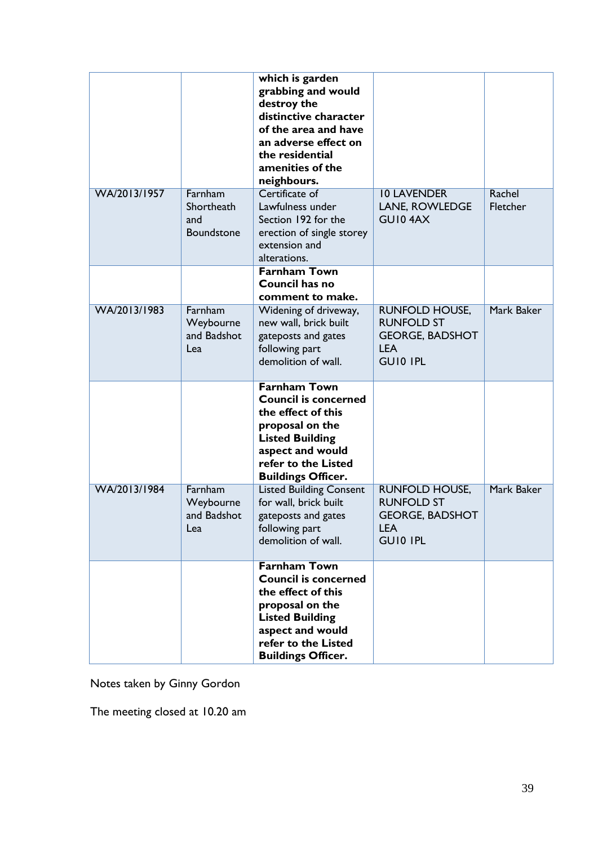|              |                                            | which is garden<br>grabbing and would<br>destroy the<br>distinctive character<br>of the area and have<br>an adverse effect on<br>the residential<br>amenities of the<br>neighbours.           |                                                                                                       |                    |
|--------------|--------------------------------------------|-----------------------------------------------------------------------------------------------------------------------------------------------------------------------------------------------|-------------------------------------------------------------------------------------------------------|--------------------|
| WA/2013/1957 | Farnham<br>Shortheath<br>and<br>Boundstone | Certificate of<br>Lawfulness under<br>Section 192 for the<br>erection of single storey<br>extension and<br>alterations.                                                                       | <b>10 LAVENDER</b><br><b>LANE, ROWLEDGE</b><br>GUI04AX                                                | Rachel<br>Fletcher |
|              |                                            | <b>Farnham Town</b><br>Council has no<br>comment to make.                                                                                                                                     |                                                                                                       |                    |
| WA/2013/1983 | Farnham<br>Weybourne<br>and Badshot<br>Lea | Widening of driveway,<br>new wall, brick built<br>gateposts and gates<br>following part<br>demolition of wall.                                                                                | <b>RUNFOLD HOUSE,</b><br><b>RUNFOLD ST</b><br><b>GEORGE, BADSHOT</b><br><b>LEA</b><br><b>GUIO IPL</b> | Mark Baker         |
|              |                                            | <b>Farnham Town</b><br><b>Council is concerned</b><br>the effect of this<br>proposal on the<br><b>Listed Building</b><br>aspect and would<br>refer to the Listed<br><b>Buildings Officer.</b> |                                                                                                       |                    |
| WA/2013/1984 | Farnham<br>Weybourne<br>and Badshot<br>Lea | <b>Listed Building Consent</b><br>for wall, brick built<br>gateposts and gates<br>following part<br>demolition of wall.                                                                       | <b>RUNFOLD HOUSE,</b><br><b>RUNFOLD ST</b><br><b>GEORGE, BADSHOT</b><br><b>LEA</b><br><b>GUIO IPL</b> | Mark Baker         |
|              |                                            | <b>Farnham Town</b><br><b>Council is concerned</b><br>the effect of this<br>proposal on the<br><b>Listed Building</b><br>aspect and would<br>refer to the Listed<br><b>Buildings Officer.</b> |                                                                                                       |                    |

Notes taken by Ginny Gordon

The meeting closed at 10.20 am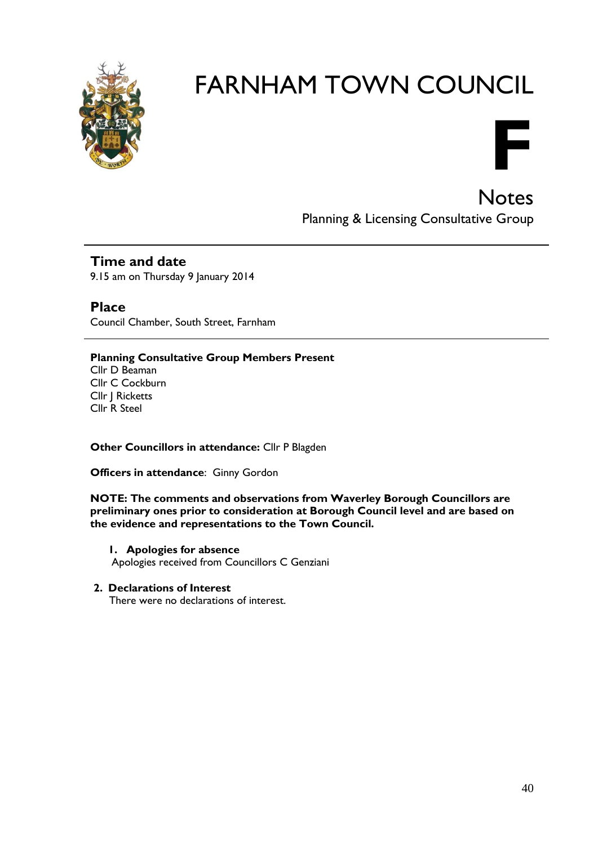



**Notes** Planning & Licensing Consultative Group

#### **Time and date**

9.15 am on Thursday 9 January 2014

**Place** Council Chamber, South Street, Farnham

#### **Planning Consultative Group Members Present** Cllr D Beaman Cllr C Cockburn Cllr J Ricketts Cllr R Steel

**Other Councillors in attendance:** Cllr P Blagden

**Officers in attendance**: Ginny Gordon

**NOTE: The comments and observations from Waverley Borough Councillors are preliminary ones prior to consideration at Borough Council level and are based on the evidence and representations to the Town Council.**

- **1. Apologies for absence** Apologies received from Councillors C Genziani
- **2. Declarations of Interest**

There were no declarations of interest.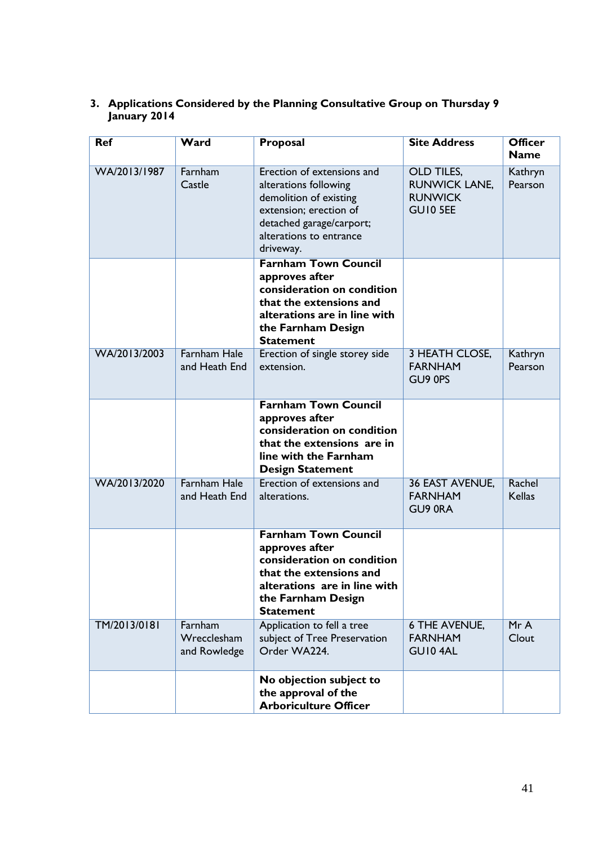| <b>Ref</b>   | Ward                                   | Proposal                                                                                                                                                                         | <b>Site Address</b>                                                     | <b>Officer</b><br><b>Name</b> |
|--------------|----------------------------------------|----------------------------------------------------------------------------------------------------------------------------------------------------------------------------------|-------------------------------------------------------------------------|-------------------------------|
| WA/2013/1987 | Farnham<br>Castle                      | Erection of extensions and<br>alterations following<br>demolition of existing<br>extension; erection of<br>detached garage/carport;<br>alterations to entrance<br>driveway.      | OLD TILES,<br><b>RUNWICK LANE,</b><br><b>RUNWICK</b><br><b>GUIO 5EE</b> | Kathryn<br>Pearson            |
|              |                                        | <b>Farnham Town Council</b><br>approves after<br>consideration on condition<br>that the extensions and<br>alterations are in line with<br>the Farnham Design<br><b>Statement</b> |                                                                         |                               |
| WA/2013/2003 | <b>Farnham Hale</b><br>and Heath End   | Erection of single storey side<br>extension.                                                                                                                                     | 3 HEATH CLOSE,<br><b>FARNHAM</b><br>GU9 0PS                             | Kathryn<br>Pearson            |
|              |                                        | <b>Farnham Town Council</b><br>approves after<br>consideration on condition<br>that the extensions are in<br>line with the Farnham<br><b>Design Statement</b>                    |                                                                         |                               |
| WA/2013/2020 | <b>Farnham Hale</b><br>and Heath End   | Erection of extensions and<br>alterations.                                                                                                                                       | 36 EAST AVENUE,<br><b>FARNHAM</b><br>GU9 ORA                            | Rachel<br><b>Kellas</b>       |
|              |                                        | <b>Farnham Town Council</b><br>approves after<br>consideration on condition<br>that the extensions and<br>alterations are in line with<br>the Farnham Design<br><b>Statement</b> |                                                                         |                               |
| TM/2013/0181 | Farnham<br>Wrecclesham<br>and Rowledge | Application to fell a tree<br>subject of Tree Preservation<br>Order WA224.                                                                                                       | 6 THE AVENUE,<br><b>FARNHAM</b><br>GUI04AL                              | MrA<br>Clout                  |
|              |                                        | No objection subject to<br>the approval of the<br><b>Arboriculture Officer</b>                                                                                                   |                                                                         |                               |

#### **3. Applications Considered by the Planning Consultative Group on Thursday 9 January 2014**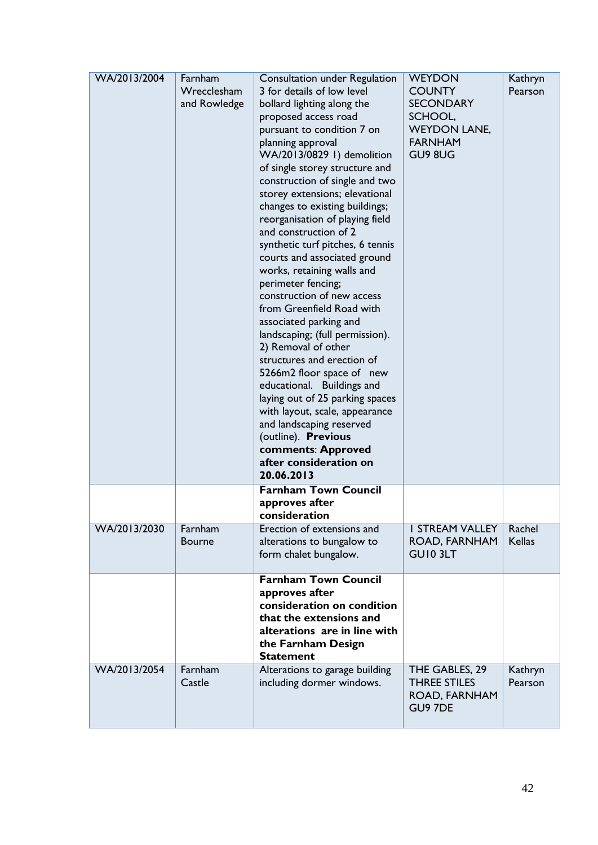| WA/2013/2004 | Farnham<br>Wrecclesham<br>and Rowledge | Consultation under Regulation<br>3 for details of low level<br>bollard lighting along the<br>proposed access road<br>pursuant to condition 7 on<br>planning approval<br>WA/2013/0829 1) demolition<br>of single storey structure and<br>construction of single and two<br>storey extensions; elevational<br>changes to existing buildings;<br>reorganisation of playing field<br>and construction of 2<br>synthetic turf pitches, 6 tennis<br>courts and associated ground<br>works, retaining walls and<br>perimeter fencing;<br>construction of new access<br>from Greenfield Road with<br>associated parking and<br>landscaping; (full permission).<br>2) Removal of other<br>structures and erection of<br>5266m2 floor space of new<br>educational. Buildings and<br>laying out of 25 parking spaces<br>with layout, scale, appearance<br>and landscaping reserved<br>(outline). Previous<br>comments: Approved<br>after consideration on<br>20.06.2013 | <b>WEYDON</b><br><b>COUNTY</b><br><b>SECONDARY</b><br>SCHOOL,<br><b>WEYDON LANE,</b><br><b>FARNHAM</b><br>GU9 8UG | Kathryn<br>Pearson      |
|--------------|----------------------------------------|--------------------------------------------------------------------------------------------------------------------------------------------------------------------------------------------------------------------------------------------------------------------------------------------------------------------------------------------------------------------------------------------------------------------------------------------------------------------------------------------------------------------------------------------------------------------------------------------------------------------------------------------------------------------------------------------------------------------------------------------------------------------------------------------------------------------------------------------------------------------------------------------------------------------------------------------------------------|-------------------------------------------------------------------------------------------------------------------|-------------------------|
|              |                                        | <b>Farnham Town Council</b><br>approves after<br>consideration                                                                                                                                                                                                                                                                                                                                                                                                                                                                                                                                                                                                                                                                                                                                                                                                                                                                                               |                                                                                                                   |                         |
| WA/2013/2030 | Farnham<br><b>Bourne</b>               | Erection of extensions and<br>alterations to bungalow to<br>form chalet bungalow.                                                                                                                                                                                                                                                                                                                                                                                                                                                                                                                                                                                                                                                                                                                                                                                                                                                                            | <b>I STREAM VALLEY</b><br>ROAD, FARNHAM<br>GUI0 3LT                                                               | Rachel<br><b>Kellas</b> |
|              |                                        | <b>Farnham Town Council</b><br>approves after<br>consideration on condition<br>that the extensions and<br>alterations are in line with<br>the Farnham Design<br><b>Statement</b>                                                                                                                                                                                                                                                                                                                                                                                                                                                                                                                                                                                                                                                                                                                                                                             |                                                                                                                   |                         |
| WA/2013/2054 | Farnham<br>Castle                      | Alterations to garage building<br>including dormer windows.                                                                                                                                                                                                                                                                                                                                                                                                                                                                                                                                                                                                                                                                                                                                                                                                                                                                                                  | THE GABLES, 29<br><b>THREE STILES</b><br>ROAD, FARNHAM<br>GU9 7DE                                                 | Kathryn<br>Pearson      |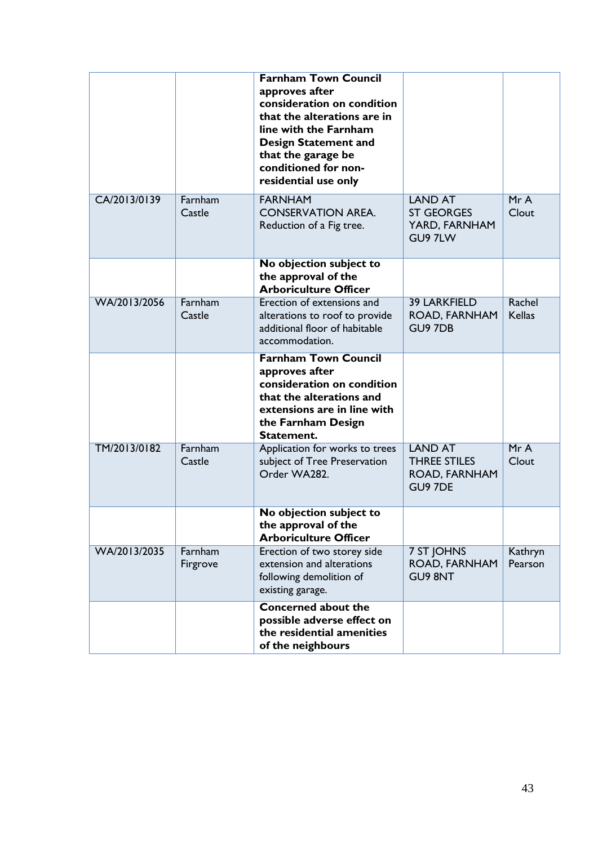|              |                     | <b>Farnham Town Council</b><br>approves after<br>consideration on condition<br>that the alterations are in<br>line with the Farnham<br><b>Design Statement and</b><br>that the garage be<br>conditioned for non-<br>residential use only |                                                                   |                         |
|--------------|---------------------|------------------------------------------------------------------------------------------------------------------------------------------------------------------------------------------------------------------------------------------|-------------------------------------------------------------------|-------------------------|
| CA/2013/0139 | Farnham<br>Castle   | <b>FARNHAM</b><br><b>CONSERVATION AREA.</b><br>Reduction of a Fig tree.                                                                                                                                                                  | <b>LAND AT</b><br><b>ST GEORGES</b><br>YARD, FARNHAM<br>GU9 7LW   | MrA<br>Clout            |
|              |                     | No objection subject to<br>the approval of the<br><b>Arboriculture Officer</b>                                                                                                                                                           |                                                                   |                         |
| WA/2013/2056 | Farnham<br>Castle   | Erection of extensions and<br>alterations to roof to provide<br>additional floor of habitable<br>accommodation.                                                                                                                          | <b>39 LARKFIELD</b><br>ROAD, FARNHAM<br><b>GU9 7DB</b>            | Rachel<br><b>Kellas</b> |
|              |                     | <b>Farnham Town Council</b><br>approves after<br>consideration on condition<br>that the alterations and<br>extensions are in line with<br>the Farnham Design<br>Statement.                                                               |                                                                   |                         |
| TM/2013/0182 | Farnham<br>Castle   | Application for works to trees<br>subject of Tree Preservation<br>Order WA282.                                                                                                                                                           | <b>LAND AT</b><br><b>THREE STILES</b><br>ROAD, FARNHAM<br>GU9 7DE | MrA<br>Clout            |
|              |                     | No objection subject to<br>the approval of the<br><b>Arboriculture Officer</b>                                                                                                                                                           |                                                                   |                         |
| WA/2013/2035 | Farnham<br>Firgrove | Erection of two storey side<br>extension and alterations<br>following demolition of<br>existing garage.                                                                                                                                  | 7 ST JOHNS<br>ROAD, FARNHAM<br><b>GU9 8NT</b>                     | Kathryn<br>Pearson      |
|              |                     | <b>Concerned about the</b><br>possible adverse effect on<br>the residential amenities<br>of the neighbours                                                                                                                               |                                                                   |                         |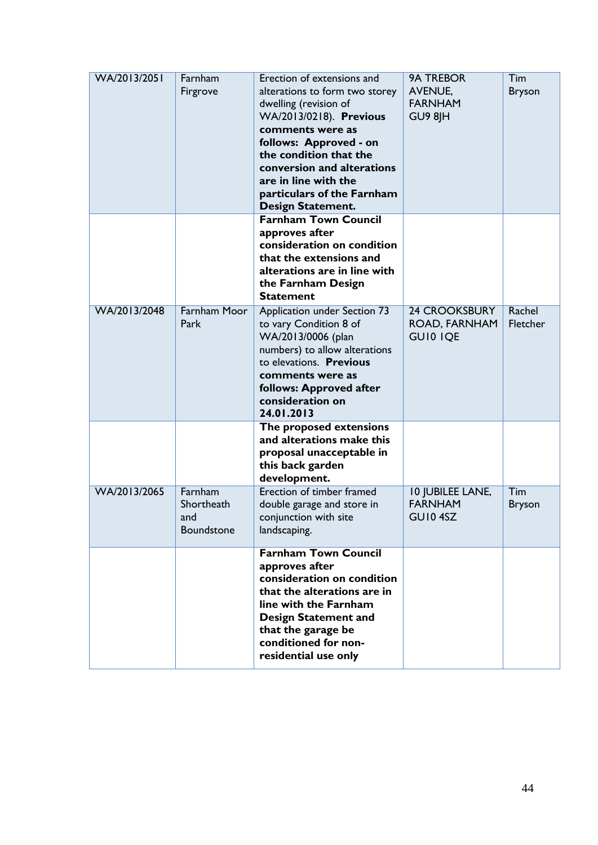| WA/2013/2051 | Farnham<br>Firgrove                        | Erection of extensions and<br>alterations to form two storey<br>dwelling (revision of<br>WA/2013/0218). Previous<br>comments were as<br>follows: Approved - on<br>the condition that the<br>conversion and alterations<br>are in line with the<br>particulars of the Farnham<br><b>Design Statement.</b> | <b>9A TREBOR</b><br><b>AVENUE,</b><br><b>FARNHAM</b><br>GU9 8JH | Tim<br><b>Bryson</b> |
|--------------|--------------------------------------------|----------------------------------------------------------------------------------------------------------------------------------------------------------------------------------------------------------------------------------------------------------------------------------------------------------|-----------------------------------------------------------------|----------------------|
|              |                                            | <b>Farnham Town Council</b><br>approves after<br>consideration on condition<br>that the extensions and<br>alterations are in line with<br>the Farnham Design<br><b>Statement</b>                                                                                                                         |                                                                 |                      |
| WA/2013/2048 | <b>Farnham Moor</b><br>Park                | Application under Section 73<br>to vary Condition 8 of<br>WA/2013/0006 (plan<br>numbers) to allow alterations<br>to elevations. Previous<br>comments were as<br>follows: Approved after<br>consideration on<br>24.01.2013                                                                                | <b>24 CROOKSBURY</b><br>ROAD, FARNHAM<br><b>GUIO IQE</b>        | Rachel<br>Fletcher   |
|              |                                            | The proposed extensions<br>and alterations make this<br>proposal unacceptable in<br>this back garden<br>development.                                                                                                                                                                                     |                                                                 |                      |
| WA/2013/2065 | Farnham<br>Shortheath<br>and<br>Boundstone | Erection of timber framed<br>double garage and store in<br>conjunction with site<br>landscaping.                                                                                                                                                                                                         | 10 JUBILEE LANE,<br><b>FARNHAM</b><br>GUI04SZ                   | Tim<br><b>Bryson</b> |
|              |                                            | <b>Farnham Town Council</b><br>approves after<br>consideration on condition<br>that the alterations are in<br>line with the Farnham<br><b>Design Statement and</b><br>that the garage be<br>conditioned for non-<br>residential use only                                                                 |                                                                 |                      |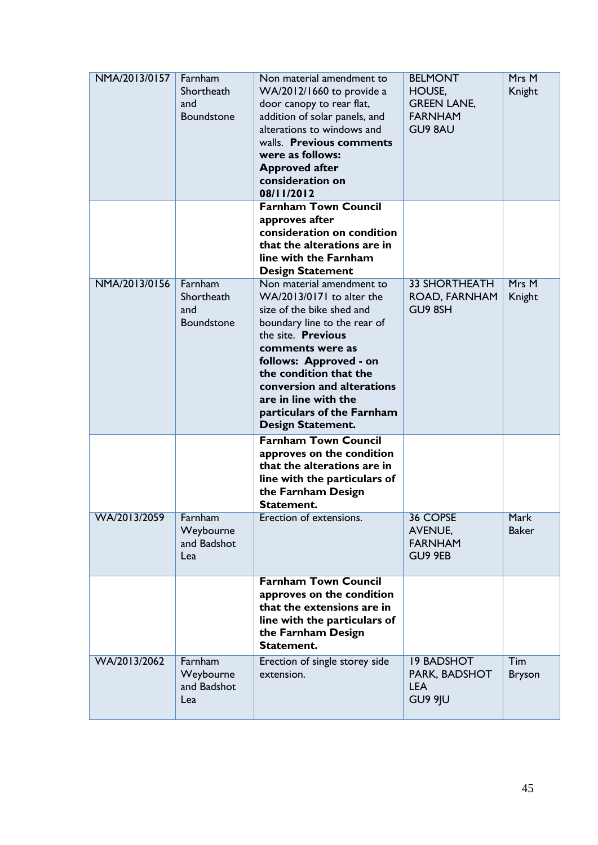| NMA/2013/0157 | Farnham<br>Shortheath<br>and<br>Boundstone        | Non material amendment to<br>WA/2012/1660 to provide a<br>door canopy to rear flat,<br>addition of solar panels, and<br>alterations to windows and<br>walls. Previous comments<br>were as follows:<br><b>Approved after</b><br>consideration on<br>08/11/2012                                                                     | <b>BELMONT</b><br>HOUSE,<br><b>GREEN LANE,</b><br><b>FARNHAM</b><br><b>GU9 8AU</b> | Mrs M<br>Knight      |
|---------------|---------------------------------------------------|-----------------------------------------------------------------------------------------------------------------------------------------------------------------------------------------------------------------------------------------------------------------------------------------------------------------------------------|------------------------------------------------------------------------------------|----------------------|
|               |                                                   | <b>Farnham Town Council</b><br>approves after<br>consideration on condition<br>that the alterations are in<br>line with the Farnham<br><b>Design Statement</b>                                                                                                                                                                    |                                                                                    |                      |
| NMA/2013/0156 | Farnham<br>Shortheath<br>and<br><b>Boundstone</b> | Non material amendment to<br>WA/2013/0171 to alter the<br>size of the bike shed and<br>boundary line to the rear of<br>the site. Previous<br>comments were as<br>follows: Approved - on<br>the condition that the<br>conversion and alterations<br>are in line with the<br>particulars of the Farnham<br><b>Design Statement.</b> | <b>33 SHORTHEATH</b><br>ROAD, FARNHAM<br>GU9 8SH                                   | Mrs M<br>Knight      |
|               |                                                   | <b>Farnham Town Council</b><br>approves on the condition<br>that the alterations are in<br>line with the particulars of<br>the Farnham Design<br>Statement.                                                                                                                                                                       |                                                                                    |                      |
| WA/2013/2059  | Farnham<br>Weybourne<br>and Badshot<br>Lea        | Erection of extensions.                                                                                                                                                                                                                                                                                                           | 36 COPSE<br><b>AVENUE,</b><br><b>FARNHAM</b><br>GU9 9EB                            | Mark<br><b>Baker</b> |
|               |                                                   | <b>Farnham Town Council</b><br>approves on the condition<br>that the extensions are in<br>line with the particulars of<br>the Farnham Design<br>Statement.                                                                                                                                                                        |                                                                                    |                      |
| WA/2013/2062  | Farnham<br>Weybourne<br>and Badshot<br>Lea        | Erection of single storey side<br>extension.                                                                                                                                                                                                                                                                                      | <b>19 BADSHOT</b><br>PARK, BADSHOT<br><b>LEA</b><br>GU9 9JU                        | Tim<br><b>Bryson</b> |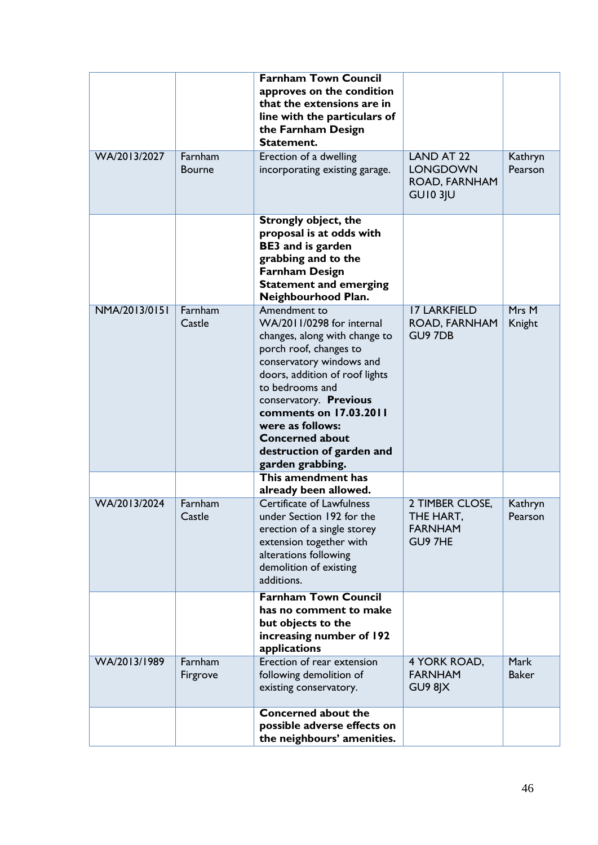|               |                          | <b>Farnham Town Council</b><br>approves on the condition<br>that the extensions are in<br>line with the particulars of<br>the Farnham Design<br>Statement.                                                                                                                                                                               |                                                                          |                      |
|---------------|--------------------------|------------------------------------------------------------------------------------------------------------------------------------------------------------------------------------------------------------------------------------------------------------------------------------------------------------------------------------------|--------------------------------------------------------------------------|----------------------|
| WA/2013/2027  | Farnham<br><b>Bourne</b> | Erection of a dwelling<br>incorporating existing garage.                                                                                                                                                                                                                                                                                 | <b>LAND AT 22</b><br><b>LONGDOWN</b><br>ROAD, FARNHAM<br><b>GU10 3JU</b> | Kathryn<br>Pearson   |
|               |                          | <b>Strongly object, the</b><br>proposal is at odds with<br><b>BE3</b> and is garden<br>grabbing and to the<br><b>Farnham Design</b><br><b>Statement and emerging</b><br>Neighbourhood Plan.                                                                                                                                              |                                                                          |                      |
| NMA/2013/0151 | Farnham<br>Castle        | Amendment to<br>WA/2011/0298 for internal<br>changes, along with change to<br>porch roof, changes to<br>conservatory windows and<br>doors, addition of roof lights<br>to bedrooms and<br>conservatory. Previous<br>comments on 17.03.2011<br>were as follows:<br><b>Concerned about</b><br>destruction of garden and<br>garden grabbing. | <b>17 LARKFIELD</b><br>ROAD, FARNHAM<br>GU9 7DB                          | Mrs M<br>Knight      |
|               |                          | This amendment has<br>already been allowed.                                                                                                                                                                                                                                                                                              |                                                                          |                      |
| WA/2013/2024  | Farnham<br>Castle        | <b>Certificate of Lawfulness</b><br>under Section 192 for the<br>erection of a single storey<br>extension together with<br>alterations following<br>demolition of existing<br>additions.                                                                                                                                                 | 2 TIMBER CLOSE,<br>THE HART.<br><b>FARNHAM</b><br>GU9 7HE                | Kathryn<br>Pearson   |
|               |                          | <b>Farnham Town Council</b><br>has no comment to make<br>but objects to the<br>increasing number of 192<br>applications                                                                                                                                                                                                                  |                                                                          |                      |
| WA/2013/1989  | Farnham<br>Firgrove      | Erection of rear extension<br>following demolition of<br>existing conservatory.                                                                                                                                                                                                                                                          | 4 YORK ROAD,<br><b>FARNHAM</b><br>GU9 8JX                                | Mark<br><b>Baker</b> |
|               |                          | Concerned about the<br>possible adverse effects on<br>the neighbours' amenities.                                                                                                                                                                                                                                                         |                                                                          |                      |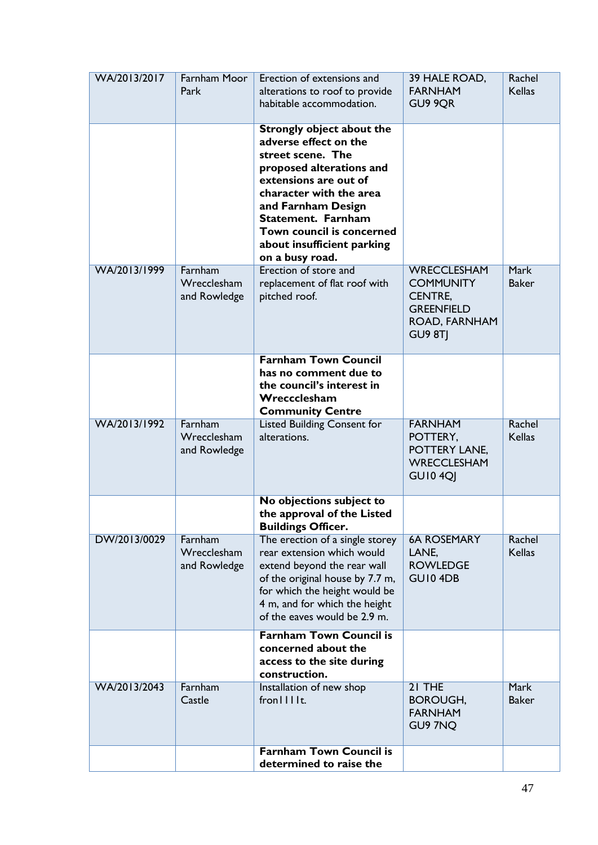| WA/2013/2017 | Farnham Moor<br>Park                   | Erection of extensions and<br>alterations to roof to provide<br>habitable accommodation.                                                                                                                                                                                                 | 39 HALE ROAD,<br><b>FARNHAM</b><br>GU9 9OR                                                                | Rachel<br><b>Kellas</b>     |
|--------------|----------------------------------------|------------------------------------------------------------------------------------------------------------------------------------------------------------------------------------------------------------------------------------------------------------------------------------------|-----------------------------------------------------------------------------------------------------------|-----------------------------|
|              |                                        | Strongly object about the<br>adverse effect on the<br>street scene. The<br>proposed alterations and<br>extensions are out of<br>character with the area<br>and Farnham Design<br><b>Statement. Farnham</b><br>Town council is concerned<br>about insufficient parking<br>on a busy road. |                                                                                                           |                             |
| WA/2013/1999 | Farnham<br>Wrecclesham<br>and Rowledge | Erection of store and<br>replacement of flat roof with<br>pitched roof.                                                                                                                                                                                                                  | <b>WRECCLESHAM</b><br><b>COMMUNITY</b><br><b>CENTRE,</b><br><b>GREENFIELD</b><br>ROAD, FARNHAM<br>GU9 8TI | <b>Mark</b><br><b>Baker</b> |
|              |                                        | <b>Farnham Town Council</b><br>has no comment due to<br>the council's interest in<br>Wreccclesham<br><b>Community Centre</b>                                                                                                                                                             |                                                                                                           |                             |
| WA/2013/1992 | Farnham<br>Wrecclesham<br>and Rowledge | Listed Building Consent for<br>alterations.                                                                                                                                                                                                                                              | <b>FARNHAM</b><br>POTTERY,<br>POTTERY LANE,<br><b>WRECCLESHAM</b><br><b>GU10 4QJ</b>                      | Rachel<br><b>Kellas</b>     |
|              |                                        | No objections subject to<br>the approval of the Listed<br><b>Buildings Officer.</b>                                                                                                                                                                                                      |                                                                                                           |                             |
| DW/2013/0029 | Farnham<br>Wrecclesham<br>and Rowledge | The erection of a single storey<br>rear extension which would<br>extend beyond the rear wall<br>of the original house by 7.7 m,<br>for which the height would be<br>4 m, and for which the height<br>of the eaves would be 2.9 m.                                                        | <b>6A ROSEMARY</b><br>LANE,<br><b>ROWLEDGE</b><br>GUI04DB                                                 | Rachel<br><b>Kellas</b>     |
|              |                                        | <b>Farnham Town Council is</b><br>concerned about the<br>access to the site during<br>construction.                                                                                                                                                                                      |                                                                                                           |                             |
| WA/2013/2043 | Farnham<br>Castle                      | Installation of new shop<br>from III                                                                                                                                                                                                                                                     | 21 THE<br><b>BOROUGH,</b><br><b>FARNHAM</b><br>GU9 7NQ                                                    | Mark<br><b>Baker</b>        |
|              |                                        | <b>Farnham Town Council is</b><br>determined to raise the                                                                                                                                                                                                                                |                                                                                                           |                             |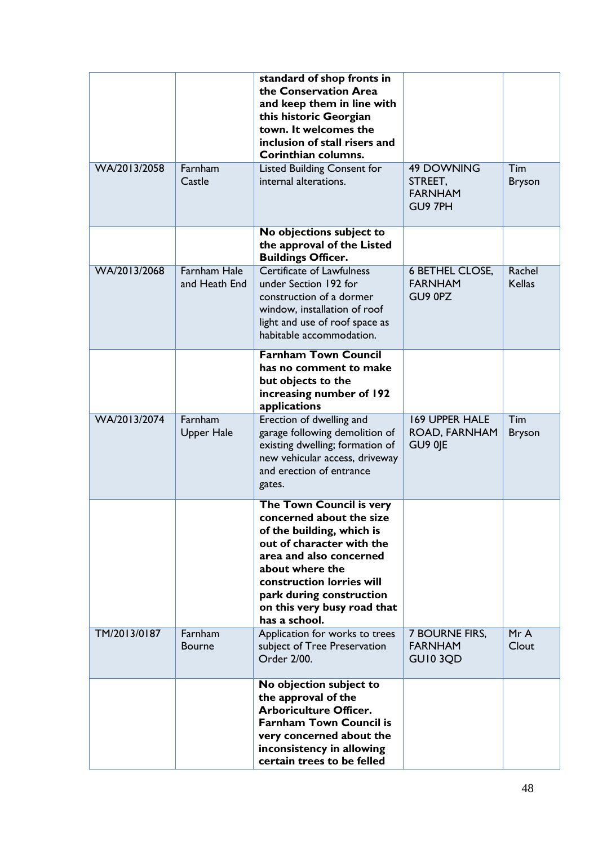|              |                                      | standard of shop fronts in<br>the Conservation Area<br>and keep them in line with<br>this historic Georgian<br>town. It welcomes the<br>inclusion of stall risers and<br>Corinthian columns.                                                                          |                                                           |                         |
|--------------|--------------------------------------|-----------------------------------------------------------------------------------------------------------------------------------------------------------------------------------------------------------------------------------------------------------------------|-----------------------------------------------------------|-------------------------|
| WA/2013/2058 | Farnham<br>Castle                    | Listed Building Consent for<br>internal alterations.                                                                                                                                                                                                                  | <b>49 DOWNING</b><br>STREET,<br><b>FARNHAM</b><br>GU9 7PH | Tim<br><b>Bryson</b>    |
|              |                                      | No objections subject to<br>the approval of the Listed<br><b>Buildings Officer.</b>                                                                                                                                                                                   |                                                           |                         |
| WA/2013/2068 | <b>Farnham Hale</b><br>and Heath End | <b>Certificate of Lawfulness</b><br>under Section 192 for<br>construction of a dormer<br>window, installation of roof<br>light and use of roof space as<br>habitable accommodation.                                                                                   | <b>6 BETHEL CLOSE,</b><br><b>FARNHAM</b><br>GU9 0PZ       | Rachel<br><b>Kellas</b> |
|              |                                      | <b>Farnham Town Council</b><br>has no comment to make<br>but objects to the<br>increasing number of 192<br>applications                                                                                                                                               |                                                           |                         |
| WA/2013/2074 | Farnham<br><b>Upper Hale</b>         | Erection of dwelling and<br>garage following demolition of<br>existing dwelling; formation of<br>new vehicular access, driveway<br>and erection of entrance<br>gates.                                                                                                 | <b>169 UPPER HALE</b><br>ROAD, FARNHAM<br>GU9 0JE         | Tim<br><b>Bryson</b>    |
|              |                                      | The Town Council is very<br>concerned about the size<br>of the building, which is<br>out of character with the<br>area and also concerned<br>about where the<br>construction lorries will<br>park during construction<br>on this very busy road that<br>has a school. |                                                           |                         |
| TM/2013/0187 | Farnham<br><b>Bourne</b>             | Application for works to trees<br>subject of Tree Preservation<br>Order 2/00.                                                                                                                                                                                         | 7 BOURNE FIRS,<br><b>FARNHAM</b><br>GUI0 3QD              | MrA<br>Clout            |
|              |                                      | No objection subject to<br>the approval of the<br><b>Arboriculture Officer.</b><br><b>Farnham Town Council is</b><br>very concerned about the<br>inconsistency in allowing<br>certain trees to be felled                                                              |                                                           |                         |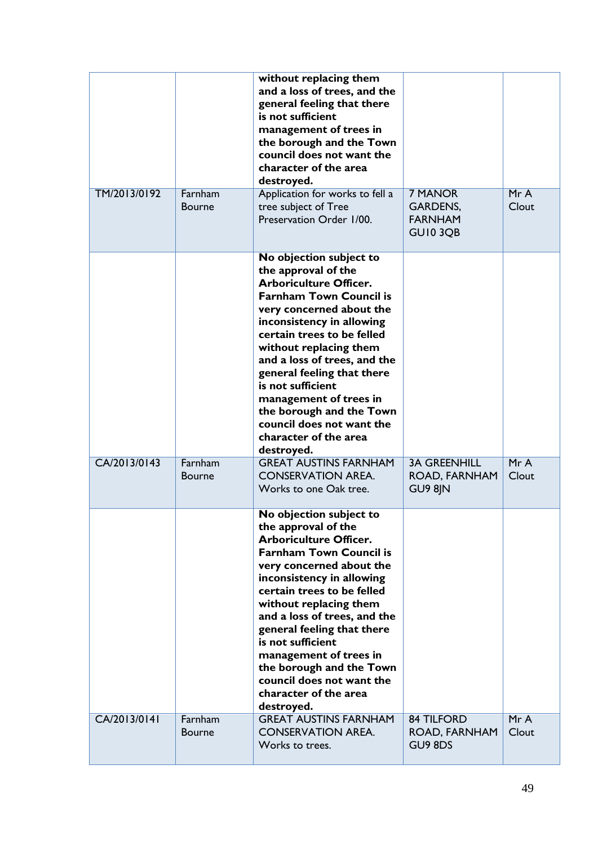|              |                          | without replacing them<br>and a loss of trees, and the<br>general feeling that there<br>is not sufficient<br>management of trees in<br>the borough and the Town<br>council does not want the<br>character of the area<br>destroyed.                                                                                                                                                                                                             |                                                         |              |
|--------------|--------------------------|-------------------------------------------------------------------------------------------------------------------------------------------------------------------------------------------------------------------------------------------------------------------------------------------------------------------------------------------------------------------------------------------------------------------------------------------------|---------------------------------------------------------|--------------|
| TM/2013/0192 | Farnham<br><b>Bourne</b> | Application for works to fell a<br>tree subject of Tree<br>Preservation Order 1/00.                                                                                                                                                                                                                                                                                                                                                             | 7 MANOR<br><b>GARDENS,</b><br><b>FARNHAM</b><br>GUI03QB | MrA<br>Clout |
|              |                          | No objection subject to<br>the approval of the<br><b>Arboriculture Officer.</b><br><b>Farnham Town Council is</b><br>very concerned about the<br>inconsistency in allowing<br>certain trees to be felled<br>without replacing them<br>and a loss of trees, and the<br>general feeling that there<br>is not sufficient<br>management of trees in<br>the borough and the Town<br>council does not want the<br>character of the area<br>destroyed. |                                                         |              |
| CA/2013/0143 | Farnham<br><b>Bourne</b> | <b>GREAT AUSTINS FARNHAM</b><br><b>CONSERVATION AREA.</b><br>Works to one Oak tree.                                                                                                                                                                                                                                                                                                                                                             | <b>3A GREENHILL</b><br>ROAD, FARNHAM<br>GU9 8JN         | MrA<br>Clout |
|              |                          | No objection subject to<br>the approval of the<br><b>Arboriculture Officer.</b><br><b>Farnham Town Council is</b><br>very concerned about the<br>inconsistency in allowing<br>certain trees to be felled<br>without replacing them<br>and a loss of trees, and the<br>general feeling that there<br>is not sufficient<br>management of trees in<br>the borough and the Town<br>council does not want the<br>character of the area<br>destroyed. |                                                         |              |
| CA/2013/0141 | Farnham<br>Bourne        | <b>GREAT AUSTINS FARNHAM</b><br><b>CONSERVATION AREA.</b><br>Works to trees.                                                                                                                                                                                                                                                                                                                                                                    | <b>84 TILFORD</b><br>ROAD, FARNHAM<br>GU9 8DS           | MrA<br>Clout |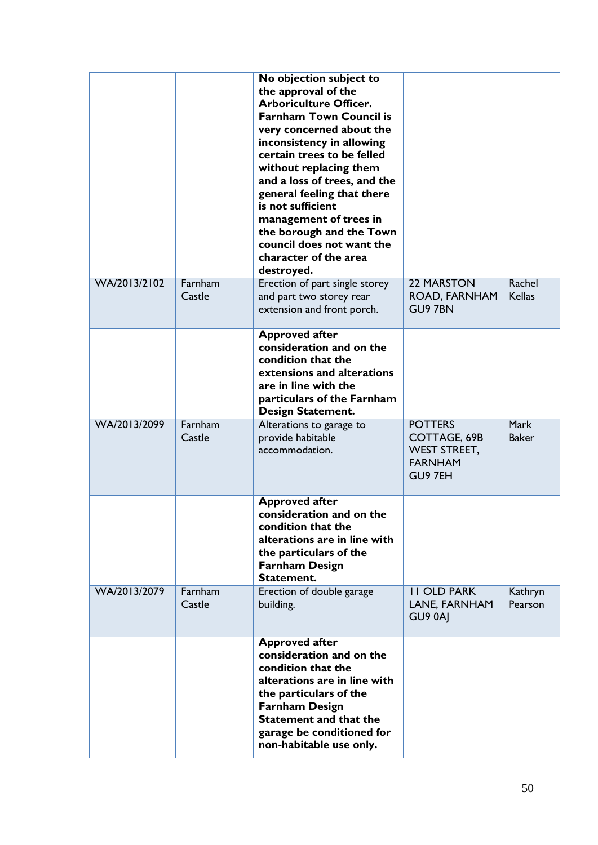|              |                   | No objection subject to<br>the approval of the<br><b>Arboriculture Officer.</b><br><b>Farnham Town Council is</b><br>very concerned about the<br>inconsistency in allowing<br>certain trees to be felled<br>without replacing them<br>and a loss of trees, and the<br>general feeling that there<br>is not sufficient<br>management of trees in<br>the borough and the Town<br>council does not want the<br>character of the area<br>destroyed. |                                                                                    |                             |
|--------------|-------------------|-------------------------------------------------------------------------------------------------------------------------------------------------------------------------------------------------------------------------------------------------------------------------------------------------------------------------------------------------------------------------------------------------------------------------------------------------|------------------------------------------------------------------------------------|-----------------------------|
| WA/2013/2102 | Farnham<br>Castle | Erection of part single storey<br>and part two storey rear<br>extension and front porch.                                                                                                                                                                                                                                                                                                                                                        | <b>22 MARSTON</b><br>ROAD, FARNHAM<br><b>GU9 7BN</b>                               | Rachel<br><b>Kellas</b>     |
|              |                   | <b>Approved after</b><br>consideration and on the<br>condition that the<br>extensions and alterations<br>are in line with the<br>particulars of the Farnham<br><b>Design Statement.</b>                                                                                                                                                                                                                                                         |                                                                                    |                             |
| WA/2013/2099 | Farnham<br>Castle | Alterations to garage to<br>provide habitable<br>accommodation.                                                                                                                                                                                                                                                                                                                                                                                 | <b>POTTERS</b><br>COTTAGE, 69B<br><b>WEST STREET,</b><br><b>FARNHAM</b><br>GU9 7EH | <b>Mark</b><br><b>Baker</b> |
|              |                   | <b>Approved after</b><br>consideration and on the<br>condition that the<br>alterations are in line with<br>the particulars of the<br><b>Farnham Design</b><br>Statement.                                                                                                                                                                                                                                                                        |                                                                                    |                             |
| WA/2013/2079 | Farnham<br>Castle | Erection of double garage<br>building.                                                                                                                                                                                                                                                                                                                                                                                                          | <b>II OLD PARK</b><br>LANE, FARNHAM<br>GU9 0AJ                                     | Kathryn<br>Pearson          |
|              |                   | <b>Approved after</b><br>consideration and on the<br>condition that the<br>alterations are in line with<br>the particulars of the<br><b>Farnham Design</b><br><b>Statement and that the</b><br>garage be conditioned for<br>non-habitable use only.                                                                                                                                                                                             |                                                                                    |                             |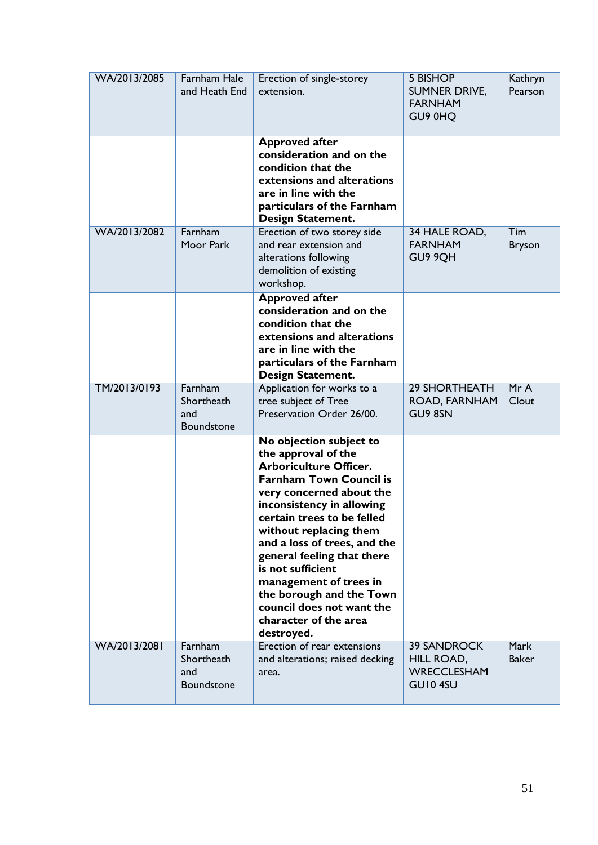| WA/2013/2085 | Farnham Hale<br>and Heath End              | Erection of single-storey<br>extension.                                                                                                                                                                                                                                                                                                                                                                                                         | <b>5 BISHOP</b><br>SUMNER DRIVE,<br><b>FARNHAM</b><br>GU9 0HQ      | Kathryn<br>Pearson          |
|--------------|--------------------------------------------|-------------------------------------------------------------------------------------------------------------------------------------------------------------------------------------------------------------------------------------------------------------------------------------------------------------------------------------------------------------------------------------------------------------------------------------------------|--------------------------------------------------------------------|-----------------------------|
|              |                                            | <b>Approved after</b><br>consideration and on the<br>condition that the<br>extensions and alterations<br>are in line with the<br>particulars of the Farnham<br><b>Design Statement.</b>                                                                                                                                                                                                                                                         |                                                                    |                             |
| WA/2013/2082 | Farnham<br>Moor Park                       | Erection of two storey side<br>and rear extension and<br>alterations following<br>demolition of existing<br>workshop.                                                                                                                                                                                                                                                                                                                           | 34 HALE ROAD,<br><b>FARNHAM</b><br>GU9 9QH                         | Tim<br><b>Bryson</b>        |
|              |                                            | <b>Approved after</b><br>consideration and on the<br>condition that the<br>extensions and alterations<br>are in line with the<br>particulars of the Farnham<br><b>Design Statement.</b>                                                                                                                                                                                                                                                         |                                                                    |                             |
| TM/2013/0193 | Farnham<br>Shortheath<br>and<br>Boundstone | Application for works to a<br>tree subject of Tree<br>Preservation Order 26/00.                                                                                                                                                                                                                                                                                                                                                                 | <b>29 SHORTHEATH</b><br>ROAD, FARNHAM<br>GU9 8SN                   | MrA<br>Clout                |
|              |                                            | No objection subject to<br>the approval of the<br><b>Arboriculture Officer.</b><br><b>Farnham Town Council is</b><br>very concerned about the<br>inconsistency in allowing<br>certain trees to be felled<br>without replacing them<br>and a loss of trees, and the<br>general feeling that there<br>is not sufficient<br>management of trees in<br>the borough and the Town<br>council does not want the<br>character of the area<br>destroyed. |                                                                    |                             |
| WA/2013/2081 | Farnham<br>Shortheath<br>and<br>Boundstone | Erection of rear extensions<br>and alterations; raised decking<br>area.                                                                                                                                                                                                                                                                                                                                                                         | <b>39 SANDROCK</b><br>HILL ROAD,<br><b>WRECCLESHAM</b><br>GUI0 4SU | <b>Mark</b><br><b>Baker</b> |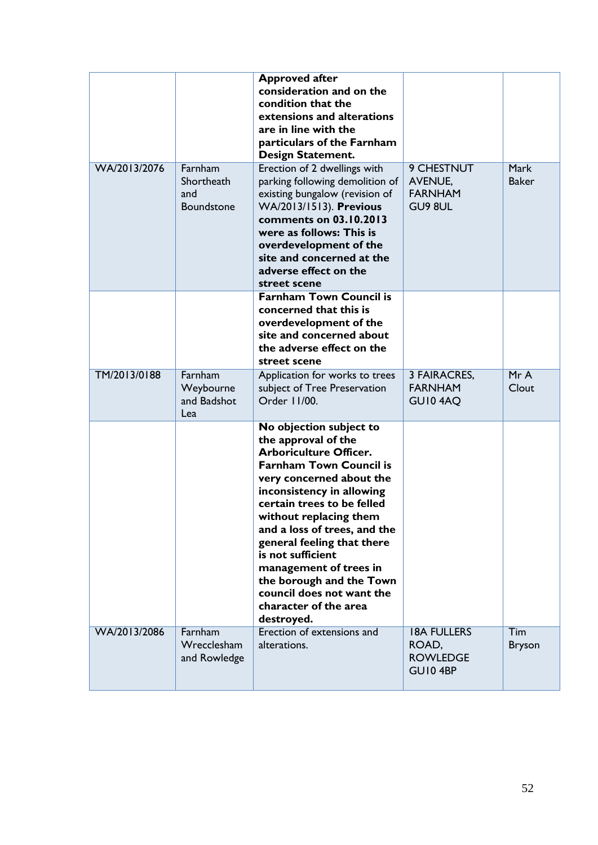|              |                                                   | <b>Approved after</b><br>consideration and on the<br>condition that the<br>extensions and alterations<br>are in line with the<br>particulars of the Farnham<br><b>Design Statement.</b>                                                                                                                                                                                                                                                         |                                                           |                      |
|--------------|---------------------------------------------------|-------------------------------------------------------------------------------------------------------------------------------------------------------------------------------------------------------------------------------------------------------------------------------------------------------------------------------------------------------------------------------------------------------------------------------------------------|-----------------------------------------------------------|----------------------|
| WA/2013/2076 | Farnham<br>Shortheath<br>and<br><b>Boundstone</b> | Erection of 2 dwellings with<br>parking following demolition of<br>existing bungalow (revision of<br>WA/2013/1513). Previous<br>comments on 03.10.2013<br>were as follows: This is<br>overdevelopment of the<br>site and concerned at the<br>adverse effect on the<br>street scene                                                                                                                                                              | 9 CHESTNUT<br><b>AVENUE,</b><br><b>FARNHAM</b><br>GU9 8UL | Mark<br><b>Baker</b> |
|              |                                                   | <b>Farnham Town Council is</b><br>concerned that this is<br>overdevelopment of the<br>site and concerned about<br>the adverse effect on the<br>street scene                                                                                                                                                                                                                                                                                     |                                                           |                      |
| TM/2013/0188 | Farnham<br>Weybourne<br>and Badshot<br>Lea        | Application for works to trees<br>subject of Tree Preservation<br>Order 11/00.                                                                                                                                                                                                                                                                                                                                                                  | 3 FAIRACRES,<br><b>FARNHAM</b><br>GUI04AQ                 | MrA<br>Clout         |
|              |                                                   | No objection subject to<br>the approval of the<br><b>Arboriculture Officer.</b><br><b>Farnham Town Council is</b><br>very concerned about the<br>inconsistency in allowing<br>certain trees to be felled<br>without replacing them<br>and a loss of trees, and the<br>general feeling that there<br>is not sufficient<br>management of trees in<br>the borough and the Town<br>council does not want the<br>character of the area<br>destroyed. |                                                           |                      |
| WA/2013/2086 | Farnham<br>Wrecclesham<br>and Rowledge            | Erection of extensions and<br>alterations.                                                                                                                                                                                                                                                                                                                                                                                                      | <b>18A FULLERS</b><br>ROAD,<br><b>ROWLEDGE</b><br>GUI04BP | Tim<br><b>Bryson</b> |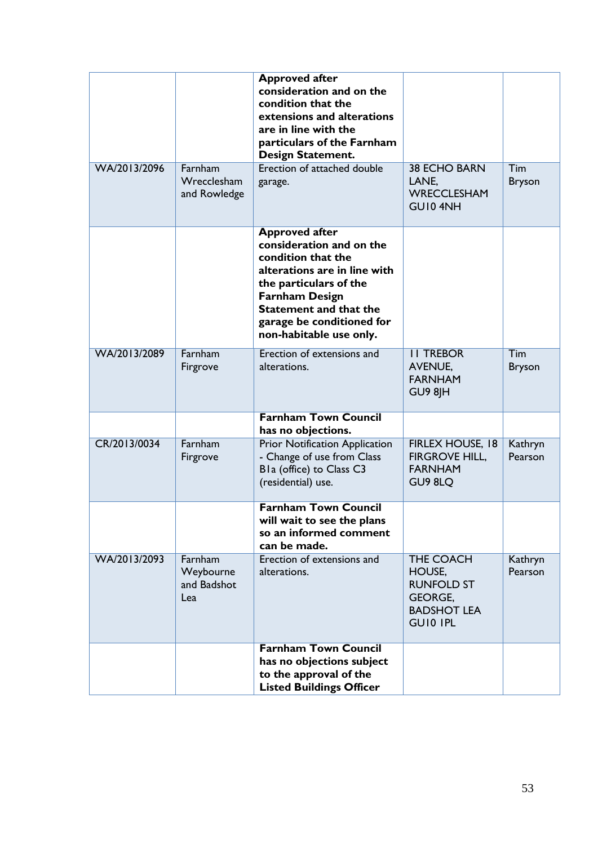|              |                                            | <b>Approved after</b><br>consideration and on the<br>condition that the<br>extensions and alterations<br>are in line with the<br>particulars of the Farnham<br><b>Design Statement.</b>                                                             |                                                                                                            |                             |
|--------------|--------------------------------------------|-----------------------------------------------------------------------------------------------------------------------------------------------------------------------------------------------------------------------------------------------------|------------------------------------------------------------------------------------------------------------|-----------------------------|
| WA/2013/2096 | Farnham<br>Wrecclesham<br>and Rowledge     | Erection of attached double<br>garage.                                                                                                                                                                                                              | <b>38 ECHO BARN</b><br>LANE,<br><b>WRECCLESHAM</b><br>GUI04NH                                              | <b>Tim</b><br><b>Bryson</b> |
|              |                                            | <b>Approved after</b><br>consideration and on the<br>condition that the<br>alterations are in line with<br>the particulars of the<br><b>Farnham Design</b><br><b>Statement and that the</b><br>garage be conditioned for<br>non-habitable use only. |                                                                                                            |                             |
| WA/2013/2089 | Farnham<br>Firgrove                        | Erection of extensions and<br>alterations.                                                                                                                                                                                                          | <b>II TREBOR</b><br><b>AVENUE,</b><br><b>FARNHAM</b><br>GU9 8JH                                            | Tim<br><b>Bryson</b>        |
|              |                                            | <b>Farnham Town Council</b><br>has no objections.                                                                                                                                                                                                   |                                                                                                            |                             |
| CR/2013/0034 | Farnham<br>Firgrove                        | Prior Notification Application<br>- Change of use from Class<br>Bla (office) to Class C3<br>(residential) use.                                                                                                                                      | FIRLEX HOUSE, 18<br><b>FIRGROVE HILL,</b><br><b>FARNHAM</b><br>GU9 8LQ                                     | Kathryn<br>Pearson          |
|              |                                            | <b>Farnham Town Council</b><br>will wait to see the plans<br>so an informed comment<br>can be made.                                                                                                                                                 |                                                                                                            |                             |
| WA/2013/2093 | Farnham<br>Weybourne<br>and Badshot<br>Lea | Erection of extensions and<br>alterations.                                                                                                                                                                                                          | <b>THE COACH</b><br>HOUSE,<br><b>RUNFOLD ST</b><br><b>GEORGE,</b><br><b>BADSHOT LEA</b><br><b>GUIO IPL</b> | Kathryn<br>Pearson          |
|              |                                            | <b>Farnham Town Council</b><br>has no objections subject<br>to the approval of the<br><b>Listed Buildings Officer</b>                                                                                                                               |                                                                                                            |                             |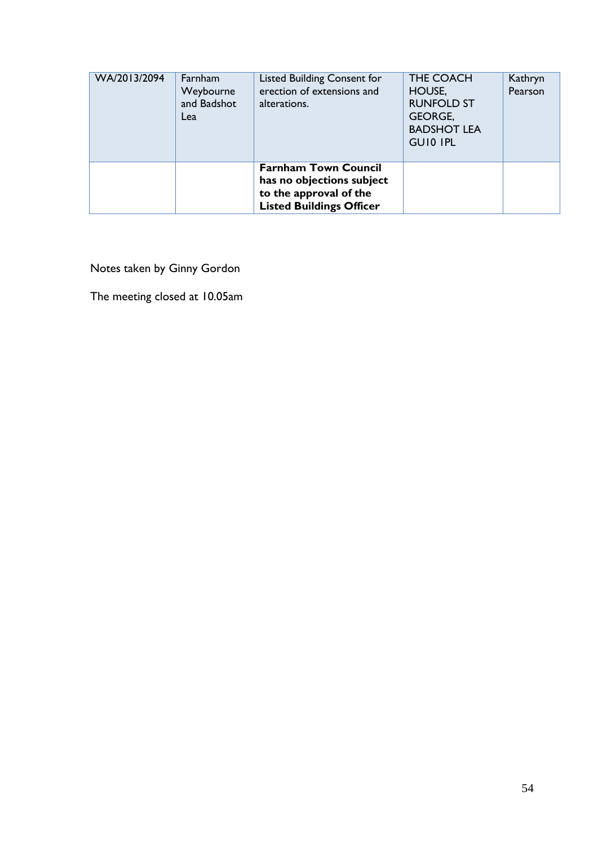| WA/2013/2094 | Farnham<br>Weybourne<br>and Badshot<br>Lea | <b>Listed Building Consent for</b><br>erection of extensions and<br>alterations.                                      | THE COACH<br>HOUSE,<br><b>RUNFOLD ST</b><br><b>GEORGE,</b><br><b>BADSHOT LEA</b><br><b>GUIO IPL</b> | Kathryn<br>Pearson |
|--------------|--------------------------------------------|-----------------------------------------------------------------------------------------------------------------------|-----------------------------------------------------------------------------------------------------|--------------------|
|              |                                            | <b>Farnham Town Council</b><br>has no objections subject<br>to the approval of the<br><b>Listed Buildings Officer</b> |                                                                                                     |                    |

Notes taken by Ginny Gordon

The meeting closed at 10.05am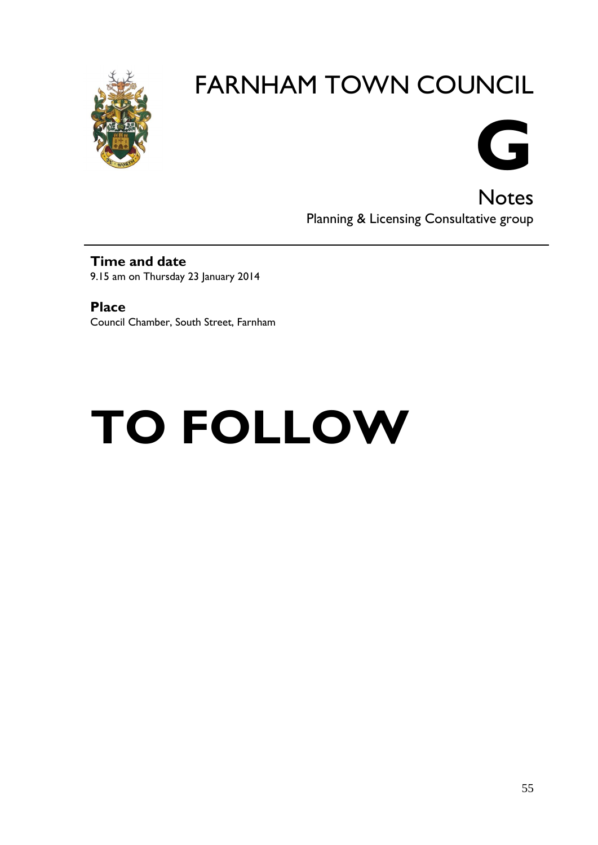



**Notes** Planning & Licensing Consultative group

#### **Time and date** 9.15 am on Thursday 23 January 2014

**Place** Council Chamber, South Street, Farnham

# **TO FOLLOW**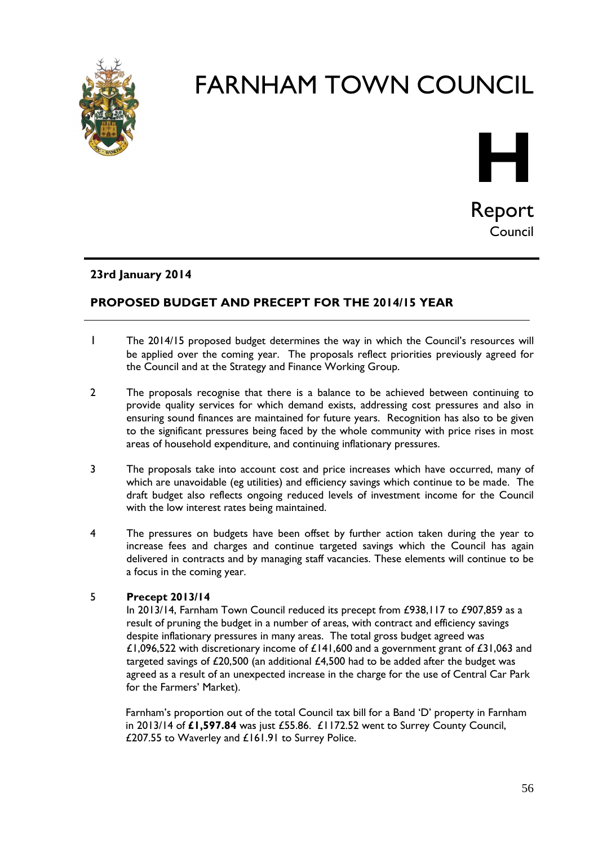



#### **23rd January 2014**

#### **PROPOSED BUDGET AND PRECEPT FOR THE 2014/15 YEAR**

- 1 The 2014/15 proposed budget determines the way in which the Council's resources will be applied over the coming year. The proposals reflect priorities previously agreed for the Council and at the Strategy and Finance Working Group.
- 2 The proposals recognise that there is a balance to be achieved between continuing to provide quality services for which demand exists, addressing cost pressures and also in ensuring sound finances are maintained for future years. Recognition has also to be given to the significant pressures being faced by the whole community with price rises in most areas of household expenditure, and continuing inflationary pressures.
- 3 The proposals take into account cost and price increases which have occurred, many of which are unavoidable (eg utilities) and efficiency savings which continue to be made. The draft budget also reflects ongoing reduced levels of investment income for the Council with the low interest rates being maintained.
- 4 The pressures on budgets have been offset by further action taken during the year to increase fees and charges and continue targeted savings which the Council has again delivered in contracts and by managing staff vacancies. These elements will continue to be a focus in the coming year.

#### 5 **Precept 2013/14**

In 2013/14, Farnham Town Council reduced its precept from £938,117 to £907,859 as a result of pruning the budget in a number of areas, with contract and efficiency savings despite inflationary pressures in many areas. The total gross budget agreed was £1,096,522 with discretionary income of £141,600 and a government grant of £31,063 and targeted savings of  $£20,500$  (an additional  $£4,500$  had to be added after the budget was agreed as a result of an unexpected increase in the charge for the use of Central Car Park for the Farmers' Market).

Farnham's proportion out of the total Council tax bill for a Band 'D' property in Farnham in 2013/14 of **£1,597.84** was just £55.86. £1172.52 went to Surrey County Council, £207.55 to Waverley and £161.91 to Surrey Police.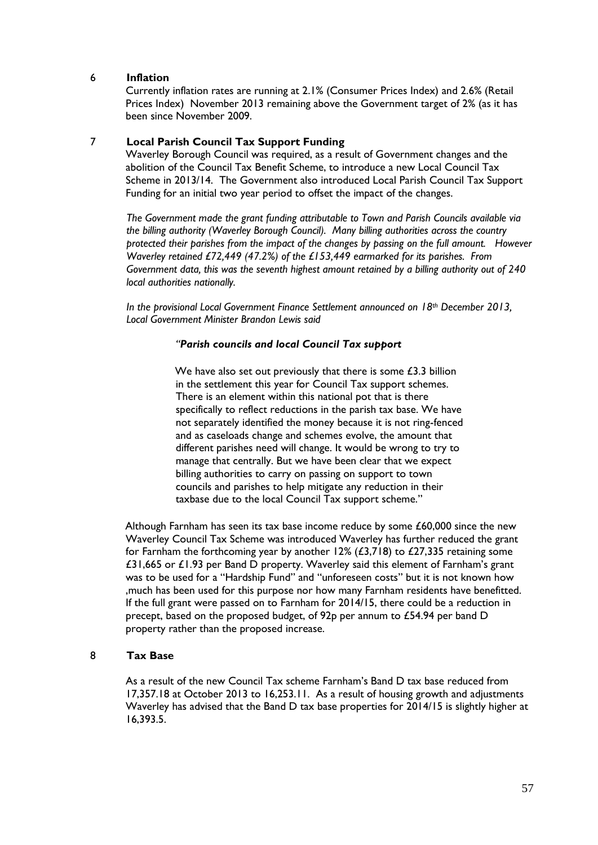#### 6 **Inflation**

Currently inflation rates are running at 2.1% (Consumer Prices Index) and 2.6% (Retail Prices Index) November 2013 remaining above the Government target of 2% (as it has been since November 2009.

#### 7 **Local Parish Council Tax Support Funding**

Waverley Borough Council was required, as a result of Government changes and the abolition of the Council Tax Benefit Scheme, to introduce a new Local Council Tax Scheme in 2013/14. The Government also introduced Local Parish Council Tax Support Funding for an initial two year period to offset the impact of the changes.

*The Government made the grant funding attributable to Town and Parish Councils available via the billing authority (Waverley Borough Council). Many billing authorities across the country protected their parishes from the impact of the changes by passing on the full amount. However Waverley retained £72,449 (47.2%) of the £153,449 earmarked for its parishes. From Government data, this was the seventh highest amount retained by a billing authority out of 240 local authorities nationally.* 

*In the provisional Local Government Finance Settlement announced on 18th December 2013, Local Government Minister Brandon Lewis said* 

#### *"Parish councils and local Council Tax support*

We have also set out previously that there is some £3.3 billion in the settlement this year for Council Tax support schemes. There is an element within this national pot that is there specifically to reflect reductions in the parish tax base. We have not separately identified the money because it is not ring-fenced and as caseloads change and schemes evolve, the amount that different parishes need will change. It would be wrong to try to manage that centrally. But we have been clear that we expect billing authorities to carry on passing on support to town councils and parishes to help mitigate any reduction in their taxbase due to the local Council Tax support scheme."

Although Farnham has seen its tax base income reduce by some £60,000 since the new Waverley Council Tax Scheme was introduced Waverley has further reduced the grant for Farnham the forthcoming year by another  $12\%$  (£3,718) to £27,335 retaining some £31,665 or £1.93 per Band D property. Waverley said this element of Farnham's grant was to be used for a "Hardship Fund" and "unforeseen costs" but it is not known how ,much has been used for this purpose nor how many Farnham residents have benefitted. If the full grant were passed on to Farnham for 2014/15, there could be a reduction in precept, based on the proposed budget, of 92p per annum to £54.94 per band D property rather than the proposed increase.

#### 8 **Tax Base**

As a result of the new Council Tax scheme Farnham's Band D tax base reduced from 17,357.18 at October 2013 to 16,253.11. As a result of housing growth and adjustments Waverley has advised that the Band D tax base properties for 2014/15 is slightly higher at 16,393.5.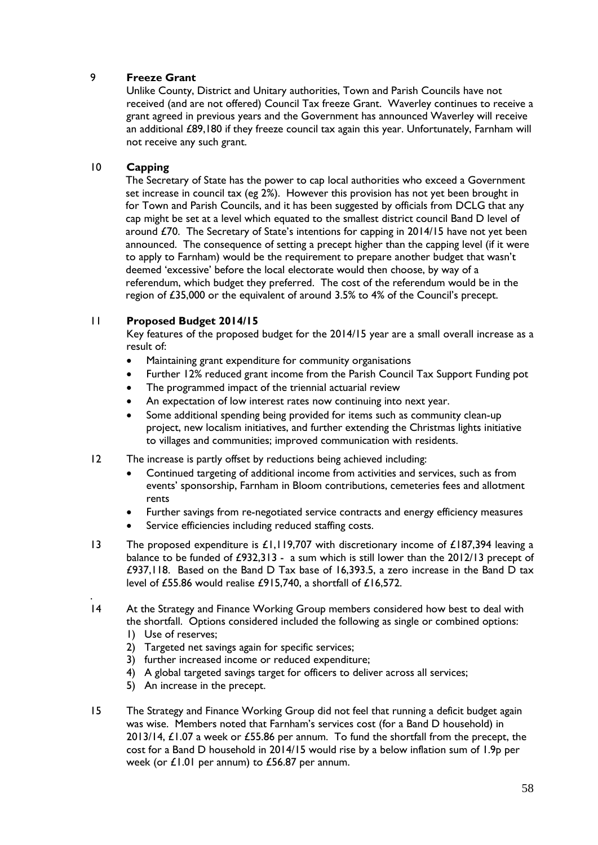#### 9 **Freeze Grant**

Unlike County, District and Unitary authorities, Town and Parish Councils have not received (and are not offered) Council Tax freeze Grant. Waverley continues to receive a grant agreed in previous years and the Government has announced Waverley will receive an additional £89,180 if they freeze council tax again this year. Unfortunately, Farnham will not receive any such grant.

#### 10 **Capping**

The Secretary of State has the power to cap local authorities who exceed a Government set increase in council tax (eg 2%). However this provision has not yet been brought in for Town and Parish Councils, and it has been suggested by officials from DCLG that any cap might be set at a level which equated to the smallest district council Band D level of around £70. The Secretary of State's intentions for capping in 2014/15 have not yet been announced. The consequence of setting a precept higher than the capping level (if it were to apply to Farnham) would be the requirement to prepare another budget that wasn't deemed 'excessive' before the local electorate would then choose, by way of a referendum, which budget they preferred. The cost of the referendum would be in the region of £35,000 or the equivalent of around 3.5% to 4% of the Council's precept.

#### 11 **Proposed Budget 2014/15**

Key features of the proposed budget for the 2014/15 year are a small overall increase as a result of:

- Maintaining grant expenditure for community organisations
- Further 12% reduced grant income from the Parish Council Tax Support Funding pot
- The programmed impact of the triennial actuarial review
- An expectation of low interest rates now continuing into next year.
- Some additional spending being provided for items such as community clean-up project, new localism initiatives, and further extending the Christmas lights initiative to villages and communities; improved communication with residents.
- 12 The increase is partly offset by reductions being achieved including:
	- Continued targeting of additional income from activities and services, such as from events' sponsorship, Farnham in Bloom contributions, cemeteries fees and allotment rents
	- Further savings from re-negotiated service contracts and energy efficiency measures
	- Service efficiencies including reduced staffing costs.
- 13 The proposed expenditure is £1,119,707 with discretionary income of £187,394 leaving a balance to be funded of £932,313 - a sum which is still lower than the 2012/13 precept of £937,118. Based on the Band D Tax base of 16,393.5, a zero increase in the Band D tax level of £55.86 would realise £915,740, a shortfall of £16,572.
- 14 At the Strategy and Finance Working Group members considered how best to deal with the shortfall. Options considered included the following as single or combined options:
	- 1) Use of reserves;

.

- 2) Targeted net savings again for specific services;
- 3) further increased income or reduced expenditure;
- 4) A global targeted savings target for officers to deliver across all services;
- 5) An increase in the precept.
- 15 The Strategy and Finance Working Group did not feel that running a deficit budget again was wise. Members noted that Farnham's services cost (for a Band D household) in 2013/14, £1.07 a week or £55.86 per annum. To fund the shortfall from the precept, the cost for a Band D household in 2014/15 would rise by a below inflation sum of 1.9p per week (or £1.01 per annum) to £56.87 per annum.